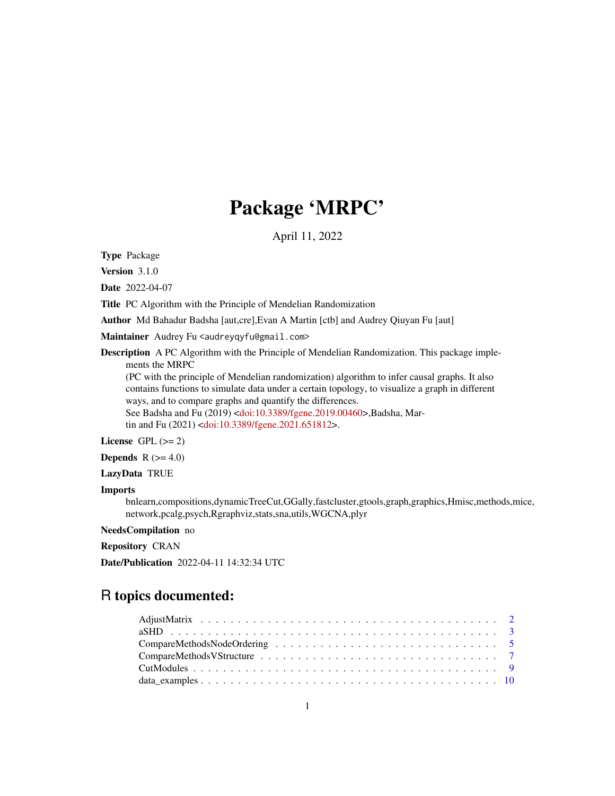# Package 'MRPC'

April 11, 2022

<span id="page-0-0"></span>Type Package

Version 3.1.0

Date 2022-04-07

Title PC Algorithm with the Principle of Mendelian Randomization

Author Md Bahadur Badsha [aut,cre],Evan A Martin [ctb] and Audrey Qiuyan Fu [aut]

Maintainer Audrey Fu <audreyqyfu@gmail.com>

Description A PC Algorithm with the Principle of Mendelian Randomization. This package implements the MRPC

(PC with the principle of Mendelian randomization) algorithm to infer causal graphs. It also contains functions to simulate data under a certain topology, to visualize a graph in different ways, and to compare graphs and quantify the differences. See Badsha and Fu (2019) [<doi:10.3389/fgene.2019.00460>](https://doi.org/10.3389/fgene.2019.00460),Badsha, Mar-

tin and Fu (2021) [<doi:10.3389/fgene.2021.651812>](https://doi.org/10.3389/fgene.2021.651812).

License GPL  $(>= 2)$ 

**Depends**  $R$  ( $>= 4.0$ )

LazyData TRUE

#### Imports

bnlearn,compositions,dynamicTreeCut,GGally,fastcluster,gtools,graph,graphics,Hmisc,methods,mice, network,pcalg,psych,Rgraphviz,stats,sna,utils,WGCNA,plyr

# NeedsCompilation no

Repository CRAN

Date/Publication 2022-04-11 14:32:34 UTC

# R topics documented: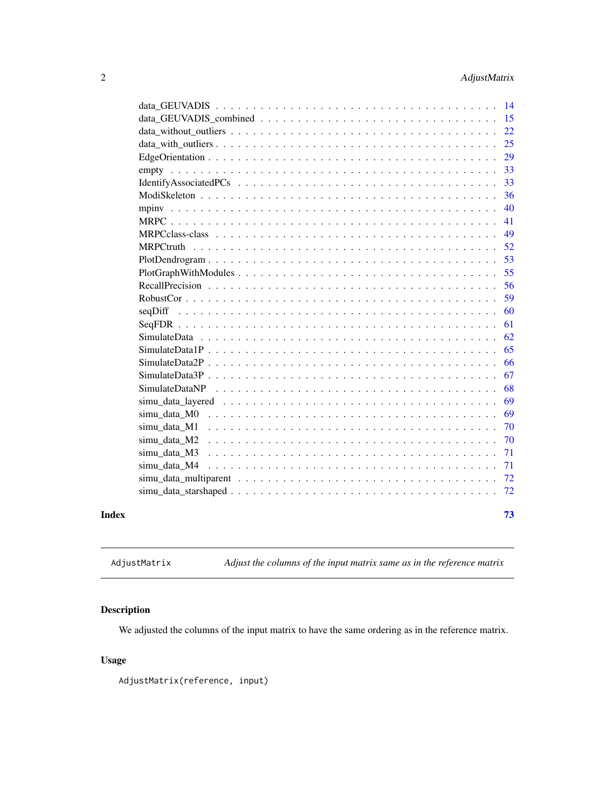<span id="page-1-0"></span>

|       |              | - 14 |
|-------|--------------|------|
|       |              | 15   |
|       |              | 22   |
|       |              | 25   |
|       |              | 29   |
|       |              | 33   |
|       |              | 33   |
|       |              | 36   |
|       | mpiny        | 40   |
|       |              | 41   |
|       |              | 49   |
|       |              | 52   |
|       |              | 53   |
|       |              | 55   |
|       |              | 56   |
|       |              | 59   |
|       |              | 60   |
|       |              | 61   |
|       |              | 62   |
|       |              | 65   |
|       |              | 66   |
|       |              | 67   |
|       |              | 68   |
|       |              | 69   |
|       | simu data M0 | 69   |
|       | simu_data_M1 | 70   |
|       | simu_data_M2 | 70   |
|       | simu data M3 | 71   |
|       | simu data M4 | 71   |
|       |              | 72   |
|       |              | 72   |
| Index |              | 73   |
|       |              |      |

AdjustMatrix *Adjust the columns of the input matrix same as in the reference matrix*

# Description

We adjusted the columns of the input matrix to have the same ordering as in the reference matrix.

# Usage

AdjustMatrix(reference, input)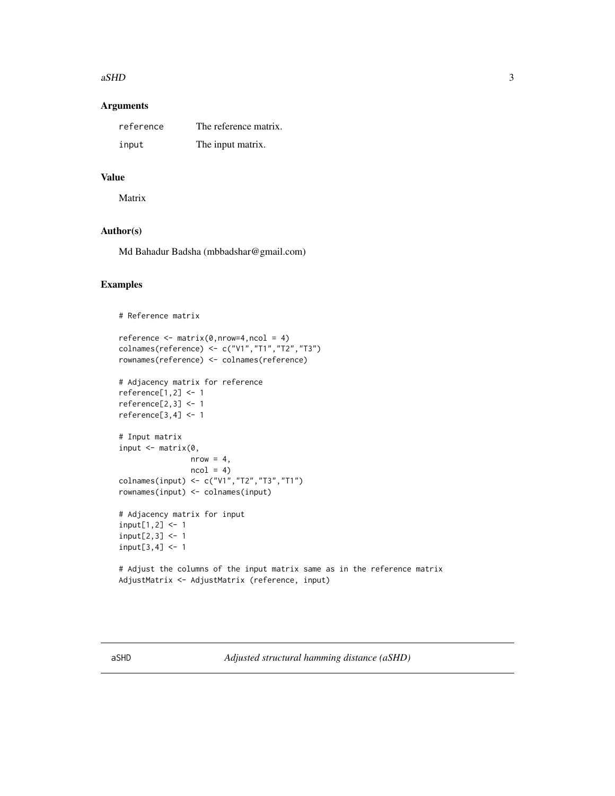#### <span id="page-2-0"></span> $aSHD$  3

# Arguments

| reference | The reference matrix. |
|-----------|-----------------------|
| input     | The input matrix.     |

# Value

Matrix

# Author(s)

Md Bahadur Badsha (mbbadshar@gmail.com)

# Examples

```
# Reference matrix
reference \leq matrix(0,nrow=4,ncol = 4)
colnames(reference) <- c("V1","T1","T2","T3")
rownames(reference) <- colnames(reference)
# Adjacency matrix for reference
reference[1,2] <- 1
reference[2,3] <- 1
reference[3,4] <- 1
# Input matrix
input \leq matrix(0,
                nrow = 4,
                ncol = 4colnames(input) <- c("V1","T2","T3","T1")
rownames(input) <- colnames(input)
# Adjacency matrix for input
input[1,2] < -1input[2,3] < -1input[3,4] <- 1
# Adjust the columns of the input matrix same as in the reference matrix
AdjustMatrix <- AdjustMatrix (reference, input)
```
aSHD *Adjusted structural hamming distance (aSHD)*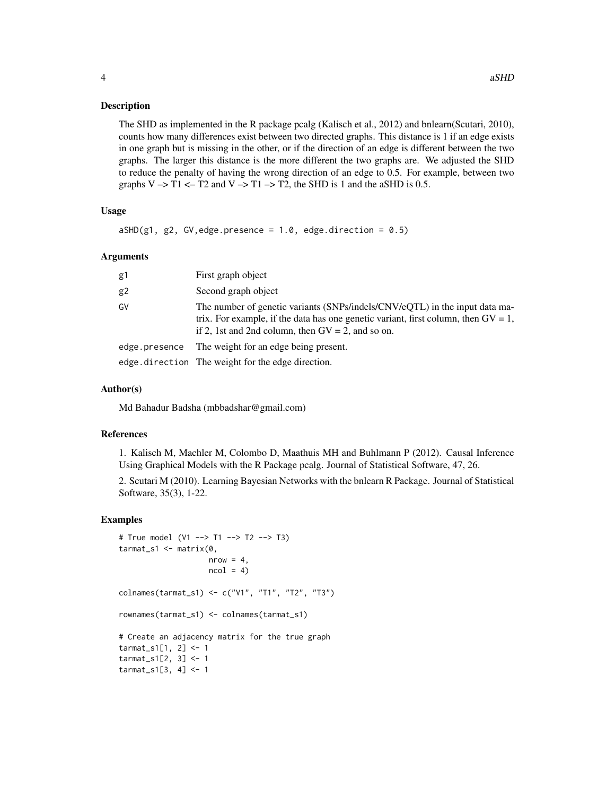#### Description

The SHD as implemented in the R package pcalg (Kalisch et al., 2012) and bnlearn(Scutari, 2010), counts how many differences exist between two directed graphs. This distance is 1 if an edge exists in one graph but is missing in the other, or if the direction of an edge is different between the two graphs. The larger this distance is the more different the two graphs are. We adjusted the SHD to reduce the penalty of having the wrong direction of an edge to 0.5. For example, between two graphs  $V \rightarrow T1 \leftarrow T2$  and  $V \rightarrow T1 \rightarrow T2$ , the SHD is 1 and the aSHD is 0.5.

#### Usage

```
aSHD(g1, g2, GV, edge. presence = 1.0, edge. direction = 0.5)
```
#### **Arguments**

| g1            | First graph object                                                                                                                                                                                                           |
|---------------|------------------------------------------------------------------------------------------------------------------------------------------------------------------------------------------------------------------------------|
| g2            | Second graph object                                                                                                                                                                                                          |
| G٧            | The number of genetic variants (SNPs/indels/CNV/eQTL) in the input data ma-<br>trix. For example, if the data has one genetic variant, first column, then $GV = 1$ ,<br>if 2, 1st and 2nd column, then $GV = 2$ , and so on. |
| edge.presence | The weight for an edge being present.                                                                                                                                                                                        |
|               | edge.direction The weight for the edge direction.                                                                                                                                                                            |

#### Author(s)

Md Bahadur Badsha (mbbadshar@gmail.com)

#### References

1. Kalisch M, Machler M, Colombo D, Maathuis MH and Buhlmann P (2012). Causal Inference Using Graphical Models with the R Package pcalg. Journal of Statistical Software, 47, 26.

2. Scutari M (2010). Learning Bayesian Networks with the bnlearn R Package. Journal of Statistical Software, 35(3), 1-22.

```
# True model (V1 --> T1 --> T2 --> T3)
\text{tarmat\_s1} \leq -\text{matrix}(0,nrow = 4,
                     ncol = 4)
colnames(tarmat_s1) <- c("V1", "T1", "T2", "T3")
rownames(tarmat_s1) <- colnames(tarmat_s1)
# Create an adjacency matrix for the true graph
tarmat_s1[1, 2] <- 1
tarmat_s1[2, 3] <- 1
tarmat_s1[3, 4] <- 1
```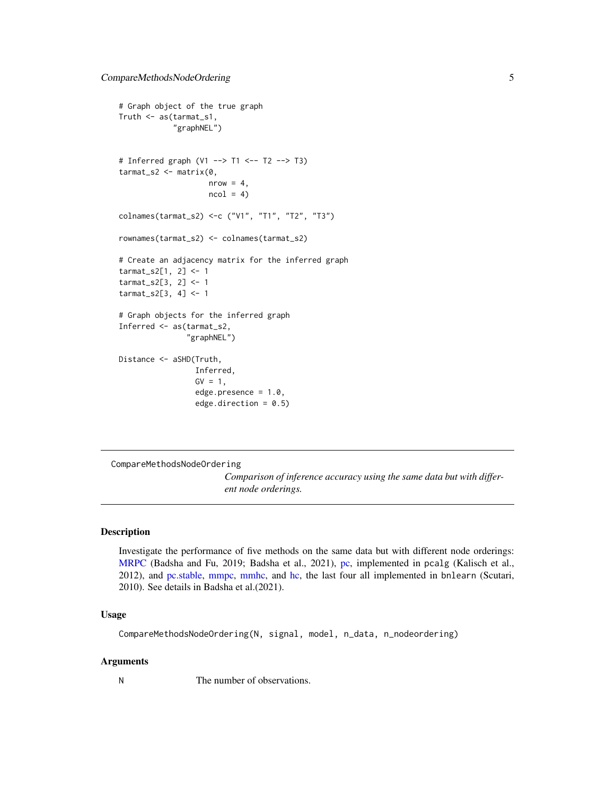```
# Graph object of the true graph
Truth <- as(tarmat_s1,
            "graphNEL")
# Inferred graph (V1 --> T1 <-- T2 --> T3)
tarmat_s2 <- matrix(0,
                    nrow = 4,
                    ncol = 4colnames(tarmat_s2) <-c ("V1", "T1", "T2", "T3")
rownames(tarmat_s2) <- colnames(tarmat_s2)
# Create an adjacency matrix for the inferred graph
tarmat_s2[1, 2] <- 1
tarmat_s2[3, 2] <- 1
tarmat_s2[3, 4] <- 1
# Graph objects for the inferred graph
Inferred <- as(tarmat_s2,
               "graphNEL")
Distance <- aSHD(Truth,
                 Inferred,
                 GV = 1,edge.presence = 1.0,
                 edge.direction = 0.5)
```
CompareMethodsNodeOrdering

*Comparison of inference accuracy using the same data but with different node orderings.*

#### Description

Investigate the performance of five methods on the same data but with different node orderings: [MRPC](#page-40-1) (Badsha and Fu, 2019; Badsha et al., 2021), [pc,](#page-0-0) implemented in pcalg (Kalisch et al., 2012), and [pc.stable,](#page-0-0) [mmpc,](#page-0-0) [mmhc,](#page-0-0) and [hc,](#page-0-0) the last four all implemented in bnlearn (Scutari, 2010). See details in Badsha et al.(2021).

# Usage

```
CompareMethodsNodeOrdering(N, signal, model, n_data, n_nodeordering)
```
#### Arguments

N The number of observations.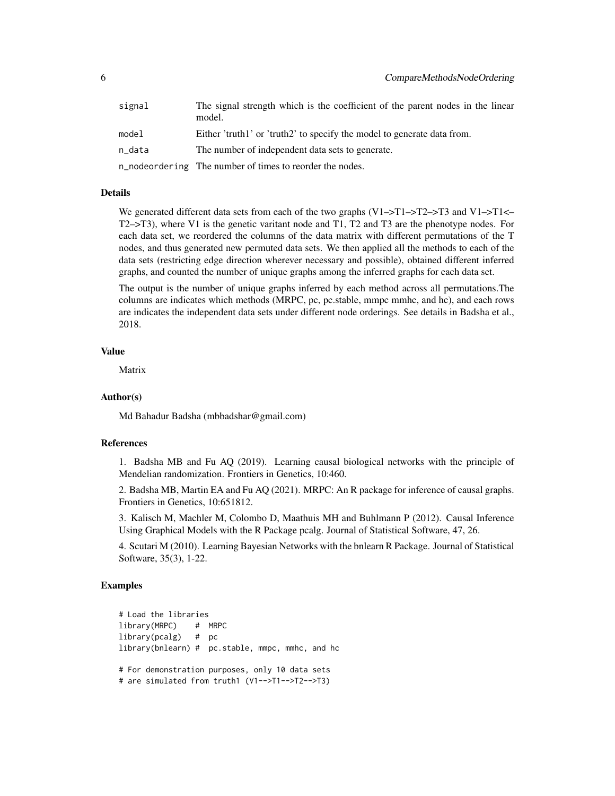| signal | The signal strength which is the coefficient of the parent nodes in the linear<br>model. |
|--------|------------------------------------------------------------------------------------------|
| model  | Either 'truth1' or 'truth2' to specify the model to generate data from.                  |
| n_data | The number of independent data sets to generate.                                         |
|        | n_nodeordering The number of times to reorder the nodes.                                 |

# Details

We generated different data sets from each of the two graphs  $(V1 - ST1 - ST2 - ST3$  and  $V1 - ST1 \leftarrow$ T2–>T3), where V1 is the genetic varitant node and T1, T2 and T3 are the phenotype nodes. For each data set, we reordered the columns of the data matrix with different permutations of the T nodes, and thus generated new permuted data sets. We then applied all the methods to each of the data sets (restricting edge direction wherever necessary and possible), obtained different inferred graphs, and counted the number of unique graphs among the inferred graphs for each data set.

The output is the number of unique graphs inferred by each method across all permutations.The columns are indicates which methods (MRPC, pc, pc.stable, mmpc mmhc, and hc), and each rows are indicates the independent data sets under different node orderings. See details in Badsha et al., 2018.

# Value

Matrix

#### Author(s)

Md Bahadur Badsha (mbbadshar@gmail.com)

#### References

1. Badsha MB and Fu AQ (2019). Learning causal biological networks with the principle of Mendelian randomization. Frontiers in Genetics, 10:460.

2. Badsha MB, Martin EA and Fu AQ (2021). MRPC: An R package for inference of causal graphs. Frontiers in Genetics, 10:651812.

3. Kalisch M, Machler M, Colombo D, Maathuis MH and Buhlmann P (2012). Causal Inference Using Graphical Models with the R Package pcalg. Journal of Statistical Software, 47, 26.

4. Scutari M (2010). Learning Bayesian Networks with the bnlearn R Package. Journal of Statistical Software, 35(3), 1-22.

```
# Load the libraries
library(MRPC) # MRPC
library(pcalg) # pc
library(bnlearn) # pc.stable, mmpc, mmhc, and hc
# For demonstration purposes, only 10 data sets
# are simulated from truth1 (V1-->T1-->T2-->T3)
```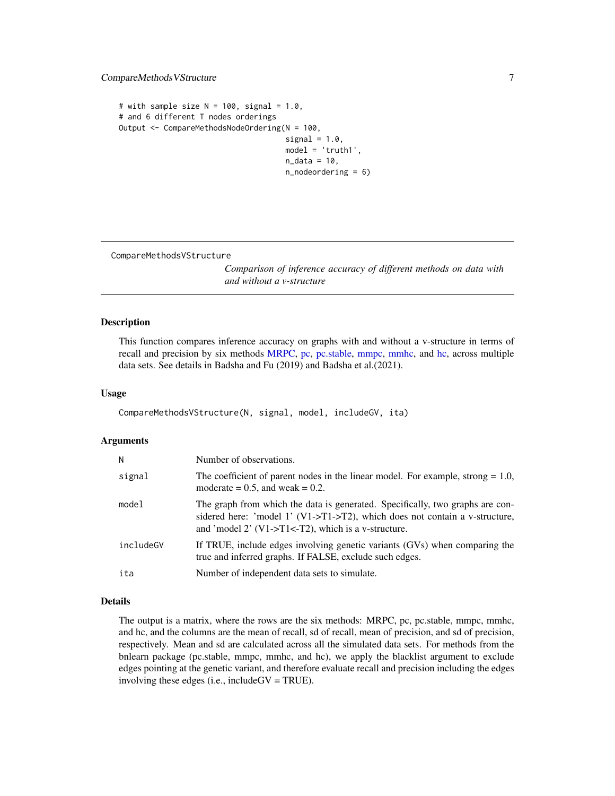# <span id="page-6-0"></span>CompareMethodsVStructure 7

```
# with sample size N = 100, signal = 1.0,
# and 6 different T nodes orderings
Output <- CompareMethodsNodeOrdering(N = 100,
                                     signal = 1.0,
                                     model = 'truth1',
                                     n\_data = 10,
                                     n_nodeordering = 6)
```
CompareMethodsVStructure

*Comparison of inference accuracy of different methods on data with and without a v-structure*

#### Description

This function compares inference accuracy on graphs with and without a v-structure in terms of recall and precision by six methods [MRPC,](#page-40-1) [pc,](#page-0-0) [pc.stable,](#page-0-0) [mmpc,](#page-0-0) [mmhc,](#page-0-0) and [hc,](#page-0-0) across multiple data sets. See details in Badsha and Fu (2019) and Badsha et al.(2021).

# Usage

```
CompareMethodsVStructure(N, signal, model, includeGV, ita)
```
#### Arguments

| N         | Number of observations.                                                                                                                                                                                                  |
|-----------|--------------------------------------------------------------------------------------------------------------------------------------------------------------------------------------------------------------------------|
| signal    | The coefficient of parent nodes in the linear model. For example, strong $= 1.0$ ,<br>moderate $= 0.5$ , and weak $= 0.2$ .                                                                                              |
| model     | The graph from which the data is generated. Specifically, two graphs are con-<br>sidered here: 'model 1' (V1->T1->T2), which does not contain a v-structure,<br>and 'model 2' $(V1 > T1 < T2)$ , which is a v-structure. |
| includeGV | If TRUE, include edges involving genetic variants (GVs) when comparing the<br>true and inferred graphs. If FALSE, exclude such edges.                                                                                    |
| ita       | Number of independent data sets to simulate.                                                                                                                                                                             |

#### Details

The output is a matrix, where the rows are the six methods: MRPC, pc, pc.stable, mmpc, mmhc, and hc, and the columns are the mean of recall, sd of recall, mean of precision, and sd of precision, respectively. Mean and sd are calculated across all the simulated data sets. For methods from the bnlearn package (pc.stable, mmpc, mmhc, and hc), we apply the blacklist argument to exclude edges pointing at the genetic variant, and therefore evaluate recall and precision including the edges involving these edges (i.e., includeGV = TRUE).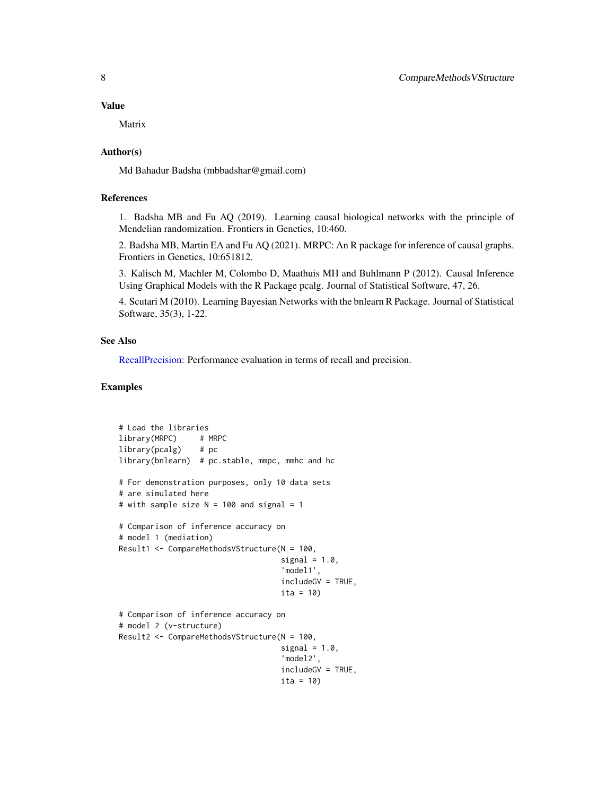#### Value

Matrix

#### Author(s)

Md Bahadur Badsha (mbbadshar@gmail.com)

# References

1. Badsha MB and Fu AQ (2019). Learning causal biological networks with the principle of Mendelian randomization. Frontiers in Genetics, 10:460.

2. Badsha MB, Martin EA and Fu AQ (2021). MRPC: An R package for inference of causal graphs. Frontiers in Genetics, 10:651812.

3. Kalisch M, Machler M, Colombo D, Maathuis MH and Buhlmann P (2012). Causal Inference Using Graphical Models with the R Package pcalg. Journal of Statistical Software, 47, 26.

4. Scutari M (2010). Learning Bayesian Networks with the bnlearn R Package. Journal of Statistical Software, 35(3), 1-22.

#### See Also

[RecallPrecision:](#page-55-1) Performance evaluation in terms of recall and precision.

```
# Load the libraries
library(MRPC) # MRPC
library(pcalg) # pc
library(bnlearn) # pc.stable, mmpc, mmhc and hc
# For demonstration purposes, only 10 data sets
# are simulated here
# with sample size N = 100 and signal = 1
# Comparison of inference accuracy on
# model 1 (mediation)
Result1 <- CompareMethodsVStructure(N = 100,
                                    signal = 1.0,
                                    'model1',
                                    includeGV = TRUE,
                                    ita = 10)
# Comparison of inference accuracy on
# model 2 (v-structure)
Result2 <- CompareMethodsVStructure(N = 100,
                                    signal = 1.0,
                                    'model2',
                                    includeGV = TRUE,
                                    ita = 10)
```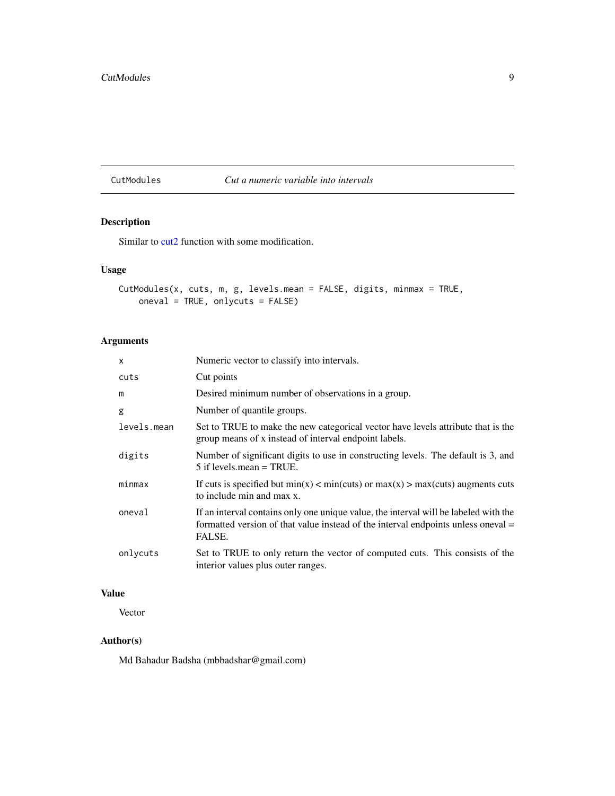#### <span id="page-8-0"></span>CutModules *Cut a numeric variable into intervals*

# Description

Similar to [cut2](#page-0-0) function with some modification.

# Usage

```
CutModules(x, cuts, m, g, levels.mean = FALSE, digits, minmax = TRUE,
   oneval = TRUE, onlycuts = FALSE)
```
# Arguments

| $\mathsf{x}$ | Numeric vector to classify into intervals.                                                                                                                                          |
|--------------|-------------------------------------------------------------------------------------------------------------------------------------------------------------------------------------|
| cuts         | Cut points                                                                                                                                                                          |
| m            | Desired minimum number of observations in a group.                                                                                                                                  |
| g            | Number of quantile groups.                                                                                                                                                          |
| levels.mean  | Set to TRUE to make the new categorical vector have levels attribute that is the<br>group means of x instead of interval endpoint labels.                                           |
| digits       | Number of significant digits to use in constructing levels. The default is 3, and<br>$5$ if levels. mean = TRUE.                                                                    |
| minmax       | If cuts is specified but $min(x) < min(cuts)$ or $max(x) > max(cuts)$ augments cuts<br>to include min and max x.                                                                    |
| oneval       | If an interval contains only one unique value, the interval will be labeled with the<br>formatted version of that value instead of the interval endpoints unless oneval =<br>FALSE. |
| onlycuts     | Set to TRUE to only return the vector of computed cuts. This consists of the<br>interior values plus outer ranges.                                                                  |

# Value

Vector

# Author(s)

Md Bahadur Badsha (mbbadshar@gmail.com)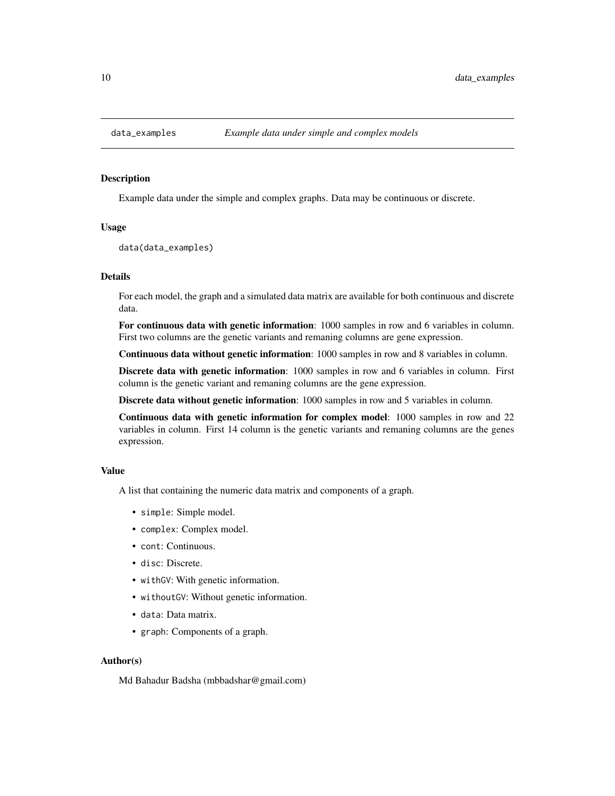<span id="page-9-0"></span>

#### Description

Example data under the simple and complex graphs. Data may be continuous or discrete.

#### Usage

data(data\_examples)

# Details

For each model, the graph and a simulated data matrix are available for both continuous and discrete data.

For continuous data with genetic information: 1000 samples in row and 6 variables in column. First two columns are the genetic variants and remaning columns are gene expression.

Continuous data without genetic information: 1000 samples in row and 8 variables in column.

Discrete data with genetic information: 1000 samples in row and 6 variables in column. First column is the genetic variant and remaning columns are the gene expression.

Discrete data without genetic information: 1000 samples in row and 5 variables in column.

Continuous data with genetic information for complex model: 1000 samples in row and 22 variables in column. First 14 column is the genetic variants and remaning columns are the genes expression.

# Value

A list that containing the numeric data matrix and components of a graph.

- simple: Simple model.
- complex: Complex model.
- cont: Continuous.
- disc: Discrete.
- withGV: With genetic information.
- withoutGV: Without genetic information.
- data: Data matrix.
- graph: Components of a graph.

#### Author(s)

Md Bahadur Badsha (mbbadshar@gmail.com)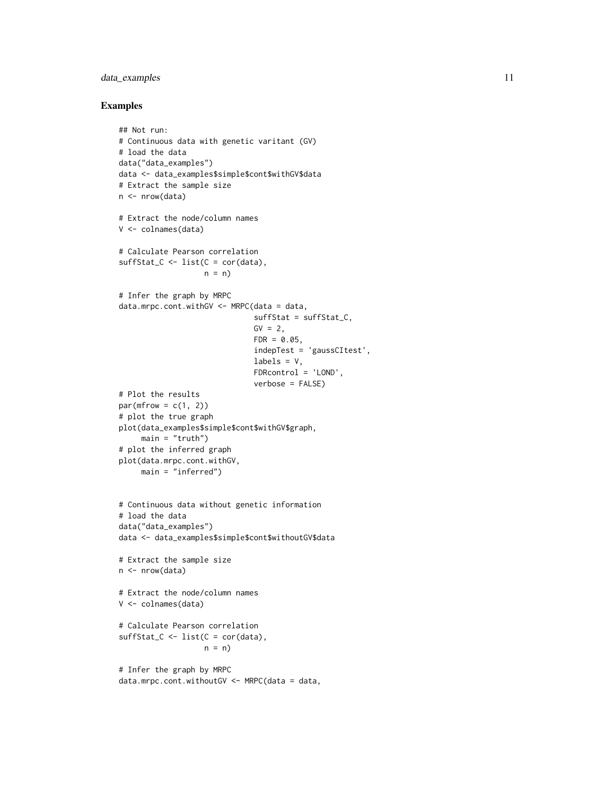# data\_examples 11

```
## Not run:
# Continuous data with genetic varitant (GV)
# load the data
data("data_examples")
data <- data_examples$simple$cont$withGV$data
# Extract the sample size
n <- nrow(data)
# Extract the node/column names
V <- colnames(data)
# Calculate Pearson correlation
sufficient_C \leftarrow list(C = cor(data),n = n# Infer the graph by MRPC
data.mrpc.cont.withGV <- MRPC(data = data,
                              suffStat = suffStat_C,
                              GV = 2,FDR = 0.05,
                              indepTest = 'gaussCItest',
                              labels = V,
                              FDRcontrol = 'LOND',
                              verbose = FALSE)
# Plot the results
par(mfrow = c(1, 2))# plot the true graph
plot(data_examples$simple$cont$withGV$graph,
     main = "truth")# plot the inferred graph
plot(data.mrpc.cont.withGV,
    main = "inferred")
# Continuous data without genetic information
# load the data
data("data_examples")
data <- data_examples$simple$cont$withoutGV$data
# Extract the sample size
n <- nrow(data)
# Extract the node/column names
V <- colnames(data)
# Calculate Pearson correlation
suffStat_C <- list(C = cor(data),
                   n = n# Infer the graph by MRPC
data.mrpc.cont.withoutGV <- MRPC(data = data,
```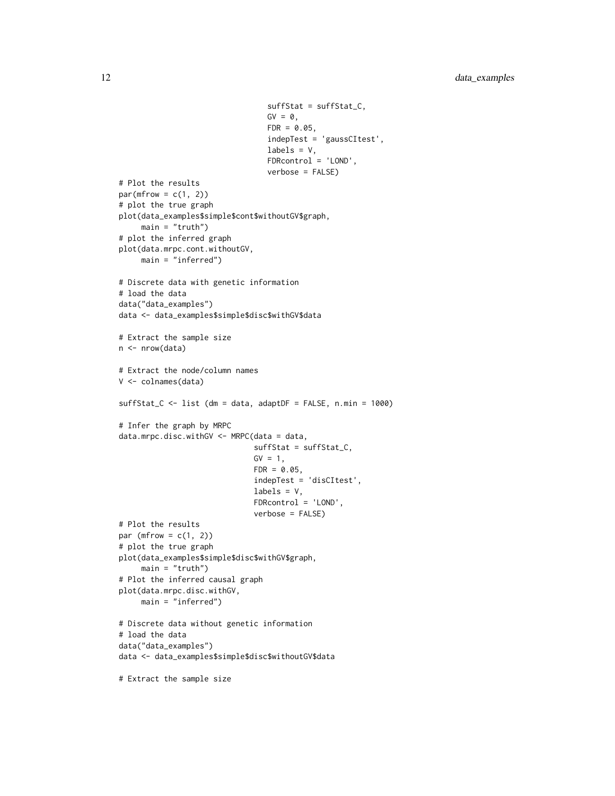```
suffStat = suffStat_C,
                                 GV = 0,FDR = 0.05,
                                 indepTest = 'gaussCItest',
                                 labels = V,
                                 FDRcontrol = 'LOND',
                                 verbose = FALSE)
# Plot the results
par(mfrow = c(1, 2))# plot the true graph
plot(data_examples$simple$cont$withoutGV$graph,
     main = "truth")# plot the inferred graph
plot(data.mrpc.cont.withoutGV,
     main = "inferred")
# Discrete data with genetic information
# load the data
data("data_examples")
data <- data_examples$simple$disc$withGV$data
# Extract the sample size
n <- nrow(data)
# Extract the node/column names
V <- colnames(data)
suffStat_C <- list (dm = data, adaptDF = FALSE, n.min = 1000)
# Infer the graph by MRPC
data.mrpc.disc.withGV <- MRPC(data = data,
                              suffStat = suffStat_C,
                              GV = 1,FDR = 0.05,
                              indepTest = 'disCItest',
                              labels = V,
                              FDRcontrol = 'LOND',
                              verbose = FALSE)
# Plot the results
par (mfrow = c(1, 2))
# plot the true graph
plot(data_examples$simple$disc$withGV$graph,
     main = "truth")# Plot the inferred causal graph
plot(data.mrpc.disc.withGV,
     main = "inferred")
# Discrete data without genetic information
# load the data
data("data_examples")
data <- data_examples$simple$disc$withoutGV$data
# Extract the sample size
```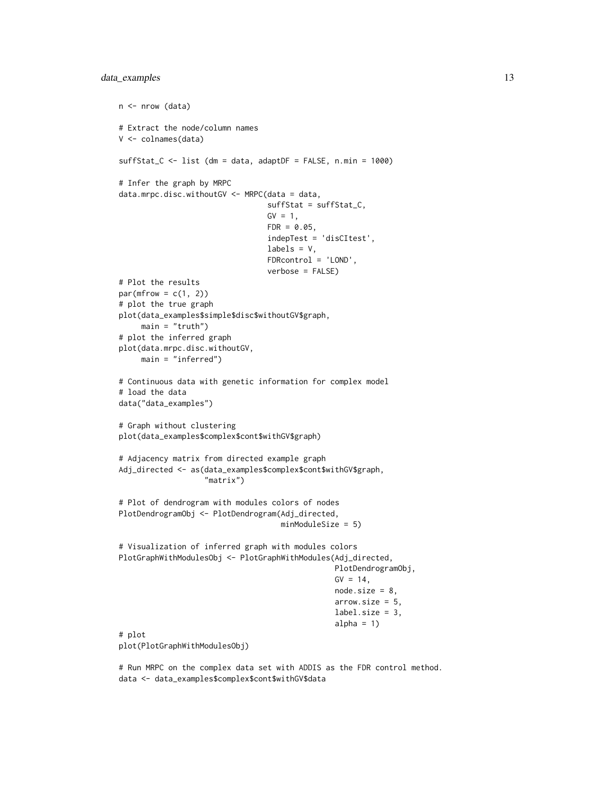# data\_examples 13

```
n <- nrow (data)
# Extract the node/column names
V <- colnames(data)
suffStat_C <- list (dm = data, adaptDF = FALSE, n.min = 1000)
# Infer the graph by MRPC
data.mrpc.disc.withoutGV <- MRPC(data = data,
                                 suffStat = suffStat_C,
                                 GV = 1,FDR = 0.05,
                                 indepTest = 'disCItest',
                                 labels = V,FDRcontrol = 'LOND',
                                 verbose = FALSE)
# Plot the results
par(mfrow = c(1, 2))# plot the true graph
plot(data_examples$simple$disc$withoutGV$graph,
     main = "truth")# plot the inferred graph
plot(data.mrpc.disc.withoutGV,
     main = "inferred")
# Continuous data with genetic information for complex model
# load the data
data("data_examples")
# Graph without clustering
plot(data_examples$complex$cont$withGV$graph)
# Adjacency matrix from directed example graph
Adj_directed <- as(data_examples$complex$cont$withGV$graph,
                   "matrix")
# Plot of dendrogram with modules colors of nodes
PlotDendrogramObj <- PlotDendrogram(Adj_directed,
                                    minModuleSize = 5)
# Visualization of inferred graph with modules colors
PlotGraphWithModulesObj <- PlotGraphWithModules(Adj_directed,
                                                PlotDendrogramObj,
                                                GV = 14,node.size = 8,
                                                arrow.size = 5,
                                                label.size = 3,
                                                alpha = 1)
# plot
plot(PlotGraphWithModulesObj)
```
# Run MRPC on the complex data set with ADDIS as the FDR control method. data <- data\_examples\$complex\$cont\$withGV\$data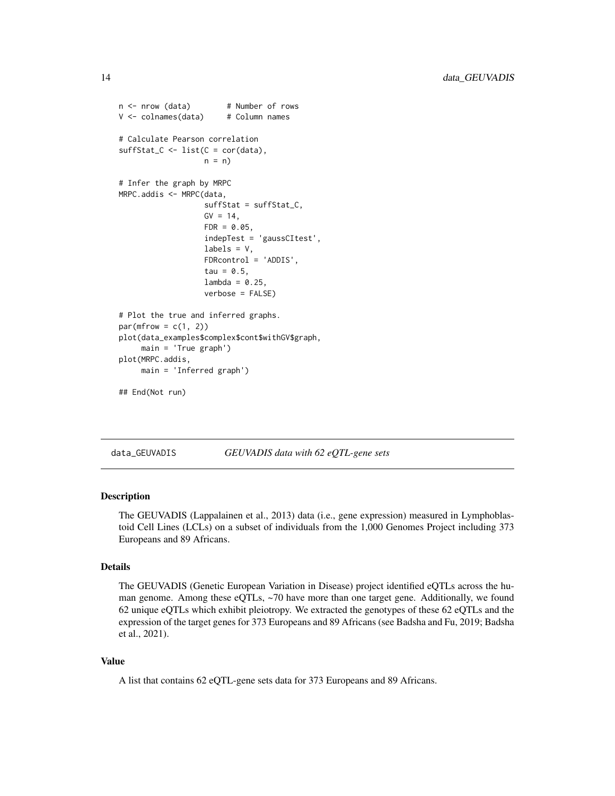```
n <- nrow (data) # Number of rows
V \le -\text{columns}(data) # Column names
# Calculate Pearson correlation
sufficient_C \leftarrow list(C = cor(data),n = n# Infer the graph by MRPC
MRPC.addis <- MRPC(data,
                   suffStat = suffStat_C,
                   GV = 14,FDR = 0.05,
                   indepTest = 'gaussCItest',
                   labels = V,
                   FDRcontrol = 'ADDIS',
                   tau = 0.5,
                   lambda = 0.25,
                   verbose = FALSE)
# Plot the true and inferred graphs.
par(mfrow = c(1, 2))plot(data_examples$complex$cont$withGV$graph,
     main = 'True graph')
plot(MRPC.addis,
    main = 'Inferred graph')
## End(Not run)
```
<span id="page-13-1"></span>

data\_GEUVADIS *GEUVADIS data with 62 eQTL-gene sets*

# Description

The GEUVADIS (Lappalainen et al., 2013) data (i.e., gene expression) measured in Lymphoblastoid Cell Lines (LCLs) on a subset of individuals from the 1,000 Genomes Project including 373 Europeans and 89 Africans.

#### Details

The GEUVADIS (Genetic European Variation in Disease) project identified eQTLs across the human genome. Among these eQTLs, ~70 have more than one target gene. Additionally, we found 62 unique eQTLs which exhibit pleiotropy. We extracted the genotypes of these 62 eQTLs and the expression of the target genes for 373 Europeans and 89 Africans (see Badsha and Fu, 2019; Badsha et al., 2021).

#### Value

A list that contains 62 eQTL-gene sets data for 373 Europeans and 89 Africans.

<span id="page-13-0"></span>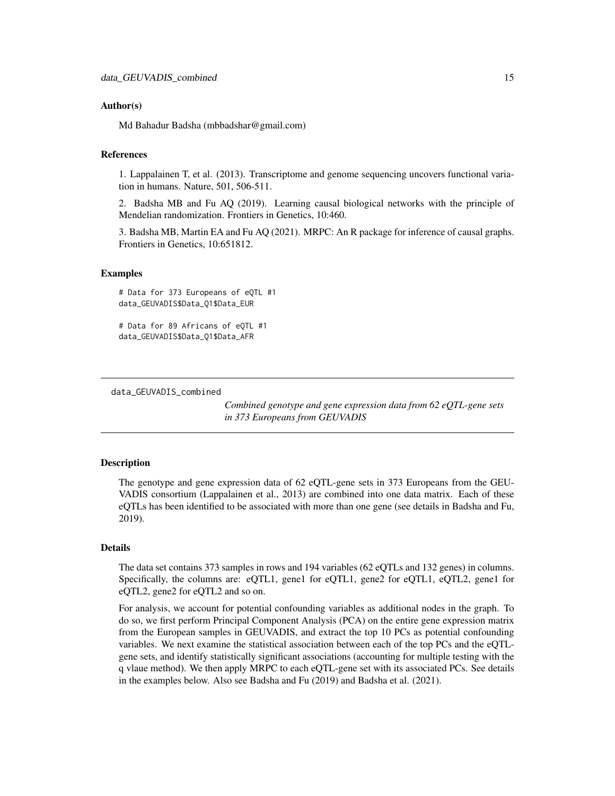#### <span id="page-14-0"></span>Author(s)

Md Bahadur Badsha (mbbadshar@gmail.com)

# References

1. Lappalainen T, et al. (2013). Transcriptome and genome sequencing uncovers functional variation in humans. Nature, 501, 506-511.

2. Badsha MB and Fu AQ (2019). Learning causal biological networks with the principle of Mendelian randomization. Frontiers in Genetics, 10:460.

3. Badsha MB, Martin EA and Fu AQ (2021). MRPC: An R package for inference of causal graphs. Frontiers in Genetics, 10:651812.

#### Examples

# Data for 373 Europeans of eQTL #1 data\_GEUVADIS\$Data\_Q1\$Data\_EUR

# Data for 89 Africans of eQTL #1 data\_GEUVADIS\$Data\_Q1\$Data\_AFR

<span id="page-14-1"></span>data\_GEUVADIS\_combined

*Combined genotype and gene expression data from 62 eQTL-gene sets in 373 Europeans from GEUVADIS*

#### Description

The genotype and gene expression data of 62 eQTL-gene sets in 373 Europeans from the GEU-VADIS consortium (Lappalainen et al., 2013) are combined into one data matrix. Each of these eQTLs has been identified to be associated with more than one gene (see details in Badsha and Fu, 2019).

# Details

The data set contains 373 samples in rows and 194 variables (62 eQTLs and 132 genes) in columns. Specifically, the columns are: eQTL1, gene1 for eQTL1, gene2 for eQTL1, eQTL2, gene1 for eQTL2, gene2 for eQTL2 and so on.

For analysis, we account for potential confounding variables as additional nodes in the graph. To do so, we first perform Principal Component Analysis (PCA) on the entire gene expression matrix from the European samples in GEUVADIS, and extract the top 10 PCs as potential confounding variables. We next examine the statistical association between each of the top PCs and the eQTLgene sets, and identify statistically significant associations (accounting for multiple testing with the q vlaue method). We then apply MRPC to each eQTL-gene set with its associated PCs. See details in the examples below. Also see Badsha and Fu (2019) and Badsha et al. (2021).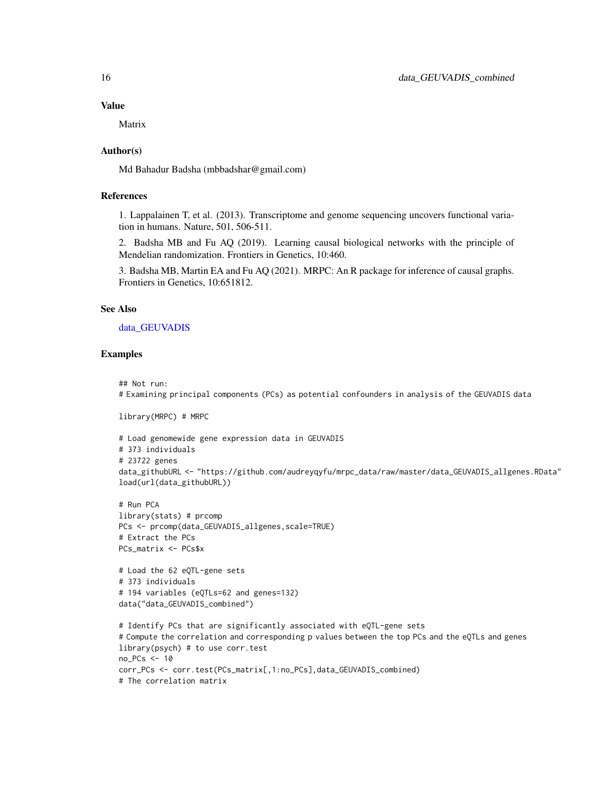Matrix

#### Author(s)

Md Bahadur Badsha (mbbadshar@gmail.com)

# References

1. Lappalainen T, et al. (2013). Transcriptome and genome sequencing uncovers functional variation in humans. Nature, 501, 506-511.

2. Badsha MB and Fu AQ (2019). Learning causal biological networks with the principle of Mendelian randomization. Frontiers in Genetics, 10:460.

3. Badsha MB, Martin EA and Fu AQ (2021). MRPC: An R package for inference of causal graphs. Frontiers in Genetics, 10:651812.

# See Also

[data\\_GEUVADIS](#page-13-1)

#### Examples

```
## Not run:
# Examining principal components (PCs) as potential confounders in analysis of the GEUVADIS data
```
library(MRPC) # MRPC

```
# Load genomewide gene expression data in GEUVADIS
# 373 individuals
# 23722 genes
data_githubURL <- "https://github.com/audreyqyfu/mrpc_data/raw/master/data_GEUVADIS_allgenes.RData"
load(url(data_githubURL))
```

```
# Run PCA
library(stats) # prcomp
PCs <- prcomp(data_GEUVADIS_allgenes,scale=TRUE)
# Extract the PCs
PCs_matrix <- PCs$x
```

```
# Load the 62 eQTL-gene sets
# 373 individuals
# 194 variables (eQTLs=62 and genes=132)
data("data_GEUVADIS_combined")
```

```
# Identify PCs that are significantly associated with eQTL-gene sets
# Compute the correlation and corresponding p values between the top PCs and the eQTLs and genes
library(psych) # to use corr.test
no_PCs <- 10
corr_PCs <- corr.test(PCs_matrix[,1:no_PCs],data_GEUVADIS_combined)
# The correlation matrix
```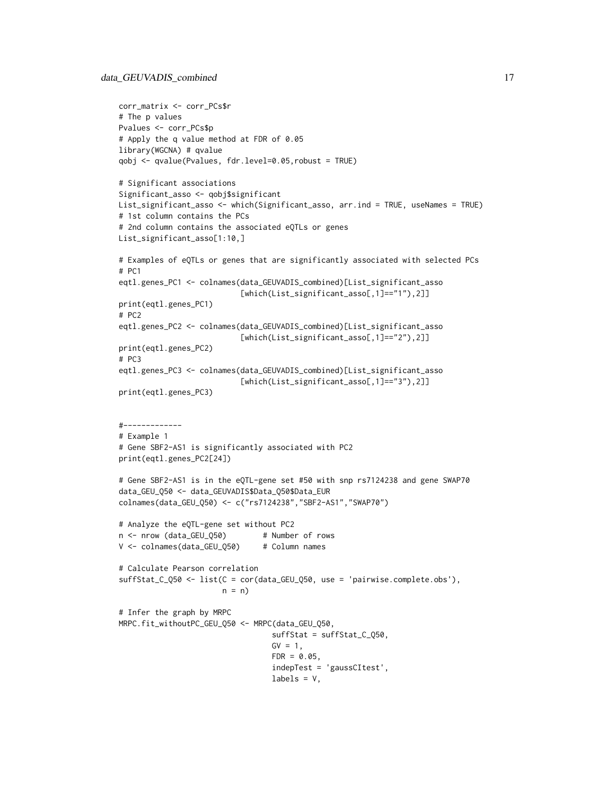```
corr_matrix <- corr_PCs$r
# The p values
Pvalues <- corr_PCs$p
# Apply the q value method at FDR of 0.05
library(WGCNA) # qvalue
qobj <- qvalue(Pvalues, fdr.level=0.05,robust = TRUE)
# Significant associations
Significant_asso <- qobj$significant
List_significant_asso <- which(Significant_asso, arr.ind = TRUE, useNames = TRUE)
# 1st column contains the PCs
# 2nd column contains the associated eQTLs or genes
List_significant_asso[1:10,]
# Examples of eQTLs or genes that are significantly associated with selected PCs
# PC1
eqtl.genes_PC1 <- colnames(data_GEUVADIS_combined)[List_significant_asso
                           [which(List_significant_asso[,1]=="1"),2]]
print(eqtl.genes_PC1)
# PC2
eqtl.genes_PC2 <- colnames(data_GEUVADIS_combined)[List_significant_asso
                           [which(List_significant_asso[,1]=="2"),2]]
print(eqtl.genes_PC2)
# PC3
eqtl.genes_PC3 <- colnames(data_GEUVADIS_combined)[List_significant_asso
                           [which(List_significant_asso[,1]=="3"),2]]
print(eqtl.genes_PC3)
#-------------
# Example 1
# Gene SBF2-AS1 is significantly associated with PC2
print(eqtl.genes_PC2[24])
# Gene SBF2-AS1 is in the eQTL-gene set #50 with snp rs7124238 and gene SWAP70
data_GEU_Q50 <- data_GEUVADIS$Data_Q50$Data_EUR
colnames(data_GEU_Q50) <- c("rs7124238","SBF2-AS1","SWAP70")
# Analyze the eQTL-gene set without PC2
n <- nrow (data_GEU_Q50) # Number of rows
V <- colnames(data_GEU_Q50) # Column names
# Calculate Pearson correlation
suffStat_C_Q50 <- list(C = cor(data_GEU_Q50, use = 'pairwise.complete.obs'),
                       n = n)
# Infer the graph by MRPC
MRPC.fit_withoutPC_GEU_Q50 <- MRPC(data_GEU_Q50,
                                  suffStat = suffStat_C_Q50,
                                  GV = 1,FDR = 0.05,
                                  indepTest = 'gaussCItest',
                                  labels = V,
```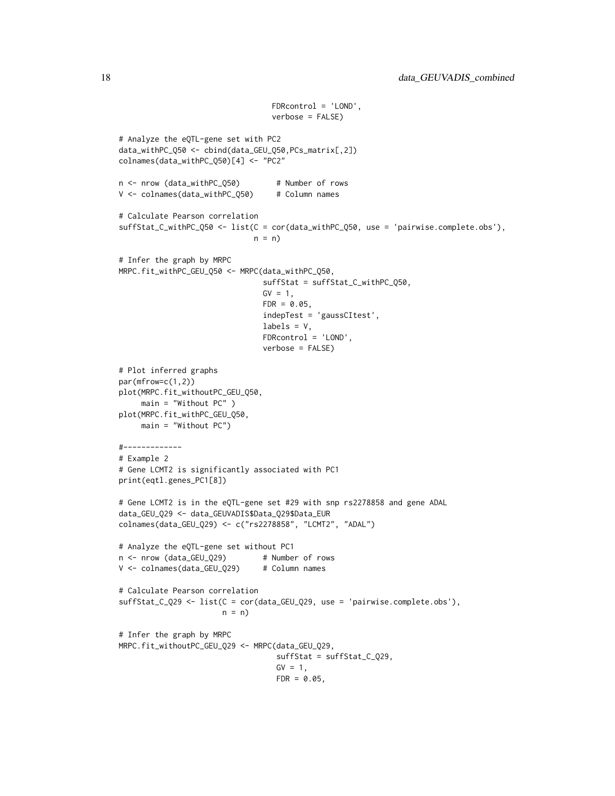```
FDRcontrol = 'LOND',
                                  verbose = FALSE)
# Analyze the eQTL-gene set with PC2
data_withPC_Q50 <- cbind(data_GEU_Q50,PCs_matrix[,2])
colnames(data_withPC_Q50)[4] <- "PC2"
n <- nrow (data_withPC_Q50) # Number of rows
V <- colnames(data_withPC_Q50) # Column names
# Calculate Pearson correlation
suffStat_C_withPC_Q50 <- list(C = cor(data_withPC_Q50, use = 'pairwise.complete.obs'),
                             n = n# Infer the graph by MRPC
MRPC.fit_withPC_GEU_Q50 <- MRPC(data_withPC_Q50,
                               suffStat = suffStat_C_withPC_Q50,
                               GV = 1,FDR = 0.05,
                                indepTest = 'gaussCItest',
                                labels = V,
                                FDRcontrol = 'LOND',
                                verbose = FALSE)
# Plot inferred graphs
par(mfrow=c(1,2))
plot(MRPC.fit_withoutPC_GEU_Q50,
     main = "Without PC" )
plot(MRPC.fit_withPC_GEU_Q50,
    main = "Without PC")
#-------------
# Example 2
# Gene LCMT2 is significantly associated with PC1
print(eqtl.genes_PC1[8])
# Gene LCMT2 is in the eQTL-gene set #29 with snp rs2278858 and gene ADAL
data_GEU_Q29 <- data_GEUVADIS$Data_Q29$Data_EUR
colnames(data_GEU_Q29) <- c("rs2278858", "LCMT2", "ADAL")
# Analyze the eQTL-gene set without PC1
n <- nrow (data_GEU_Q29) # Number of rows
V <- colnames(data_GEU_Q29) # Column names
# Calculate Pearson correlation
suffStat_C_Q29 <- list(C = cor(data_GEU_Q29, use = 'pairwise.complete.obs'),
                       n = n)
# Infer the graph by MRPC
MRPC.fit_withoutPC_GEU_Q29 <- MRPC(data_GEU_Q29,
                                   suffStat = suffStat_C_Q29,
                                   GV = 1,FDR = 0.05,
```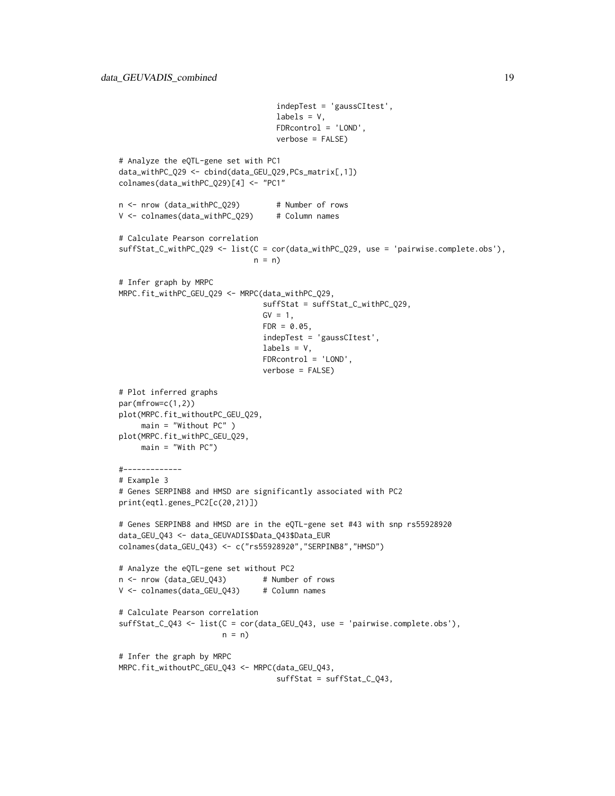```
indepTest = 'gaussCItest',
                                  labels = V,
                                  FDRcontrol = 'LOND',
                                  verbose = FALSE)
# Analyze the eQTL-gene set with PC1
data_withPC_Q29 <- cbind(data_GEU_Q29,PCs_matrix[,1])
colnames(data_withPC_Q29)[4] <- "PC1"
n <- nrow (data_withPC_Q29) # Number of rows
V <- colnames(data_withPC_Q29) # Column names
# Calculate Pearson correlation
suffStat_C_withPC_Q29 <- list(C = cor(data_withPC_Q29, use = 'pairwise.complete.obs'),
                             n = n# Infer graph by MRPC
MRPC.fit_withPC_GEU_Q29 <- MRPC(data_withPC_Q29,
                               suffStat = suffStat_C_withPC_Q29,
                               GV = 1,FDR = 0.05,
                               indepTest = 'gaussCItest',
                               labels = V,
                               FDRcontrol = 'LOND',
                               verbose = FALSE)
# Plot inferred graphs
par(mfrow=c(1,2))
plot(MRPC.fit_withoutPC_GEU_Q29,
    main = "Without PC" )
plot(MRPC.fit_withPC_GEU_Q29,
    main = "With PC")#-------------
# Example 3
# Genes SERPINB8 and HMSD are significantly associated with PC2
print(eqtl.genes_PC2[c(20,21)])
# Genes SERPINB8 and HMSD are in the eQTL-gene set #43 with snp rs55928920
data_GEU_Q43 <- data_GEUVADIS$Data_Q43$Data_EUR
colnames(data_GEU_Q43) <- c("rs55928920","SERPINB8","HMSD")
# Analyze the eQTL-gene set without PC2
n <- nrow (data_GEU_Q43) # Number of rows
V <- colnames(data_GEU_Q43) # Column names
# Calculate Pearson correlation
suffStat_C_Q43 <- list(C = cor(data_GEU_Q43, use = 'pairwise.complete.obs'),
                      n = n)
# Infer the graph by MRPC
MRPC.fit_withoutPC_GEU_Q43 <- MRPC(data_GEU_Q43,
                                  suffStat = suffStat_C_Q43,
```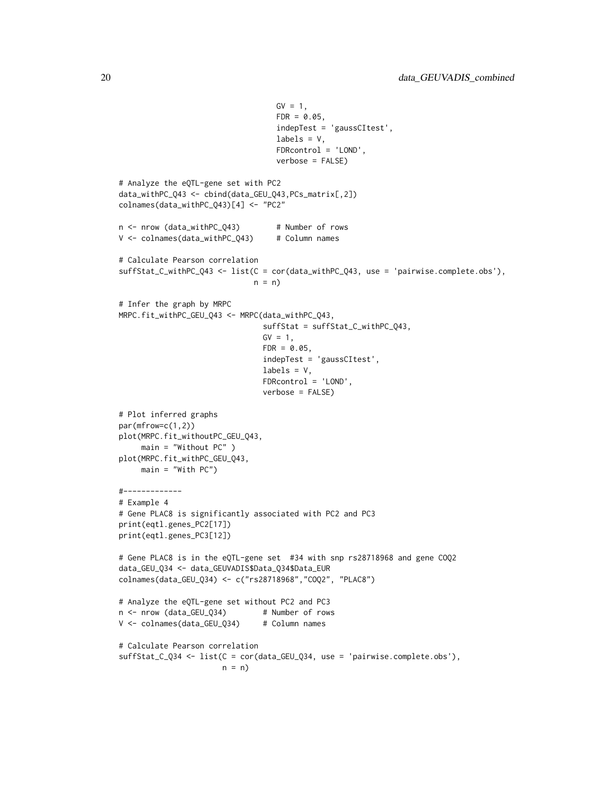```
GV = 1,FDR = 0.05,
                                  indepTest = 'gaussCItest',
                                  labels = V,
                                  FDRcontrol = 'LOND',
                                  verbose = FALSE)
# Analyze the eQTL-gene set with PC2
data_withPC_Q43 <- cbind(data_GEU_Q43,PCs_matrix[,2])
colnames(data_withPC_Q43)[4] <- "PC2"
n <- nrow (data_withPC_Q43) # Number of rows
V <- colnames(data_withPC_Q43) # Column names
# Calculate Pearson correlation
suffStat_C_withPC_Q43 <- list(C = cor(data_withPC_Q43, use = 'pairwise.complete.obs'),
                             n = n# Infer the graph by MRPC
MRPC.fit_withPC_GEU_Q43 <- MRPC(data_withPC_Q43,
                               suffStat = suffStat_C_withPC_Q43,
                               GV = 1,FDR = 0.05,
                               indepTest = 'gaussCItest',
                               labels = V,
                               FDRcontrol = 'LOND',
                               verbose = FALSE)
# Plot inferred graphs
par(mfrow=c(1,2))
plot(MRPC.fit_withoutPC_GEU_Q43,
    main = "Without PC" )
plot(MRPC.fit_withPC_GEU_Q43,
    main = "With PC")#-------------
# Example 4
# Gene PLAC8 is significantly associated with PC2 and PC3
print(eqtl.genes_PC2[17])
print(eqtl.genes_PC3[12])
# Gene PLAC8 is in the eQTL-gene set #34 with snp rs28718968 and gene COQ2
data_GEU_Q34 <- data_GEUVADIS$Data_Q34$Data_EUR
colnames(data_GEU_Q34) <- c("rs28718968","COQ2", "PLAC8")
# Analyze the eQTL-gene set without PC2 and PC3
n <- nrow (data_GEU_Q34) # Number of rows
V <- colnames(data_GEU_Q34) # Column names
# Calculate Pearson correlation
suffStat_C_Q34 <- list(C = cor(data_GEU_Q34, use = 'pairwise.complete.obs'),
                      n = n)
```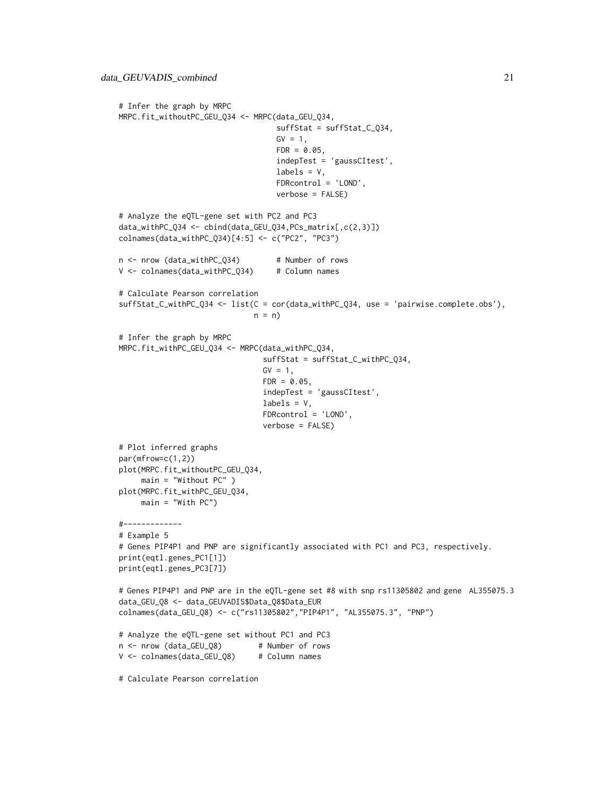```
# Infer the graph by MRPC
MRPC.fit_withoutPC_GEU_Q34 <- MRPC(data_GEU_Q34,
                                   suffStat = suffStat_C_Q34,
                                   GV = 1,
                                   FDR = 0.05,
                                   indepTest = 'gaussCItest',
                                   labels = V,
                                   FDRcontrol = 'LOND',
                                   verbose = FALSE)
# Analyze the eQTL-gene set with PC2 and PC3
data_withPC_Q34 <- cbind(data_GEU_Q34,PCs_matrix[,c(2,3)])
colnames(data_withPC_Q34)[4:5] <- c("PC2", "PC3")
n <- nrow (data_withPC_Q34) # Number of rows
V <- colnames(data_withPC_Q34) # Column names
# Calculate Pearson correlation
suffStat_C_withPC_Q34 <- list(C = cor(data_withPC_Q34, use = 'pairwise.complete.obs'),
                             n = n)
# Infer the graph by MRPC
MRPC.fit_withPC_GEU_Q34 <- MRPC(data_withPC_Q34,
                               suffStat = suffStat_C_withPC_Q34,
                               GV = 1,FDR = 0.05,
                                indepTest = 'gaussCItest',
                                labels = V,
                               FDRcontrol = 'LOND',
                               verbose = FALSE)
# Plot inferred graphs
par(mfrow=c(1,2))
plot(MRPC.fit_withoutPC_GEU_Q34,
     main = "Without PC" )
plot(MRPC.fit_withPC_GEU_Q34,
    main = "With PC")#-------------
# Example 5
# Genes PIP4P1 and PNP are significantly associated with PC1 and PC3, respectively.
print(eqtl.genes_PC1[1])
print(eqtl.genes_PC3[7])
# Genes PIP4P1 and PNP are in the eQTL-gene set #8 with snp rs11305802 and gene AL355075.3
data_GEU_Q8 <- data_GEUVADIS$Data_Q8$Data_EUR
colnames(data_GEU_Q8) <- c("rs11305802","PIP4P1", "AL355075.3", "PNP")
# Analyze the eQTL-gene set without PC1 and PC3
n <- nrow (data_GEU_Q8) # Number of rows
V <- colnames(data_GEU_Q8) # Column names
# Calculate Pearson correlation
```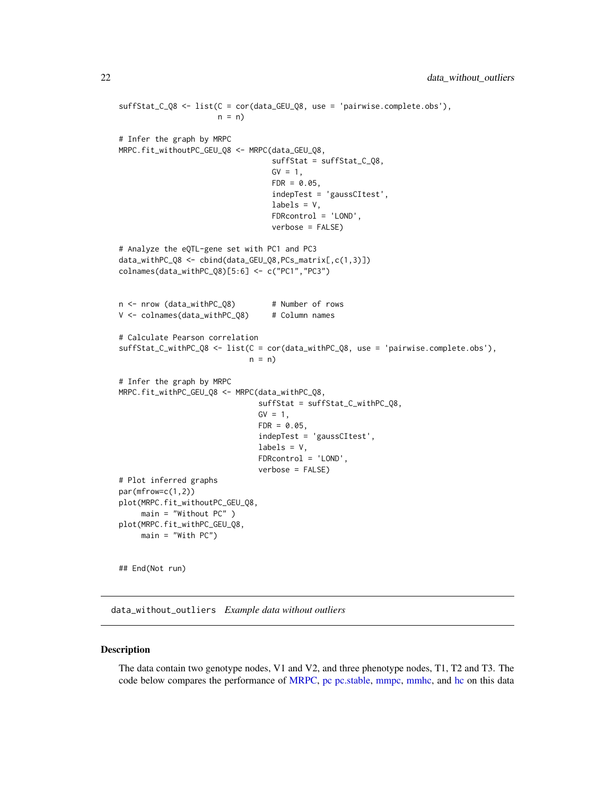```
suffStat_C_Q8 <- list(C = cor(data_GEU_Q8, use = 'pairwise.complete.obs'),
                      n = n)
# Infer the graph by MRPC
MRPC.fit_withoutPC_GEU_Q8 <- MRPC(data_GEU_Q8,
                                  suffStat = suffStat_C_Q8,
                                  GV = 1,FDR = 0.05,
                                  indepTest = 'gaussCItest',
                                  labels = V,
                                  FDRcontrol = 'LOND',
                                  verbose = FALSE)
# Analyze the eQTL-gene set with PC1 and PC3
data_withPC_Q8 <- cbind(data_GEU_Q8,PCs_matrix[,c(1,3)])
colnames(data_withPC_Q8)[5:6] <- c("PC1","PC3")
n <- nrow (data_withPC_Q8) # Number of rows
V <- colnames(data_withPC_Q8) # Column names
# Calculate Pearson correlation
suffStat_C_withPC_Q8 <- list(C = cor(data_withPC_Q8, use = 'pairwise.complete.obs'),
                             n = n)
# Infer the graph by MRPC
MRPC.fit_withPC_GEU_Q8 <- MRPC(data_withPC_Q8,
                               suffStat = suffStat_C_withPC_Q8,
                               GV = 1,FDR = 0.05,
                               indepTest = 'gaussCItest',
                               labels = V,
                               FDRcontrol = 'LOND',
                               verbose = FALSE)
# Plot inferred graphs
par(mfrow=c(1,2))
plot(MRPC.fit_withoutPC_GEU_Q8,
     main = "Without PC" )
plot(MRPC.fit_withPC_GEU_Q8,
     main = "With PC")
```
data\_without\_outliers *Example data without outliers*

#### Description

## End(Not run)

The data contain two genotype nodes, V1 and V2, and three phenotype nodes, T1, T2 and T3. The code below compares the performance of [MRPC,](#page-40-1) [pc](#page-0-0) [pc.stable,](#page-0-0) [mmpc,](#page-0-0) [mmhc,](#page-0-0) and [hc](#page-0-0) on this data

<span id="page-21-0"></span>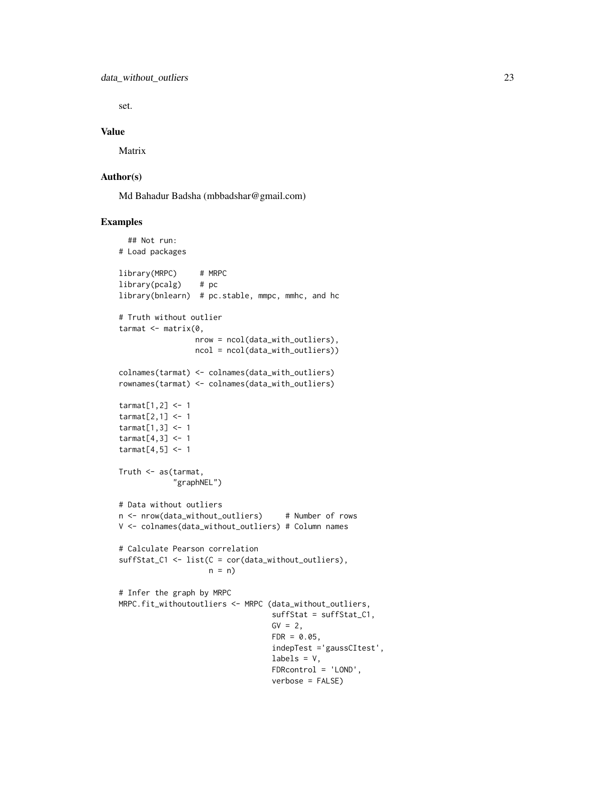set.

#### Value

Matrix

# Author(s)

Md Bahadur Badsha (mbbadshar@gmail.com)

```
## Not run:
# Load packages
library(MRPC) # MRPC
library(pcalg) # pc
library(bnlearn) # pc.stable, mmpc, mmhc, and hc
# Truth without outlier
tarmat \leq matrix(0,
                 nrow = ncol(data_with_outliers),
                 ncol = ncol(data_with_outliers))
colnames(tarmat) <- colnames(data_with_outliers)
rownames(tarmat) <- colnames(data_with_outliers)
tarmat[1,2] <- 1
tarmat[2,1] < -1tarmat[1,3] <- 1
tarmat[4,3] <- 1
tarmat[4,5] <- 1
Truth <- as(tarmat,
            "graphNEL")
# Data without outliers
n <- nrow(data_without_outliers) # Number of rows
V <- colnames(data_without_outliers) # Column names
# Calculate Pearson correlation
suffStat_C1 <- list(C = cor(data_without_outliers),
                    n = n# Infer the graph by MRPC
MRPC.fit_withoutoutliers <- MRPC (data_without_outliers,
                                  suffStat = suffStat_C1,
                                  GV = 2,FDR = 0.05,
                                  indepTest ='gaussCItest',
                                  labels = V,
                                  FDRcontrol = 'LOND',
                                  verbose = FALSE)
```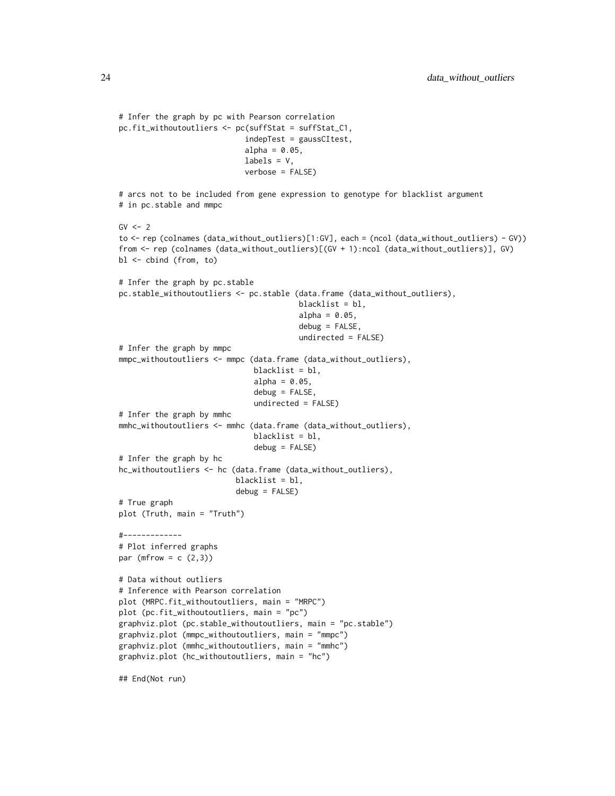```
# Infer the graph by pc with Pearson correlation
pc.fit_withoutoutliers <- pc(suffStat = suffStat_C1,
                            indepTest = gaussCItest,
                            alpha = 0.05,
                            labels = V,
                            verbose = FALSE)
# arcs not to be included from gene expression to genotype for blacklist argument
# in pc.stable and mmpc
GV < -2to <- rep (colnames (data_without_outliers)[1:GV], each = (ncol (data_without_outliers) - GV))
from <- rep (colnames (data_without_outliers)[(GV + 1):ncol (data_without_outliers)], GV)
bl <- cbind (from, to)
# Infer the graph by pc.stable
pc.stable_withoutoutliers <- pc.stable (data.frame (data_without_outliers),
                                        blacklist = bl,
                                        alpha = 0.05,
                                        debug = FALSE,
                                        undirected = FALSE)
# Infer the graph by mmpc
mmpc_withoutoutliers <- mmpc (data.frame (data_without_outliers),
                              blacklist = bl,
                              alpha = 0.05,
                              debug = FALSE,
                              undirected = FALSE)
# Infer the graph by mmhc
mmhc_withoutoutliers <- mmhc (data.frame (data_without_outliers),
                              blacklist = bl,
                              debug = FALSE)
# Infer the graph by hc
hc_withoutoutliers <- hc (data.frame (data_without_outliers),
                          blacklist = bl,
                          debug = FALSE)# True graph
plot (Truth, main = "Truth")
#-------------
# Plot inferred graphs
par (mfrow = c (2,3))
# Data without outliers
# Inference with Pearson correlation
plot (MRPC.fit_withoutoutliers, main = "MRPC")
plot (pc.fit_withoutoutliers, main = "pc")
graphviz.plot (pc.stable_withoutoutliers, main = "pc.stable")
graphviz.plot (mmpc_withoutoutliers, main = "mmpc")
graphviz.plot (mmhc_withoutoutliers, main = "mmhc")
graphviz.plot (hc_withoutoutliers, main = "hc")
```
## End(Not run)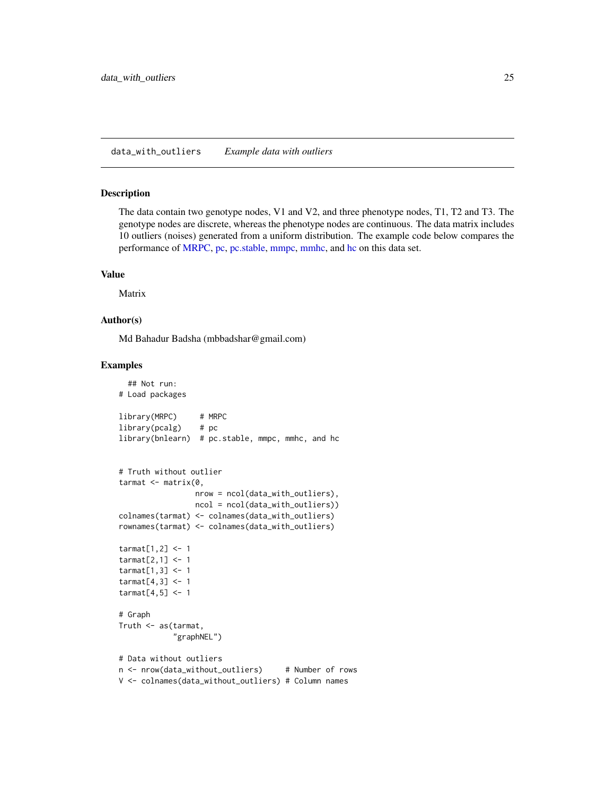#### <span id="page-24-0"></span>Description

The data contain two genotype nodes, V1 and V2, and three phenotype nodes, T1, T2 and T3. The genotype nodes are discrete, whereas the phenotype nodes are continuous. The data matrix includes 10 outliers (noises) generated from a uniform distribution. The example code below compares the performance of [MRPC,](#page-40-1) [pc,](#page-0-0) [pc.stable,](#page-0-0) [mmpc,](#page-0-0) [mmhc,](#page-0-0) and [hc](#page-0-0) on this data set.

#### Value

Matrix

#### Author(s)

Md Bahadur Badsha (mbbadshar@gmail.com)

```
## Not run:
# Load packages
library(MRPC) # MRPC
library(pcalg) # pc
library(bnlearn) # pc.stable, mmpc, mmhc, and hc
# Truth without outlier
tarmat <- matrix(0,
                 nrow = ncol(data_with_outliers),
                 ncol = ncol(data_with_outliers))
colnames(tarmat) <- colnames(data_with_outliers)
rownames(tarmat) <- colnames(data_with_outliers)
tarmat[1,2] <- 1
tarmat[2,1] <- 1
tarmat[1,3] <- 1
tarmat[4,3] <- 1
tarmat[4,5] < -1# Graph
Truth <- as(tarmat,
            "graphNEL")
# Data without outliers
n <- nrow(data_without_outliers) # Number of rows
V <- colnames(data_without_outliers) # Column names
```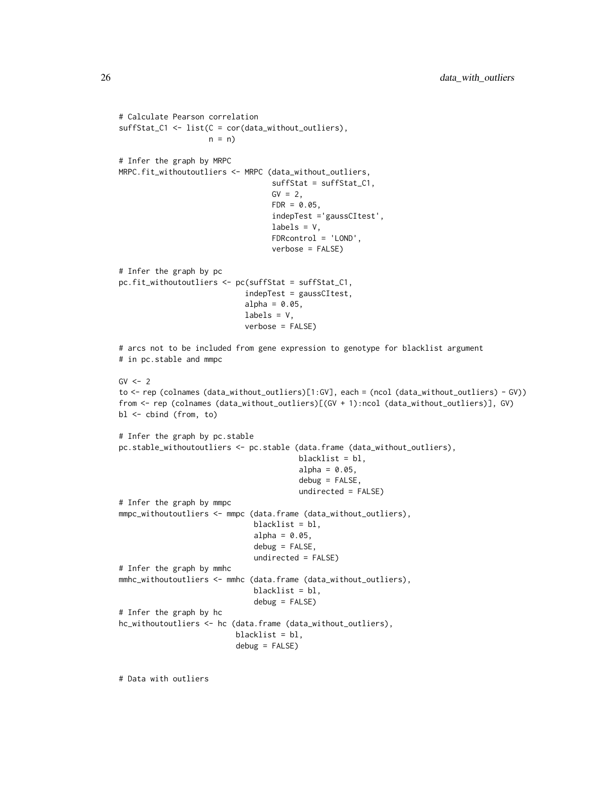```
# Calculate Pearson correlation
suffStat_C1 <- list(C = cor(data_without_outliers),
                    n = n)
# Infer the graph by MRPC
MRPC.fit_withoutoutliers <- MRPC (data_without_outliers,
                                  suffStat = suffStat_C1,
                                  GV = 2FDR = 0.05,
                                  indepTest ='gaussCItest',
                                  labels = V,
                                  FDRcontrol = 'LOND',
                                  verbose = FALSE)
# Infer the graph by pc
pc.fit_withoutoutliers <- pc(suffStat = suffStat_C1,
                            indepTest = gaussCItest,
                            alpha = 0.05,
                            labels = V,
                            verbose = FALSE)
# arcs not to be included from gene expression to genotype for blacklist argument
# in pc.stable and mmpc
GV < -2to <- rep (colnames (data_without_outliers)[1:GV], each = (ncol (data_without_outliers) - GV))
from <- rep (colnames (data_without_outliers)[(GV + 1):ncol (data_without_outliers)], GV)
bl <- cbind (from, to)
# Infer the graph by pc.stable
pc.stable_withoutoutliers <- pc.stable (data.frame (data_without_outliers),
                                        blacklist = bl,
                                        alpha = 0.05,
                                        debug = FALSE,
                                        undirected = FALSE)
# Infer the graph by mmpc
mmpc_withoutoutliers <- mmpc (data.frame (data_without_outliers),
                              blacklist = bl,
                              alpha = 0.05,
                              debug = FALSE,
                              undirected = FALSE)
# Infer the graph by mmhc
mmhc_withoutoutliers <- mmhc (data.frame (data_without_outliers),
                              blacklist = bl,
                              debug = FALSE)
# Infer the graph by hc
hc_withoutoutliers <- hc (data.frame (data_without_outliers),
                          blacklist = bl,
                          debug = FALSE)
```
# Data with outliers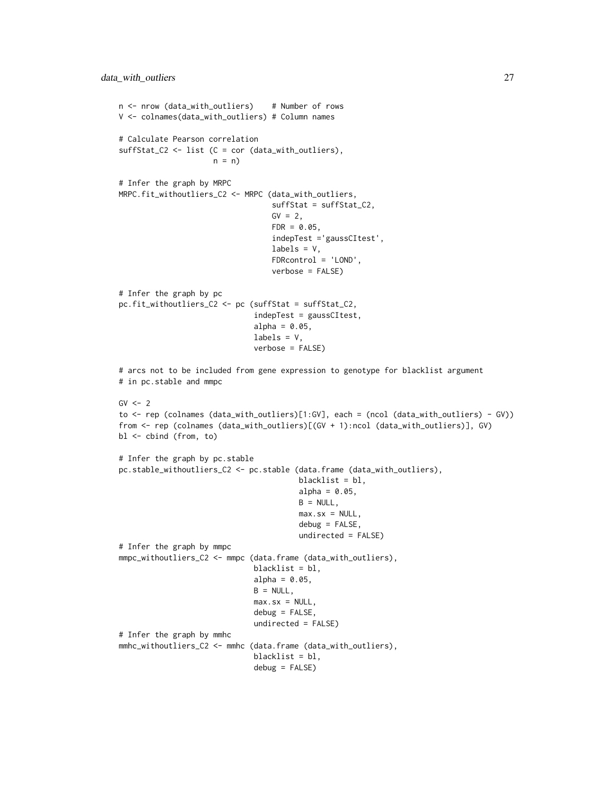```
n <- nrow (data_with_outliers) # Number of rows
V <- colnames(data_with_outliers) # Column names
# Calculate Pearson correlation
suffStat_C2 <- list (C = cor (data_with_outliers),
                    n = n# Infer the graph by MRPC
MRPC.fit_withoutliers_C2 <- MRPC (data_with_outliers,
                                  suffStat = suffStat_C2,
                                  GV = 2,FDR = 0.05,
                                  indepTest ='gaussCItest',
                                  labels = V,
                                  FDRcontrol = 'LOND',
                                  verbose = FALSE)
# Infer the graph by pc
pc.fit_withoutliers_C2 <- pc (suffStat = suffStat_C2,
                              indepTest = gaussCItest,
                              alpha = 0.05,
                              labels = V,
                              verbose = FALSE)
# arcs not to be included from gene expression to genotype for blacklist argument
# in pc.stable and mmpc
GV < -2to <- rep (colnames (data_with_outliers)[1:GV], each = (ncol (data_with_outliers) - GV))
from <- rep (colnames (data_with_outliers)[(GV + 1):ncol (data_with_outliers)], GV)
bl <- cbind (from, to)
# Infer the graph by pc.stable
pc.stable_withoutliers_C2 <- pc.stable (data.frame (data_with_outliers),
                                        blacklist = bl,
                                        alpha = 0.05,
                                        B = NULL,
                                        max.sx = NULL,debug = FALSE,
                                        undirected = FALSE)
# Infer the graph by mmpc
mmpc_withoutliers_C2 <- mmpc (data.frame (data_with_outliers),
                              blacklist = bl,
                              alpha = 0.05,
                              B = NULL,max.sx = NULL,debug = FALSE,
                              undirected = FALSE)
# Infer the graph by mmhc
mmhc_withoutliers_C2 <- mmhc (data.frame (data_with_outliers),
                              blacklist = bl,
                              debug = FALSE)
```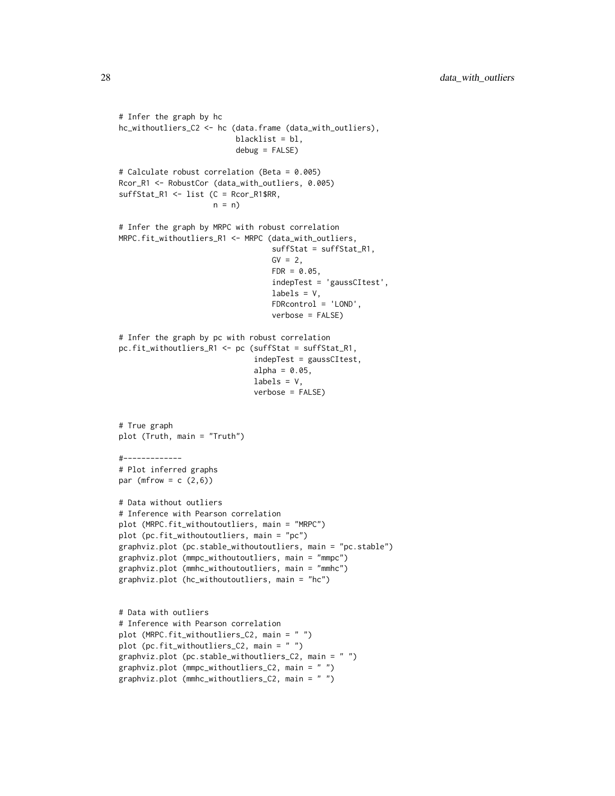```
# Infer the graph by hc
hc_withoutliers_C2 <- hc (data.frame (data_with_outliers),
                          blacklist = bl,
                          debug = FALSE)
# Calculate robust correlation (Beta = 0.005)
Rcor_R1 <- RobustCor (data_with_outliers, 0.005)
suffStat_R1 <- list (C = Rcor_R1$RR,
                     n = n)
# Infer the graph by MRPC with robust correlation
MRPC.fit_withoutliers_R1 <- MRPC (data_with_outliers,
                                  suffStat = suffStat_R1,
                                  GV = 2,FDR = 0.05,
                                  indepTest = 'gaussCItest',
                                  labels = V,
                                  FDRcontrol = 'LOND',
                                  verbose = FALSE)
# Infer the graph by pc with robust correlation
pc.fit_withoutliers_R1 <- pc (suffStat = suffStat_R1,
                              indepTest = gaussCItest,
                              alpha = 0.05,
                              labels = V,verbose = FALSE)
# True graph
plot (Truth, main = "Truth")
#-------------
# Plot inferred graphs
par (mfrow = c (2,6))
# Data without outliers
# Inference with Pearson correlation
plot (MRPC.fit_withoutoutliers, main = "MRPC")
plot (pc.fit_withoutoutliers, main = "pc")
graphviz.plot (pc.stable_withoutoutliers, main = "pc.stable")
graphviz.plot (mmpc_withoutoutliers, main = "mmpc")
graphviz.plot (mmhc_withoutoutliers, main = "mmhc")
graphviz.plot (hc_withoutoutliers, main = "hc")
# Data with outliers
# Inference with Pearson correlation
plot (MRPC.fit_withoutliers_C2, main = " ")
plot (pc.fit_withoutliers_C2, main = " ")
graphviz.plot (pc.stable_withoutliers_C2, main = " ")
graphviz.plot (mmpc_withoutliers_C2, main = " ")
graphviz.plot (mmhc_withoutliers_C2, main = " ")
```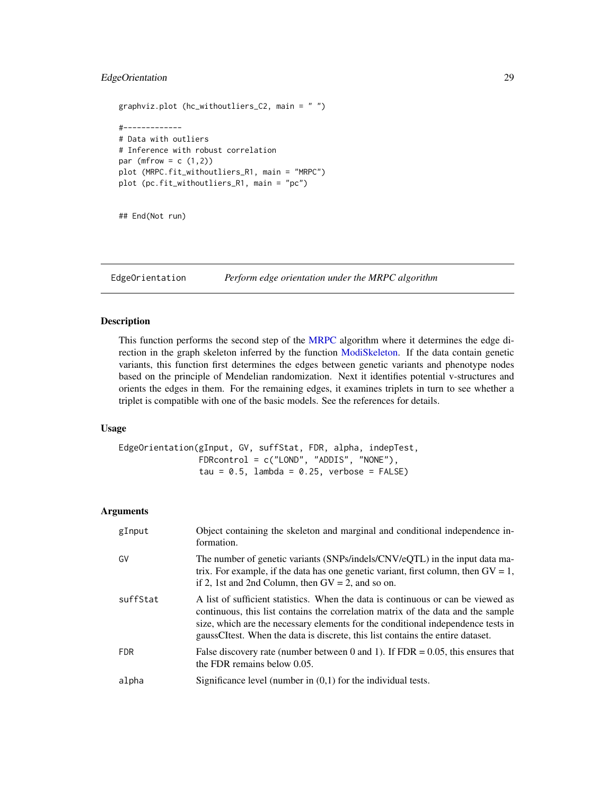# <span id="page-28-0"></span>EdgeOrientation 29

```
graphviz.plot (hc_withoutliers_C2, main = " ")
#-------------
# Data with outliers
# Inference with robust correlation
par (mfrow = c(1,2))
plot (MRPC.fit_withoutliers_R1, main = "MRPC")
plot (pc.fit_withoutliers_R1, main = "pc")
```
## End(Not run)

EdgeOrientation *Perform edge orientation under the MRPC algorithm*

## Description

This function performs the second step of the [MRPC](#page-40-1) algorithm where it determines the edge direction in the graph skeleton inferred by the function [ModiSkeleton.](#page-35-1) If the data contain genetic variants, this function first determines the edges between genetic variants and phenotype nodes based on the principle of Mendelian randomization. Next it identifies potential v-structures and orients the edges in them. For the remaining edges, it examines triplets in turn to see whether a triplet is compatible with one of the basic models. See the references for details.

#### Usage

```
EdgeOrientation(gInput, GV, suffStat, FDR, alpha, indepTest,
                FDRcontrol = c("LOND", "ADDIS", "NONE"),
                tau = 0.5, lambda = 0.25, verbose = FALSE)
```
#### Arguments

| gInput     | Object containing the skeleton and marginal and conditional independence in-<br>formation.                                                                                                                                                                                                                                                 |
|------------|--------------------------------------------------------------------------------------------------------------------------------------------------------------------------------------------------------------------------------------------------------------------------------------------------------------------------------------------|
| GV         | The number of genetic variants (SNPs/indels/CNV/eQTL) in the input data ma-<br>trix. For example, if the data has one genetic variant, first column, then $GV = 1$ ,<br>if 2, 1st and 2nd Column, then $GV = 2$ , and so on.                                                                                                               |
| suffStat   | A list of sufficient statistics. When the data is continuous or can be viewed as<br>continuous, this list contains the correlation matrix of the data and the sample<br>size, which are the necessary elements for the conditional independence tests in<br>gaussCItest. When the data is discrete, this list contains the entire dataset. |
| <b>FDR</b> | False discovery rate (number between 0 and 1). If $FDR = 0.05$ , this ensures that<br>the FDR remains below 0.05.                                                                                                                                                                                                                          |
| alpha      | Significance level (number in $(0,1)$ for the individual tests.                                                                                                                                                                                                                                                                            |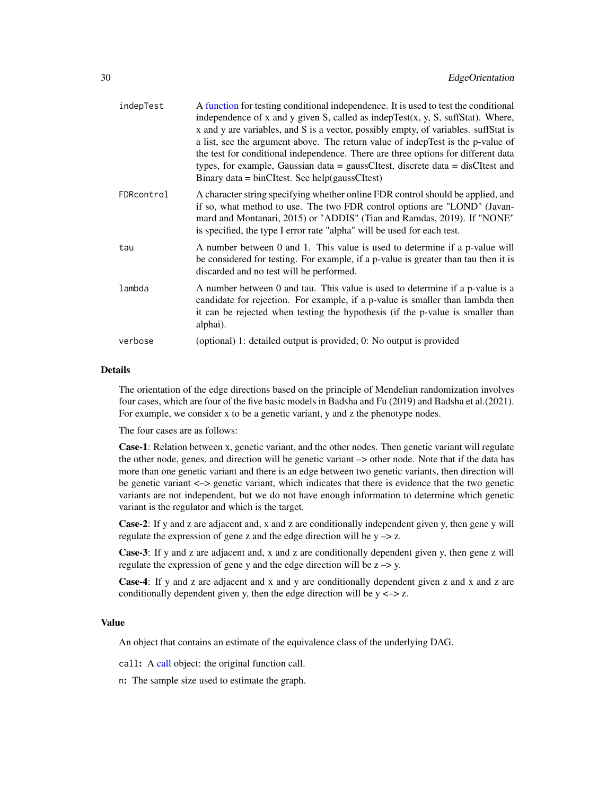| indepTest  | A function for testing conditional independence. It is used to test the conditional<br>independence of x and y given S, called as indep $Test(x, y, S, suffix)$ . Where,<br>x and y are variables, and S is a vector, possibly empty, of variables. suffStat is<br>a list, see the argument above. The return value of indepTest is the p-value of<br>the test for conditional independence. There are three options for different data<br>types, for example, Gaussian data = gaussCItest, discrete data = disCItest and<br>Binary data = $binC$ Itest. See $help(gaussC$ Itest) |
|------------|-----------------------------------------------------------------------------------------------------------------------------------------------------------------------------------------------------------------------------------------------------------------------------------------------------------------------------------------------------------------------------------------------------------------------------------------------------------------------------------------------------------------------------------------------------------------------------------|
| FDRcontrol | A character string specifying whether online FDR control should be applied, and<br>if so, what method to use. The two FDR control options are "LOND" (Javan-<br>mard and Montanari, 2015) or "ADDIS" (Tian and Ramdas, 2019). If "NONE"<br>is specified, the type I error rate "alpha" will be used for each test.                                                                                                                                                                                                                                                                |
| tau        | A number between 0 and 1. This value is used to determine if a p-value will<br>be considered for testing. For example, if a p-value is greater than tau then it is<br>discarded and no test will be performed.                                                                                                                                                                                                                                                                                                                                                                    |
| lambda     | A number between 0 and tau. This value is used to determine if a p-value is a<br>candidate for rejection. For example, if a p-value is smaller than lambda then<br>it can be rejected when testing the hypothesis (if the p-value is smaller than<br>alphai).                                                                                                                                                                                                                                                                                                                     |
| verbose    | (optional) 1: detailed output is provided; 0: No output is provided                                                                                                                                                                                                                                                                                                                                                                                                                                                                                                               |

# Details

The orientation of the edge directions based on the principle of Mendelian randomization involves four cases, which are four of the five basic models in Badsha and Fu (2019) and Badsha et al.(2021). For example, we consider x to be a genetic variant, y and z the phenotype nodes.

The four cases are as follows:

Case-1: Relation between x, genetic variant, and the other nodes. Then genetic variant will regulate the other node, genes, and direction will be genetic variant –> other node. Note that if the data has more than one genetic variant and there is an edge between two genetic variants, then direction will be genetic variant <–> genetic variant, which indicates that there is evidence that the two genetic variants are not independent, but we do not have enough information to determine which genetic variant is the regulator and which is the target.

Case-2: If y and z are adjacent and, x and z are conditionally independent given y, then gene y will regulate the expression of gene z and the edge direction will be  $y \rightarrow z$ .

Case-3: If y and z are adjacent and, x and z are conditionally dependent given y, then gene z will regulate the expression of gene y and the edge direction will be  $z \rightarrow y$ .

Case-4: If y and z are adjacent and x and y are conditionally dependent given z and x and z are conditionally dependent given y, then the edge direction will be  $y \leq z$ .

#### Value

An object that contains an estimate of the equivalence class of the underlying DAG.

call: A [call](#page-0-0) object: the original function call.

n: The sample size used to estimate the graph.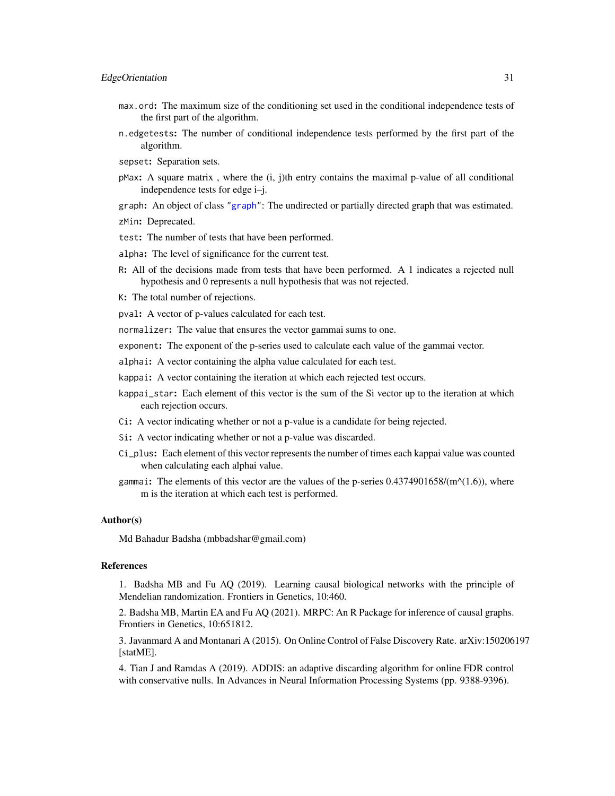- max.ord: The maximum size of the conditioning set used in the conditional independence tests of the first part of the algorithm.
- n.edgetests: The number of conditional independence tests performed by the first part of the algorithm.
- sepset: Separation sets.
- pMax: A square matrix , where the (i, j)th entry contains the maximal p-value of all conditional independence tests for edge i–j.

graph: An object of class ["graph"](#page-0-0): The undirected or partially directed graph that was estimated. zMin: Deprecated.

test: The number of tests that have been performed.

alpha: The level of significance for the current test.

R: All of the decisions made from tests that have been performed. A 1 indicates a rejected null hypothesis and 0 represents a null hypothesis that was not rejected.

K: The total number of rejections.

pval: A vector of p-values calculated for each test.

normalizer: The value that ensures the vector gammai sums to one.

exponent: The exponent of the p-series used to calculate each value of the gammai vector.

alphai: A vector containing the alpha value calculated for each test.

kappai: A vector containing the iteration at which each rejected test occurs.

- kappai\_star: Each element of this vector is the sum of the Si vector up to the iteration at which each rejection occurs.
- Ci: A vector indicating whether or not a p-value is a candidate for being rejected.
- Si: A vector indicating whether or not a p-value was discarded.
- Ci\_plus: Each element of this vector represents the number of times each kappai value was counted when calculating each alphai value.
- gammai: The elements of this vector are the values of the p-series  $0.4374901658/(m^{\alpha}(1.6))$ , where m is the iteration at which each test is performed.

#### Author(s)

Md Bahadur Badsha (mbbadshar@gmail.com)

#### References

1. Badsha MB and Fu AQ (2019). Learning causal biological networks with the principle of Mendelian randomization. Frontiers in Genetics, 10:460.

2. Badsha MB, Martin EA and Fu AQ (2021). MRPC: An R Package for inference of causal graphs. Frontiers in Genetics, 10:651812.

3. Javanmard A and Montanari A (2015). On Online Control of False Discovery Rate. arXiv:150206197 [statME].

4. Tian J and Ramdas A (2019). ADDIS: an adaptive discarding algorithm for online FDR control with conservative nulls. In Advances in Neural Information Processing Systems (pp. 9388-9396).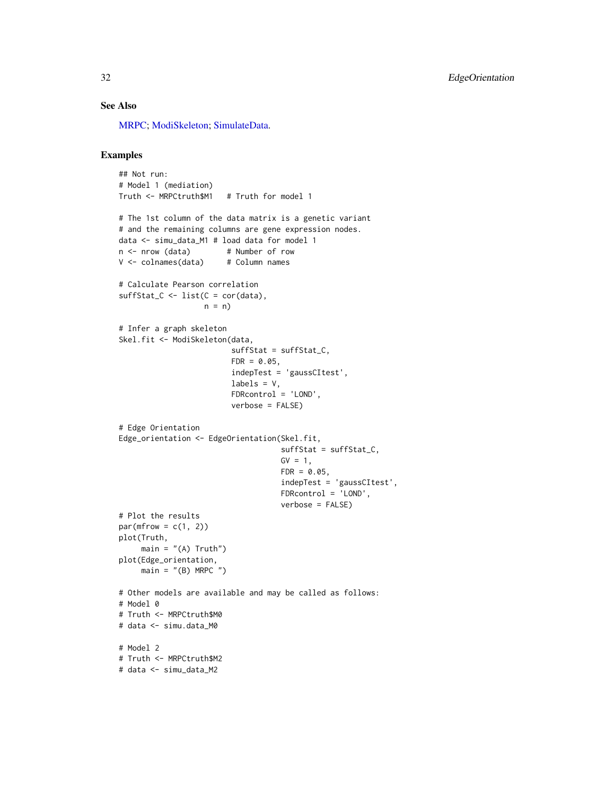# See Also

[MRPC;](#page-40-1) [ModiSkeleton;](#page-35-1) [SimulateData.](#page-61-1)

```
## Not run:
# Model 1 (mediation)
Truth <- MRPCtruth$M1 # Truth for model 1
# The 1st column of the data matrix is a genetic variant
# and the remaining columns are gene expression nodes.
data <- simu_data_M1 # load data for model 1
n <- nrow (data) # Number of row
V <- colnames(data) # Column names
# Calculate Pearson correlation
suffStat_C <- list(C = cor(data),
                  n = n)
# Infer a graph skeleton
Skel.fit <- ModiSkeleton(data,
                        suffStat = suffStat_C,
                        FDR = 0.05,
                        indepTest = 'gaussCItest',
                        labels = V,FDRcontrol = 'LOND',
                        verbose = FALSE)
# Edge Orientation
Edge_orientation <- EdgeOrientation(Skel.fit,
                                   suffStat = suffStat_C,
                                   GV = 1,FDR = 0.05,
                                    indepTest = 'gaussCItest',
                                   FDRcontrol = 'LOND',
                                   verbose = FALSE)
# Plot the results
par(mfrow = c(1, 2))plot(Truth,
    main = "A) Truth")
plot(Edge_orientation,
    main = "B) MRPC "# Other models are available and may be called as follows:
# Model 0
# Truth <- MRPCtruth$M0
# data <- simu.data_M0
# Model 2
# Truth <- MRPCtruth$M2
# data <- simu_data_M2
```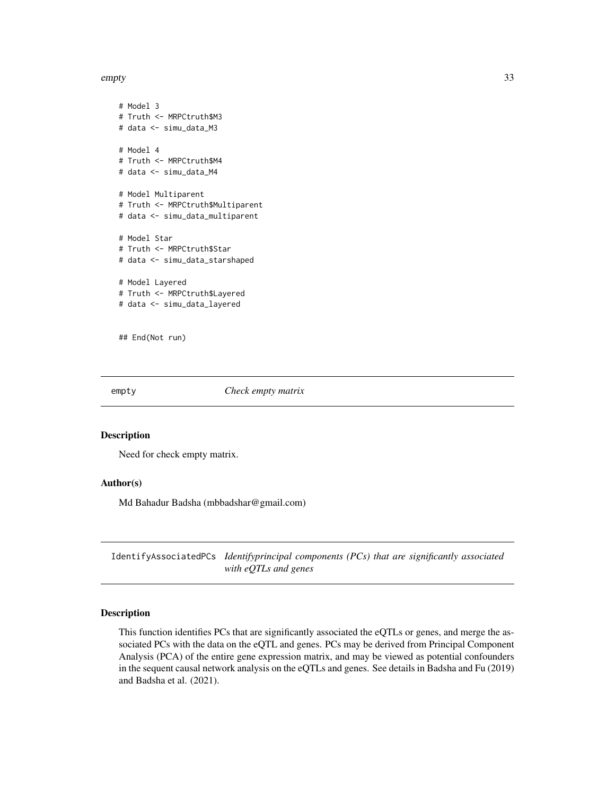<span id="page-32-0"></span>empty 33

```
# Model 3
# Truth <- MRPCtruth$M3
# data <- simu_data_M3
# Model 4
# Truth <- MRPCtruth$M4
# data <- simu_data_M4
# Model Multiparent
# Truth <- MRPCtruth$Multiparent
# data <- simu_data_multiparent
# Model Star
# Truth <- MRPCtruth$Star
# data <- simu_data_starshaped
# Model Layered
# Truth <- MRPCtruth$Layered
# data <- simu_data_layered
```
## End(Not run)

empty *Check empty matrix*

#### Description

Need for check empty matrix.

#### Author(s)

Md Bahadur Badsha (mbbadshar@gmail.com)

IdentifyAssociatedPCs *Identifyprincipal components (PCs) that are significantly associated with eQTLs and genes*

# Description

This function identifies PCs that are significantly associated the eQTLs or genes, and merge the associated PCs with the data on the eQTL and genes. PCs may be derived from Principal Component Analysis (PCA) of the entire gene expression matrix, and may be viewed as potential confounders in the sequent causal network analysis on the eQTLs and genes. See details in Badsha and Fu (2019) and Badsha et al. (2021).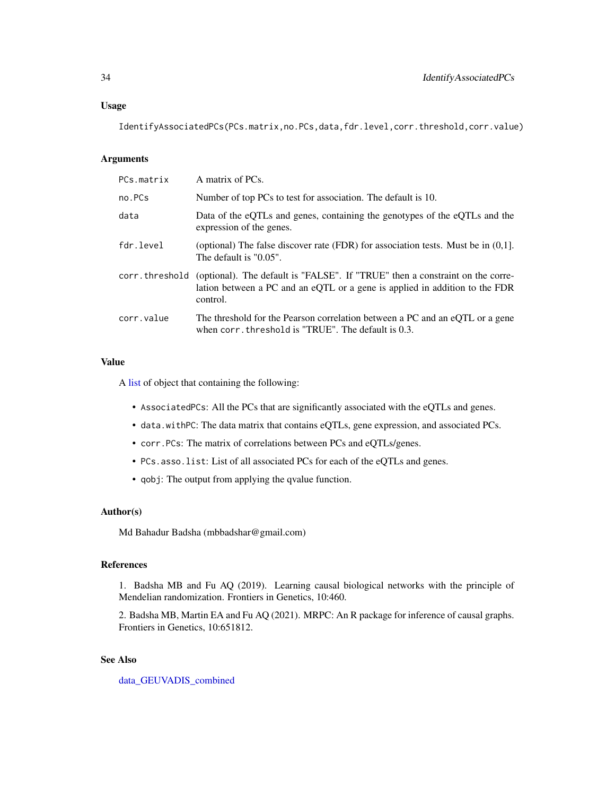#### Usage

IdentifyAssociatedPCs(PCs.matrix,no.PCs,data,fdr.level,corr.threshold,corr.value)

#### Arguments

| PCs.matrix | A matrix of PCs.                                                                                                                                                                         |
|------------|------------------------------------------------------------------------------------------------------------------------------------------------------------------------------------------|
| no.PCs     | Number of top PCs to test for association. The default is 10.                                                                                                                            |
| data       | Data of the eQTLs and genes, containing the genotypes of the eQTLs and the<br>expression of the genes.                                                                                   |
| fdr.level  | (optional) The false discover rate (FDR) for association tests. Must be in $(0,1]$ .<br>The default is "0.05".                                                                           |
|            | corr. threshold (optional). The default is "FALSE". If "TRUE" then a constraint on the corre-<br>lation between a PC and an eQTL or a gene is applied in addition to the FDR<br>control. |
| corr.value | The threshold for the Pearson correlation between a PC and an eQTL or a gene<br>when corr, threshold is "TRUE". The default is 0.3.                                                      |

# Value

A [list](#page-0-0) of object that containing the following:

- AssociatedPCs: All the PCs that are significantly associated with the eQTLs and genes.
- data.withPC: The data matrix that contains eQTLs, gene expression, and associated PCs.
- corr.PCs: The matrix of correlations between PCs and eQTLs/genes.
- PCs.asso.list: List of all associated PCs for each of the eQTLs and genes.
- qobj: The output from applying the qvalue function.

#### Author(s)

Md Bahadur Badsha (mbbadshar@gmail.com)

# References

1. Badsha MB and Fu AQ (2019). Learning causal biological networks with the principle of Mendelian randomization. Frontiers in Genetics, 10:460.

2. Badsha MB, Martin EA and Fu AQ (2021). MRPC: An R package for inference of causal graphs. Frontiers in Genetics, 10:651812.

# See Also

[data\\_GEUVADIS\\_combined](#page-14-1)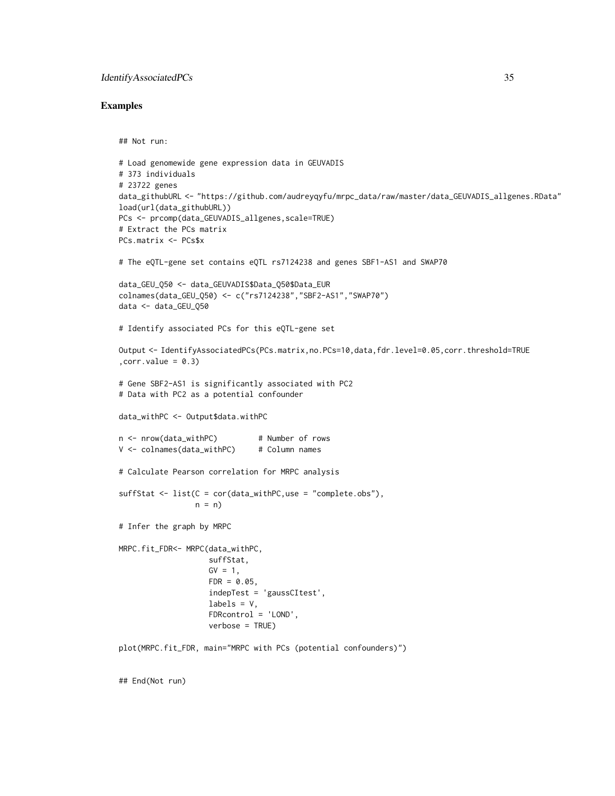#### IdentifyAssociatedPCs 35

#### Examples

```
## Not run:
# Load genomewide gene expression data in GEUVADIS
# 373 individuals
# 23722 genes
data_githubURL <- "https://github.com/audreyqyfu/mrpc_data/raw/master/data_GEUVADIS_allgenes.RData"
load(url(data_githubURL))
PCs <- prcomp(data_GEUVADIS_allgenes,scale=TRUE)
# Extract the PCs matrix
PCs.matrix <- PCs$x
# The eQTL-gene set contains eQTL rs7124238 and genes SBF1-AS1 and SWAP70
data_GEU_Q50 <- data_GEUVADIS$Data_Q50$Data_EUR
colnames(data_GEU_Q50) <- c("rs7124238","SBF2-AS1","SWAP70")
data <- data_GEU_Q50
# Identify associated PCs for this eQTL-gene set
Output <- IdentifyAssociatedPCs(PCs.matrix,no.PCs=10,data,fdr.level=0.05,corr.threshold=TRUE
, corr.value = 0.3)# Gene SBF2-AS1 is significantly associated with PC2
# Data with PC2 as a potential confounder
data_withPC <- Output$data.withPC
n <- nrow(data_withPC) # Number of rows
V <- colnames(data_withPC) # Column names
# Calculate Pearson correlation for MRPC analysis
sufficient \leftarrow list(C = cor(data_withPC,use = "complete.obs"),
                 n = n# Infer the graph by MRPC
MRPC.fit_FDR<- MRPC(data_withPC,
                    suffStat,
                    GV = 1,FDR = 0.05,
                    indepTest = 'gaussCItest',
                    labels = V,
                    FDRcontrol = 'LOND',
                    verbose = TRUE)
plot(MRPC.fit_FDR, main="MRPC with PCs (potential confounders)")
```
## End(Not run)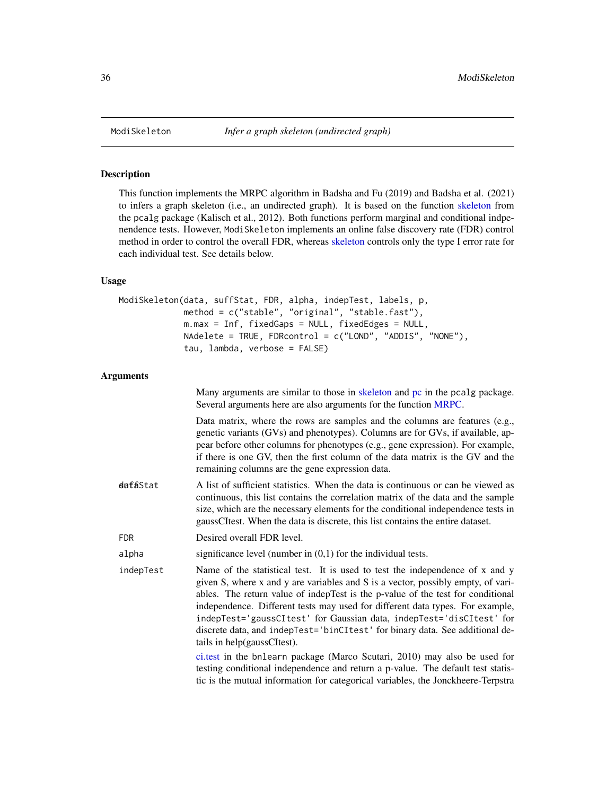<span id="page-35-1"></span><span id="page-35-0"></span>

#### Description

This function implements the MRPC algorithm in Badsha and Fu (2019) and Badsha et al. (2021) to infers a graph skeleton (i.e., an undirected graph). It is based on the function [skeleton](#page-0-0) from the pcalg package (Kalisch et al., 2012). Both functions perform marginal and conditional indpenendence tests. However, ModiSkeleton implements an online false discovery rate (FDR) control method in order to control the overall FDR, whereas [skeleton](#page-0-0) controls only the type I error rate for each individual test. See details below.

# Usage

```
ModiSkeleton(data, suffStat, FDR, alpha, indepTest, labels, p,
             method = c("stable", "original", "stable.fast"),
             m.max = Inf, fixedGaps = NULL, fixedEdges = NULL,
             NAdelete = TRUE, FDRcontrol = c("LOND", "ADDIS", "NONE"),
             tau, lambda, verbose = FALSE)
```
#### Arguments

|            | Many arguments are similar to those in skeleton and pc in the pcalg package.<br>Several arguments here are also arguments for the function MRPC.                                                                                                                                                                                                                                                                                                                                                                            |
|------------|-----------------------------------------------------------------------------------------------------------------------------------------------------------------------------------------------------------------------------------------------------------------------------------------------------------------------------------------------------------------------------------------------------------------------------------------------------------------------------------------------------------------------------|
|            | Data matrix, where the rows are samples and the columns are features (e.g.,<br>genetic variants (GVs) and phenotypes). Columns are for GVs, if available, ap-<br>pear before other columns for phenotypes (e.g., gene expression). For example,<br>if there is one GV, then the first column of the data matrix is the GV and the<br>remaining columns are the gene expression data.                                                                                                                                        |
| dafaStat   | A list of sufficient statistics. When the data is continuous or can be viewed as<br>continuous, this list contains the correlation matrix of the data and the sample<br>size, which are the necessary elements for the conditional independence tests in<br>gaussCItest. When the data is discrete, this list contains the entire dataset.                                                                                                                                                                                  |
| <b>FDR</b> | Desired overall FDR level.                                                                                                                                                                                                                                                                                                                                                                                                                                                                                                  |
| alpha      | significance level (number in $(0,1)$ for the individual tests.                                                                                                                                                                                                                                                                                                                                                                                                                                                             |
| indepTest  | Name of the statistical test. It is used to test the independence of x and y<br>given S, where x and y are variables and S is a vector, possibly empty, of vari-<br>ables. The return value of indepTest is the p-value of the test for conditional<br>independence. Different tests may used for different data types. For example,<br>indepTest='gaussCItest' for Gaussian data, indepTest='disCItest' for<br>discrete data, and indepTest='binCItest' for binary data. See additional de-<br>tails in help(gaussCItest). |
|            | ci.test in the bnlearn package (Marco Scutari, 2010) may also be used for<br>testing conditional independence and return a p-value. The default test statis-<br>tic is the mutual information for categorical variables, the Jonckheere-Terpstra                                                                                                                                                                                                                                                                            |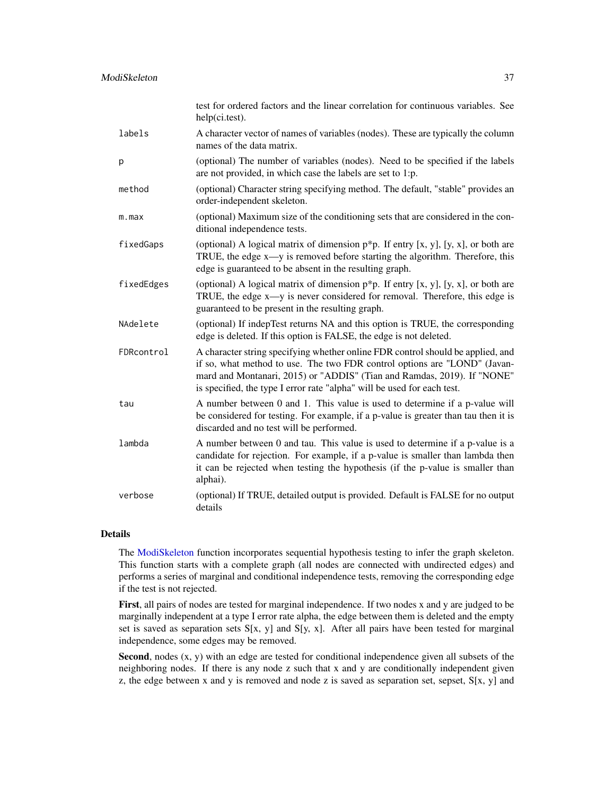|             | test for ordered factors and the linear correlation for continuous variables. See<br>help(ci.test).                                                                                                                                                                                                                |
|-------------|--------------------------------------------------------------------------------------------------------------------------------------------------------------------------------------------------------------------------------------------------------------------------------------------------------------------|
| labels      | A character vector of names of variables (nodes). These are typically the column<br>names of the data matrix.                                                                                                                                                                                                      |
| p           | (optional) The number of variables (nodes). Need to be specified if the labels<br>are not provided, in which case the labels are set to 1:p.                                                                                                                                                                       |
| method      | (optional) Character string specifying method. The default, "stable" provides an<br>order-independent skeleton.                                                                                                                                                                                                    |
| $m$ . $max$ | (optional) Maximum size of the conditioning sets that are considered in the con-<br>ditional independence tests.                                                                                                                                                                                                   |
| fixedGaps   | (optional) A logical matrix of dimension $p^*p$ . If entry [x, y], [y, x], or both are<br>TRUE, the edge $x \rightarrow y$ is removed before starting the algorithm. Therefore, this<br>edge is guaranteed to be absent in the resulting graph.                                                                    |
| fixedEdges  | (optional) A logical matrix of dimension $p^*p$ . If entry [x, y], [y, x], or both are<br>TRUE, the edge x—y is never considered for removal. Therefore, this edge is<br>guaranteed to be present in the resulting graph.                                                                                          |
| NAdelete    | (optional) If indepTest returns NA and this option is TRUE, the corresponding<br>edge is deleted. If this option is FALSE, the edge is not deleted.                                                                                                                                                                |
| FDRcontrol  | A character string specifying whether online FDR control should be applied, and<br>if so, what method to use. The two FDR control options are "LOND" (Javan-<br>mard and Montanari, 2015) or "ADDIS" (Tian and Ramdas, 2019). If "NONE"<br>is specified, the type I error rate "alpha" will be used for each test. |
| tau         | A number between 0 and 1. This value is used to determine if a p-value will<br>be considered for testing. For example, if a p-value is greater than tau then it is<br>discarded and no test will be performed.                                                                                                     |
| lambda      | A number between 0 and tau. This value is used to determine if a p-value is a<br>candidate for rejection. For example, if a p-value is smaller than lambda then<br>it can be rejected when testing the hypothesis (if the p-value is smaller than<br>alphai).                                                      |
| verbose     | (optional) If TRUE, detailed output is provided. Default is FALSE for no output<br>details                                                                                                                                                                                                                         |

# Details

The [ModiSkeleton](#page-35-0) function incorporates sequential hypothesis testing to infer the graph skeleton. This function starts with a complete graph (all nodes are connected with undirected edges) and performs a series of marginal and conditional independence tests, removing the corresponding edge if the test is not rejected.

First, all pairs of nodes are tested for marginal independence. If two nodes x and y are judged to be marginally independent at a type I error rate alpha, the edge between them is deleted and the empty set is saved as separation sets  $S[x, y]$  and  $S[y, x]$ . After all pairs have been tested for marginal independence, some edges may be removed.

Second, nodes  $(x, y)$  with an edge are tested for conditional independence given all subsets of the neighboring nodes. If there is any node z such that x and y are conditionally independent given z, the edge between x and y is removed and node z is saved as separation set, sepset,  $S[x, y]$  and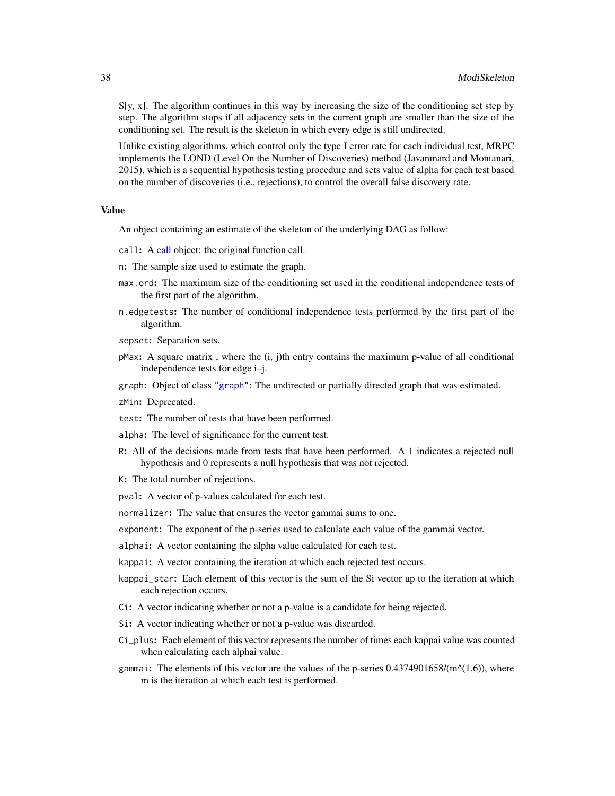$S[y, x]$ . The algorithm continues in this way by increasing the size of the conditioning set step by step. The algorithm stops if all adjacency sets in the current graph are smaller than the size of the conditioning set. The result is the skeleton in which every edge is still undirected.

Unlike existing algorithms, which control only the type I error rate for each individual test, MRPC implements the LOND (Level On the Number of Discoveries) method (Javanmard and Montanari, 2015), which is a sequential hypothesis testing procedure and sets value of alpha for each test based on the number of discoveries (i.e., rejections), to control the overall false discovery rate.

### Value

An object containing an estimate of the skeleton of the underlying DAG as follow:

- call: A [call](#page-0-0) object: the original function call.
- n: The sample size used to estimate the graph.
- max.ord: The maximum size of the conditioning set used in the conditional independence tests of the first part of the algorithm.
- n.edgetests: The number of conditional independence tests performed by the first part of the algorithm.
- sepset: Separation sets.
- $p$ Max: A square matrix, where the  $(i, j)$ th entry contains the maximum p-value of all conditional independence tests for edge i–j.
- graph: Object of class ["graph"](#page-0-0): The undirected or partially directed graph that was estimated.
- zMin: Deprecated.
- test: The number of tests that have been performed.
- alpha: The level of significance for the current test.
- R: All of the decisions made from tests that have been performed. A 1 indicates a rejected null hypothesis and 0 represents a null hypothesis that was not rejected.
- K: The total number of rejections.
- pval: A vector of p-values calculated for each test.
- normalizer: The value that ensures the vector gammai sums to one.
- exponent: The exponent of the p-series used to calculate each value of the gammai vector.
- alphai: A vector containing the alpha value calculated for each test.
- kappai: A vector containing the iteration at which each rejected test occurs.
- kappai\_star: Each element of this vector is the sum of the Si vector up to the iteration at which each rejection occurs.
- Ci: A vector indicating whether or not a p-value is a candidate for being rejected.
- Si: A vector indicating whether or not a p-value was discarded.
- Ci\_plus: Each element of this vector represents the number of times each kappai value was counted when calculating each alphai value.
- gammai: The elements of this vector are the values of the p-series  $0.4374901658/(m^{\alpha}(1.6))$ , where m is the iteration at which each test is performed.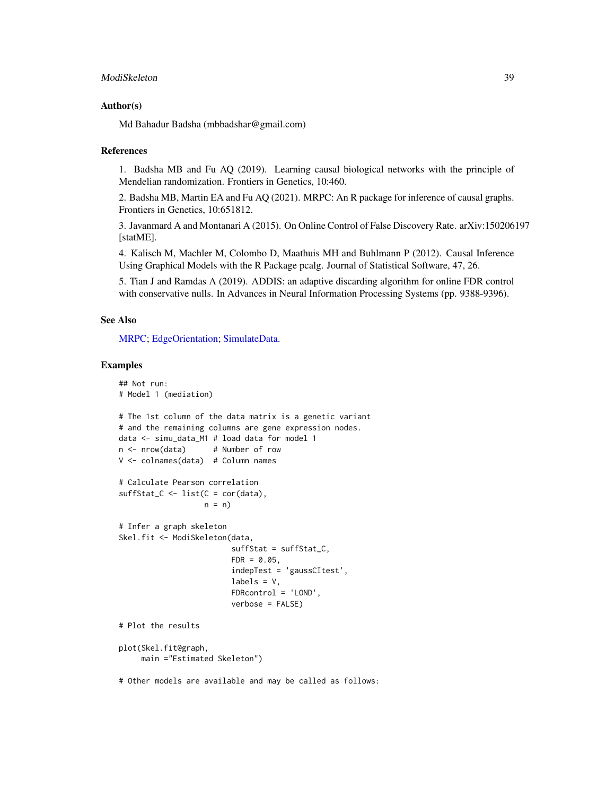### ModiSkeleton 39

#### Author(s)

Md Bahadur Badsha (mbbadshar@gmail.com)

#### References

1. Badsha MB and Fu AQ (2019). Learning causal biological networks with the principle of Mendelian randomization. Frontiers in Genetics, 10:460.

2. Badsha MB, Martin EA and Fu AQ (2021). MRPC: An R package for inference of causal graphs. Frontiers in Genetics, 10:651812.

3. Javanmard A and Montanari A (2015). On Online Control of False Discovery Rate. arXiv:150206197 [statME].

4. Kalisch M, Machler M, Colombo D, Maathuis MH and Buhlmann P (2012). Causal Inference Using Graphical Models with the R Package pcalg. Journal of Statistical Software, 47, 26.

5. Tian J and Ramdas A (2019). ADDIS: an adaptive discarding algorithm for online FDR control with conservative nulls. In Advances in Neural Information Processing Systems (pp. 9388-9396).

#### See Also

[MRPC;](#page-40-0) [EdgeOrientation;](#page-28-0) [SimulateData.](#page-61-0)

### Examples

```
## Not run:
# Model 1 (mediation)
# The 1st column of the data matrix is a genetic variant
# and the remaining columns are gene expression nodes.
data <- simu_data_M1 # load data for model 1
n <- nrow(data) # Number of row
V <- colnames(data) # Column names
# Calculate Pearson correlation
sufficient_C \leftarrow list(C = cor(data),n = n# Infer a graph skeleton
Skel.fit <- ModiSkeleton(data,
                         suffStat = suffStat_C,
                         FDR = 0.05,
                         indepTest = 'gaussCItest',
                         labels = V,FDRcontrol = 'LOND',
                         verbose = FALSE)
# Plot the results
plot(Skel.fit@graph,
     main ="Estimated Skeleton")
# Other models are available and may be called as follows:
```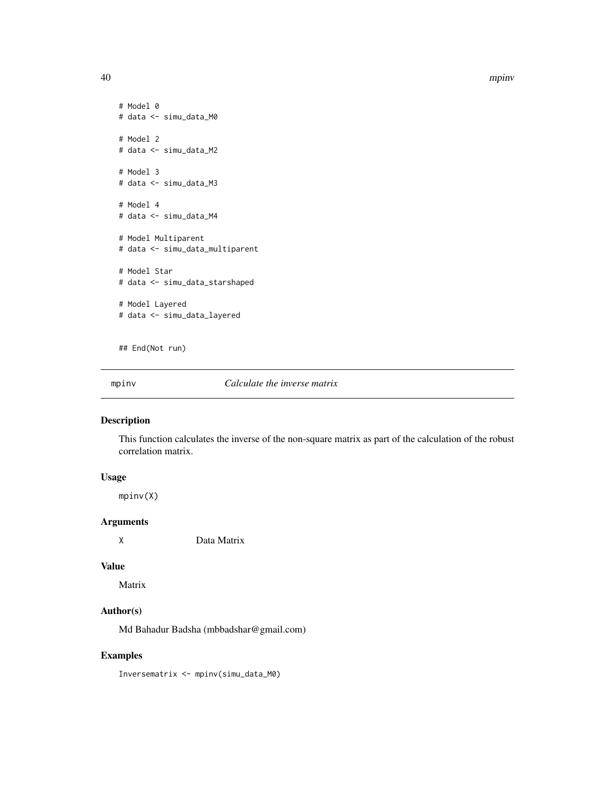40 mpinv

```
# Model 0
# data <- simu_data_M0
# Model 2
# data <- simu_data_M2
# Model 3
# data <- simu_data_M3
# Model 4
# data <- simu_data_M4
# Model Multiparent
# data <- simu_data_multiparent
# Model Star
# data <- simu_data_starshaped
# Model Layered
# data <- simu_data_layered
```
## End(Not run)

mpinv *Calculate the inverse matrix*

# Description

This function calculates the inverse of the non-square matrix as part of the calculation of the robust correlation matrix.

# Usage

mpinv(X)

### Arguments

X Data Matrix

#### Value

Matrix

# Author(s)

Md Bahadur Badsha (mbbadshar@gmail.com)

### Examples

Inversematrix <- mpinv(simu\_data\_M0)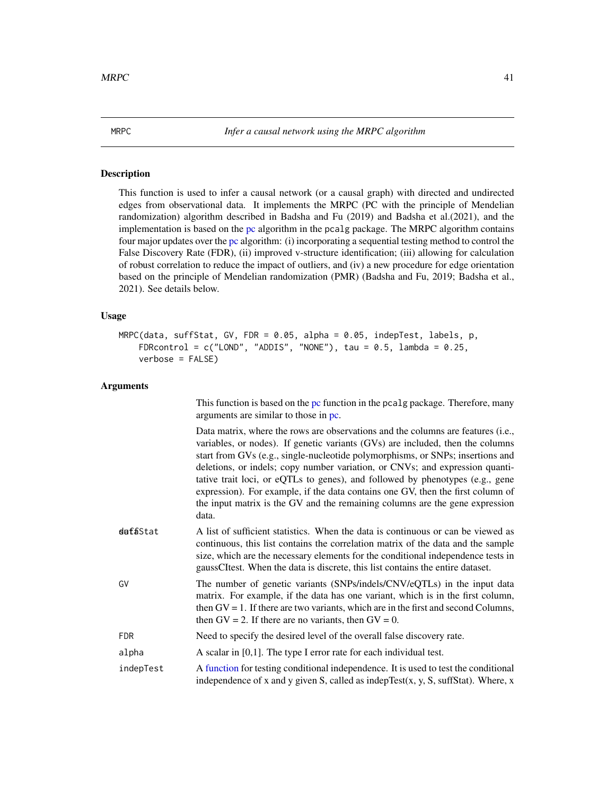### <span id="page-40-0"></span>Description

This function is used to infer a causal network (or a causal graph) with directed and undirected edges from observational data. It implements the MRPC (PC with the principle of Mendelian randomization) algorithm described in Badsha and Fu (2019) and Badsha et al.(2021), and the implementation is based on the [pc](#page-0-0) algorithm in the pcalg package. The MRPC algorithm contains four major updates over the [pc](#page-0-0) algorithm: (i) incorporating a sequential testing method to control the False Discovery Rate (FDR), (ii) improved v-structure identification; (iii) allowing for calculation of robust correlation to reduce the impact of outliers, and (iv) a new procedure for edge orientation based on the principle of Mendelian randomization (PMR) (Badsha and Fu, 2019; Badsha et al., 2021). See details below.

### Usage

```
MRPC(data, suffStat, GV, FDR = 0.05, alpha = 0.05, indepTest, labels, p,
    FDRcontrol = c("LOND", "ADDIS", "NONE"), tau = 0.5, lambda = 0.25,verbose = FALSE)
```
### Arguments

|            | This function is based on the pc function in the pcalg package. Therefore, many<br>arguments are similar to those in pc.                                                                                                                                                                                                                                                                                                                                                                                                                                                                          |
|------------|---------------------------------------------------------------------------------------------------------------------------------------------------------------------------------------------------------------------------------------------------------------------------------------------------------------------------------------------------------------------------------------------------------------------------------------------------------------------------------------------------------------------------------------------------------------------------------------------------|
|            | Data matrix, where the rows are observations and the columns are features (i.e.,<br>variables, or nodes). If genetic variants (GVs) are included, then the columns<br>start from GVs (e.g., single-nucleotide polymorphisms, or SNPs; insertions and<br>deletions, or indels; copy number variation, or CNVs; and expression quanti-<br>tative trait loci, or eQTLs to genes), and followed by phenotypes (e.g., gene<br>expression). For example, if the data contains one GV, then the first column of<br>the input matrix is the GV and the remaining columns are the gene expression<br>data. |
| dafaStat   | A list of sufficient statistics. When the data is continuous or can be viewed as<br>continuous, this list contains the correlation matrix of the data and the sample<br>size, which are the necessary elements for the conditional independence tests in<br>gaussCItest. When the data is discrete, this list contains the entire dataset.                                                                                                                                                                                                                                                        |
| GV         | The number of genetic variants (SNPs/indels/CNV/eQTLs) in the input data<br>matrix. For example, if the data has one variant, which is in the first column,<br>then $GV = 1$ . If there are two variants, which are in the first and second Columns,<br>then $GV = 2$ . If there are no variants, then $GV = 0$ .                                                                                                                                                                                                                                                                                 |
| <b>FDR</b> | Need to specify the desired level of the overall false discovery rate.                                                                                                                                                                                                                                                                                                                                                                                                                                                                                                                            |
| alpha      | A scalar in $[0,1]$ . The type I error rate for each individual test.                                                                                                                                                                                                                                                                                                                                                                                                                                                                                                                             |
| indepTest  | A function for testing conditional independence. It is used to test the conditional<br>independence of x and y given S, called as indepTest $(x, y, S)$ , suffStat). Where, x                                                                                                                                                                                                                                                                                                                                                                                                                     |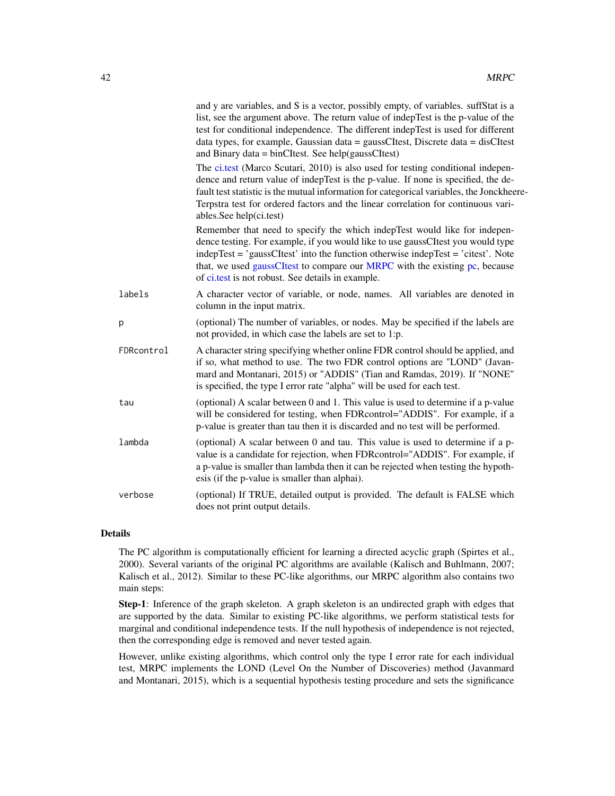|            | and y are variables, and S is a vector, possibly empty, of variables. suffStat is a<br>list, see the argument above. The return value of indepTest is the p-value of the<br>test for conditional independence. The different indepTest is used for different<br>data types, for example, Gaussian data = gaussCItest, Discrete data = disCItest<br>and Binary data = binCItest. See help(gaussCItest) |
|------------|-------------------------------------------------------------------------------------------------------------------------------------------------------------------------------------------------------------------------------------------------------------------------------------------------------------------------------------------------------------------------------------------------------|
|            | The ci.test (Marco Scutari, 2010) is also used for testing conditional indepen-<br>dence and return value of indepTest is the p-value. If none is specified, the de-<br>fault test statistic is the mutual information for categorical variables, the Jonckheere-<br>Terpstra test for ordered factors and the linear correlation for continuous vari-<br>ables.See help(ci.test)                     |
|            | Remember that need to specify the which indepTest would like for indepen-<br>dence testing. For example, if you would like to use gaussCItest you would type<br>indepTest = 'gaussCItest' into the function otherwise indepTest = 'citest'. Note<br>that, we used gaussCItest to compare our MRPC with the existing pc, because<br>of ci.test is not robust. See details in example.                  |
| labels     | A character vector of variable, or node, names. All variables are denoted in<br>column in the input matrix.                                                                                                                                                                                                                                                                                           |
| p          | (optional) The number of variables, or nodes. May be specified if the labels are<br>not provided, in which case the labels are set to 1:p.                                                                                                                                                                                                                                                            |
| FDRcontrol | A character string specifying whether online FDR control should be applied, and<br>if so, what method to use. The two FDR control options are "LOND" (Javan-<br>mard and Montanari, 2015) or "ADDIS" (Tian and Ramdas, 2019). If "NONE"<br>is specified, the type I error rate "alpha" will be used for each test.                                                                                    |
| tau        | (optional) A scalar between 0 and 1. This value is used to determine if a p-value<br>will be considered for testing, when FDRcontrol="ADDIS". For example, if a<br>p-value is greater than tau then it is discarded and no test will be performed.                                                                                                                                                    |
| lambda     | (optional) A scalar between 0 and tau. This value is used to determine if a p-<br>value is a candidate for rejection, when FDRcontrol="ADDIS". For example, if<br>a p-value is smaller than lambda then it can be rejected when testing the hypoth-<br>esis (if the p-value is smaller than alphai).                                                                                                  |
| verbose    | (optional) If TRUE, detailed output is provided. The default is FALSE which<br>does not print output details.                                                                                                                                                                                                                                                                                         |

#### Details

The PC algorithm is computationally efficient for learning a directed acyclic graph (Spirtes et al., 2000). Several variants of the original PC algorithms are available (Kalisch and Buhlmann, 2007; Kalisch et al., 2012). Similar to these PC-like algorithms, our MRPC algorithm also contains two main steps:

Step-1: Inference of the graph skeleton. A graph skeleton is an undirected graph with edges that are supported by the data. Similar to existing PC-like algorithms, we perform statistical tests for marginal and conditional independence tests. If the null hypothesis of independence is not rejected, then the corresponding edge is removed and never tested again.

However, unlike existing algorithms, which control only the type I error rate for each individual test, MRPC implements the LOND (Level On the Number of Discoveries) method (Javanmard and Montanari, 2015), which is a sequential hypothesis testing procedure and sets the significance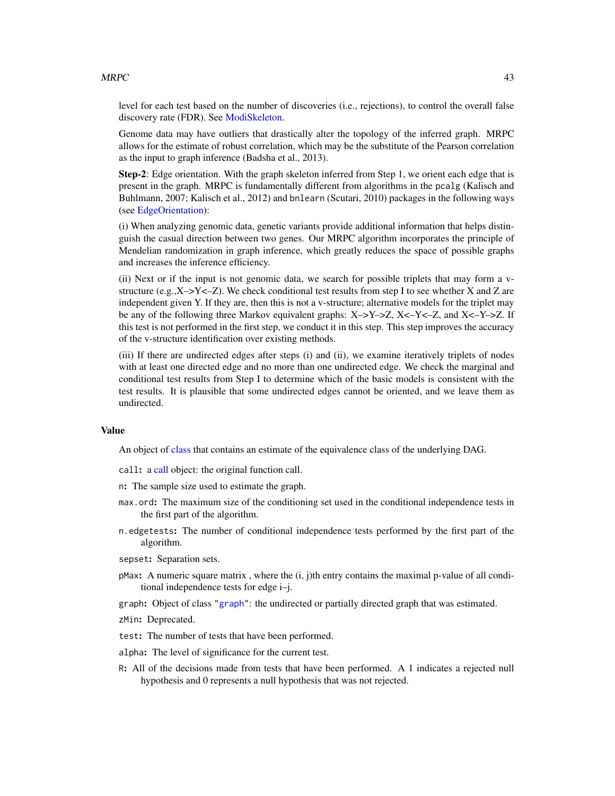#### $MRPC$  and the set of the set of the set of the set of the set of the set of the set of the set of the set of the set of the set of the set of the set of the set of the set of the set of the set of the set of the set of the

level for each test based on the number of discoveries (i.e., rejections), to control the overall false discovery rate (FDR). See [ModiSkeleton.](#page-35-0)

Genome data may have outliers that drastically alter the topology of the inferred graph. MRPC allows for the estimate of robust correlation, which may be the substitute of the Pearson correlation as the input to graph inference (Badsha et al., 2013).

Step-2: Edge orientation. With the graph skeleton inferred from Step 1, we orient each edge that is present in the graph. MRPC is fundamentally different from algorithms in the pcalg (Kalisch and Buhlmann, 2007; Kalisch et al., 2012) and bnlearn (Scutari, 2010) packages in the following ways (see [EdgeOrientation\)](#page-28-0):

(i) When analyzing genomic data, genetic variants provide additional information that helps distinguish the casual direction between two genes. Our MRPC algorithm incorporates the principle of Mendelian randomization in graph inference, which greatly reduces the space of possible graphs and increases the inference efficiency.

(ii) Next or if the input is not genomic data, we search for possible triplets that may form a vstructure (e.g.,  $X \rightarrow Y \leftarrow Z$ ). We check conditional test results from step I to see whether X and Z are independent given Y. If they are, then this is not a v-structure; alternative models for the triplet may be any of the following three Markov equivalent graphs: X–>Y–>Z, X<–Y<–Z, and X<–Y–>Z. If this test is not performed in the first step, we conduct it in this step. This step improves the accuracy of the v-structure identification over existing methods.

(iii) If there are undirected edges after steps (i) and (ii), we examine iteratively triplets of nodes with at least one directed edge and no more than one undirected edge. We check the marginal and conditional test results from Step I to determine which of the basic models is consistent with the test results. It is plausible that some undirected edges cannot be oriented, and we leave them as undirected.

### Value

An object of [class](#page-0-0) that contains an estimate of the equivalence class of the underlying DAG.

call: a [call](#page-0-0) object: the original function call.

- n: The sample size used to estimate the graph.
- max.ord: The maximum size of the conditioning set used in the conditional independence tests in the first part of the algorithm.
- n.edgetests: The number of conditional independence tests performed by the first part of the algorithm.

sepset: Separation sets.

 $p$ Max: A numeric square matrix, where the  $(i, j)$ th entry contains the maximal p-value of all conditional independence tests for edge i–j.

graph: Object of class ["graph"](#page-0-0): the undirected or partially directed graph that was estimated.

zMin: Deprecated.

test: The number of tests that have been performed.

alpha: The level of significance for the current test.

R: All of the decisions made from tests that have been performed. A 1 indicates a rejected null hypothesis and 0 represents a null hypothesis that was not rejected.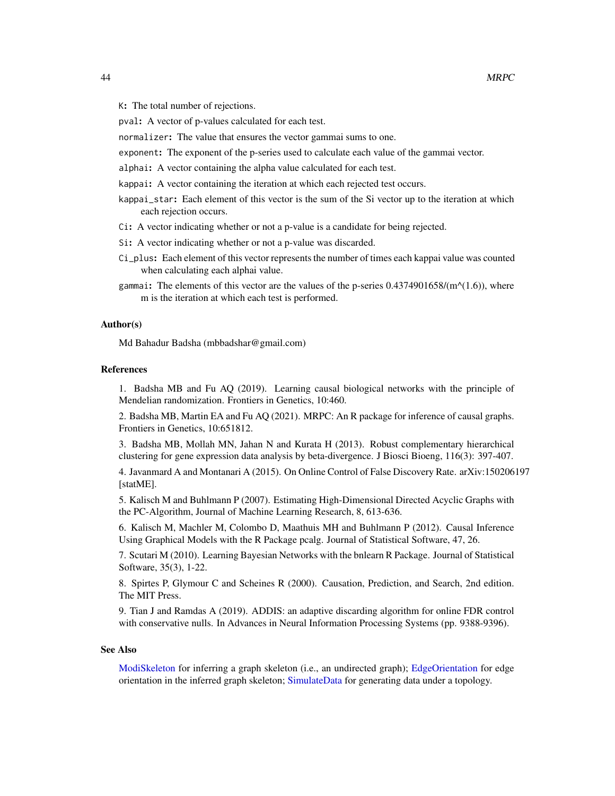K: The total number of rejections.

pval: A vector of p-values calculated for each test.

normalizer: The value that ensures the vector gammai sums to one.

exponent: The exponent of the p-series used to calculate each value of the gammai vector.

alphai: A vector containing the alpha value calculated for each test.

kappai: A vector containing the iteration at which each rejected test occurs.

- kappai\_star: Each element of this vector is the sum of the Si vector up to the iteration at which each rejection occurs.
- Ci: A vector indicating whether or not a p-value is a candidate for being rejected.
- Si: A vector indicating whether or not a p-value was discarded.
- Ci\_plus: Each element of this vector represents the number of times each kappai value was counted when calculating each alphai value.
- gammai: The elements of this vector are the values of the p-series  $0.4374901658/(m^{\alpha}(1.6))$ , where m is the iteration at which each test is performed.

#### Author(s)

Md Bahadur Badsha (mbbadshar@gmail.com)

### References

1. Badsha MB and Fu AQ (2019). Learning causal biological networks with the principle of Mendelian randomization. Frontiers in Genetics, 10:460.

2. Badsha MB, Martin EA and Fu AQ (2021). MRPC: An R package for inference of causal graphs. Frontiers in Genetics, 10:651812.

3. Badsha MB, Mollah MN, Jahan N and Kurata H (2013). Robust complementary hierarchical clustering for gene expression data analysis by beta-divergence. J Biosci Bioeng, 116(3): 397-407.

4. Javanmard A and Montanari A (2015). On Online Control of False Discovery Rate. arXiv:150206197 [statME].

5. Kalisch M and Buhlmann P (2007). Estimating High-Dimensional Directed Acyclic Graphs with the PC-Algorithm, Journal of Machine Learning Research, 8, 613-636.

6. Kalisch M, Machler M, Colombo D, Maathuis MH and Buhlmann P (2012). Causal Inference Using Graphical Models with the R Package pcalg. Journal of Statistical Software, 47, 26.

7. Scutari M (2010). Learning Bayesian Networks with the bnlearn R Package. Journal of Statistical Software, 35(3), 1-22.

8. Spirtes P, Glymour C and Scheines R (2000). Causation, Prediction, and Search, 2nd edition. The MIT Press.

9. Tian J and Ramdas A (2019). ADDIS: an adaptive discarding algorithm for online FDR control with conservative nulls. In Advances in Neural Information Processing Systems (pp. 9388-9396).

#### See Also

[ModiSkeleton](#page-35-0) for inferring a graph skeleton (i.e., an undirected graph); [EdgeOrientation](#page-28-0) for edge orientation in the inferred graph skeleton; [SimulateData](#page-61-0) for generating data under a topology.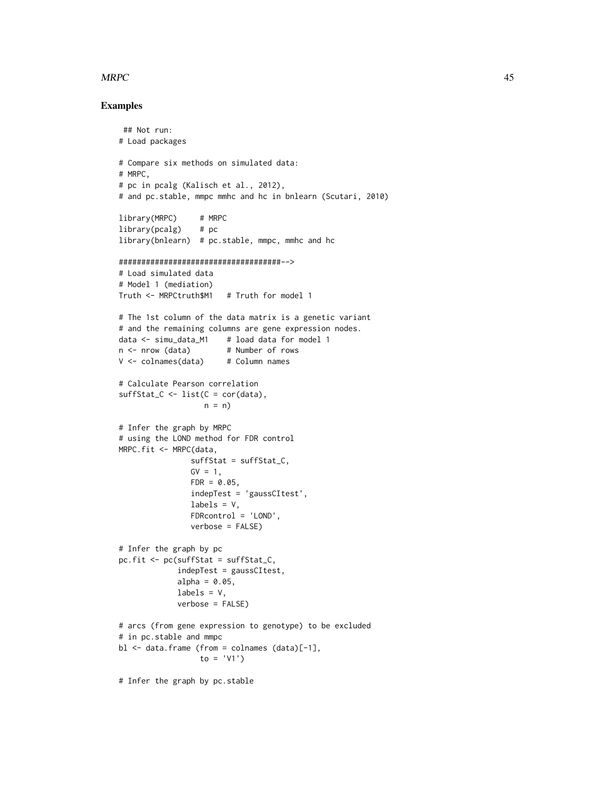#### $MRPC$  and the set of the set of the set of the set of the set of the set of the set of the set of the set of the set of the set of the set of the set of the set of the set of the set of the set of the set of the set of the

### Examples

```
## Not run:
# Load packages
# Compare six methods on simulated data:
# MRPC,
# pc in pcalg (Kalisch et al., 2012),
# and pc.stable, mmpc mmhc and hc in bnlearn (Scutari, 2010)
library(MRPC) # MRPC
library(pcalg) # pc
library(bnlearn) # pc.stable, mmpc, mmhc and hc
####################################-->
# Load simulated data
# Model 1 (mediation)
Truth <- MRPCtruth$M1 # Truth for model 1
# The 1st column of the data matrix is a genetic variant
# and the remaining columns are gene expression nodes.
data <- simu_data_M1 # load data for model 1
n \leq -n row (data) # Number of rows
V <- colnames(data) # Column names
# Calculate Pearson correlation
sufficient_C \leftarrow list(C = cor(data),n = n)
# Infer the graph by MRPC
# using the LOND method for FDR control
MRPC.fit <- MRPC(data,
                suffStat = suffStat_C,
               GV = 1,FDR = 0.05,
                indepTest = 'gaussCItest',
                labels = V,
               FDRcontrol = 'LOND',
               verbose = FALSE)
# Infer the graph by pc
pc.fit <- pc(suffStat = suffStat_C,
             indepTest = gaussCItest,
             alpha = 0.05,
             labels = V,
             verbose = FALSE)
# arcs (from gene expression to genotype) to be excluded
# in pc.stable and mmpc
bl <- data.frame (from = colnames (data)[-1],
                 to = 'V1')# Infer the graph by pc.stable
```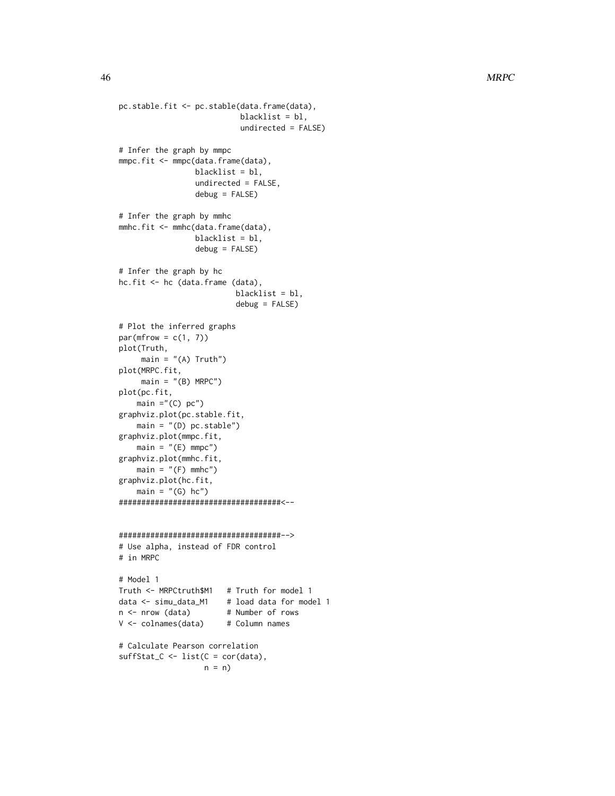```
pc.stable.fit <- pc.stable(data.frame(data),
                           blacklist = bl,
                           undirected = FALSE)
# Infer the graph by mmpc
mmpc.fit <- mmpc(data.frame(data),
                 blacklist = bl,
                 undirected = FALSE,
                 debug = FALSE)
# Infer the graph by mmhc
mmhc.fit <- mmhc(data.frame(data),
                 blacklist = bl,
                 debug = FALSE)
# Infer the graph by hc
hc.fit <- hc (data.frame (data),
                          blacklist = bl,
                          debug = FALSE)
# Plot the inferred graphs
par(mfrow = c(1, 7))plot(Truth,
     main = "A) Truth")
plot(MRPC.fit,
     main = "B) MRPC")plot(pc.fit,
    main ="(C) pc")
graphviz.plot(pc.stable.fit,
   main = "(D) pc.stable")
graphviz.plot(mmpc.fit,
   main = "E) mmpc")
graphviz.plot(mmhc.fit,
   main = "F) mmhc")
graphviz.plot(hc.fit,
    main = " (G) hc")####################################<--
####################################-->
# Use alpha, instead of FDR control
# in MRPC
# Model 1
Truth <- MRPCtruth$M1 # Truth for model 1
data <- simu_data_M1 # load data for model 1
n <- nrow (data) # Number of rows
V <- colnames(data) # Column names
# Calculate Pearson correlation
sufficient_C \leftarrow list(C = cor(data),n = n)
```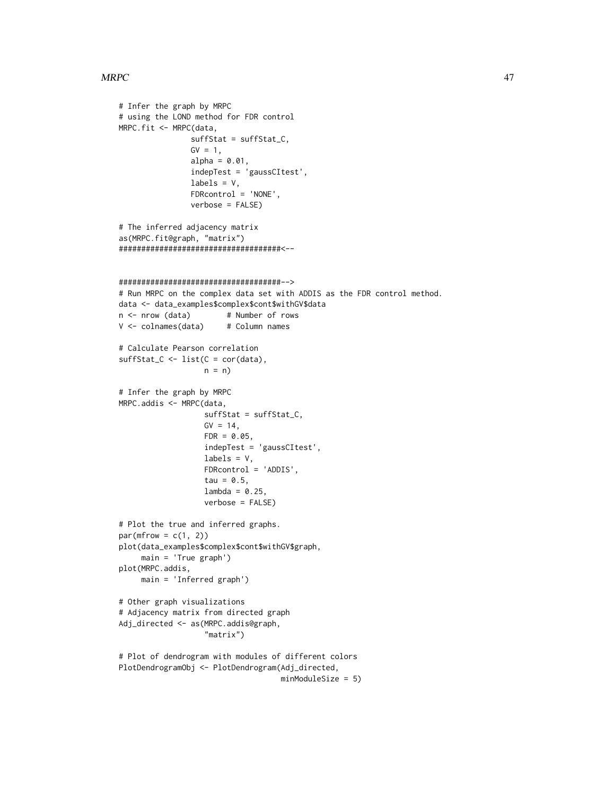#### $MRPC$  and the set of the set of the set of the set of the set of the set of the set of the set of the set of the set of the set of the set of the set of the set of the set of the set of the set of the set of the set of the

# Infer the graph by MRPC

```
# using the LOND method for FDR control
MRPC.fit <- MRPC(data,
                suffStat = suffStat_C,
                GV = 1,alpha = 0.01,
                indepTest = 'gaussCItest',
                labels = V,
                FDRcontrol = 'NONE',
                verbose = FALSE)
# The inferred adjacency matrix
as(MRPC.fit@graph, "matrix")
####################################<--
####################################-->
# Run MRPC on the complex data set with ADDIS as the FDR control method.
data <- data_examples$complex$cont$withGV$data
n <- nrow (data) # Number of rows
V <- colnames(data) # Column names
# Calculate Pearson correlation
suffStat_C \leftarrow list(C = cor(data),n = n)
# Infer the graph by MRPC
MRPC.addis <- MRPC(data,
                   suffStat = suffStat_C,
                   GV = 14,FDR = 0.05,
                   indepTest = 'gaussCItest',
                   labels = V,
                   FDRcontrol = 'ADDIS',
                   tau = 0.5,
                   lambda = 0.25,
                   verbose = FALSE)
# Plot the true and inferred graphs.
par(mfrow = c(1, 2))plot(data_examples$complex$cont$withGV$graph,
     main = 'True graph')
plot(MRPC.addis,
     main = 'Inferred graph')
# Other graph visualizations
# Adjacency matrix from directed graph
Adj_directed <- as(MRPC.addis@graph,
                   "matrix")
# Plot of dendrogram with modules of different colors
PlotDendrogramObj <- PlotDendrogram(Adj_directed,
                                    minModuleSize = 5)
```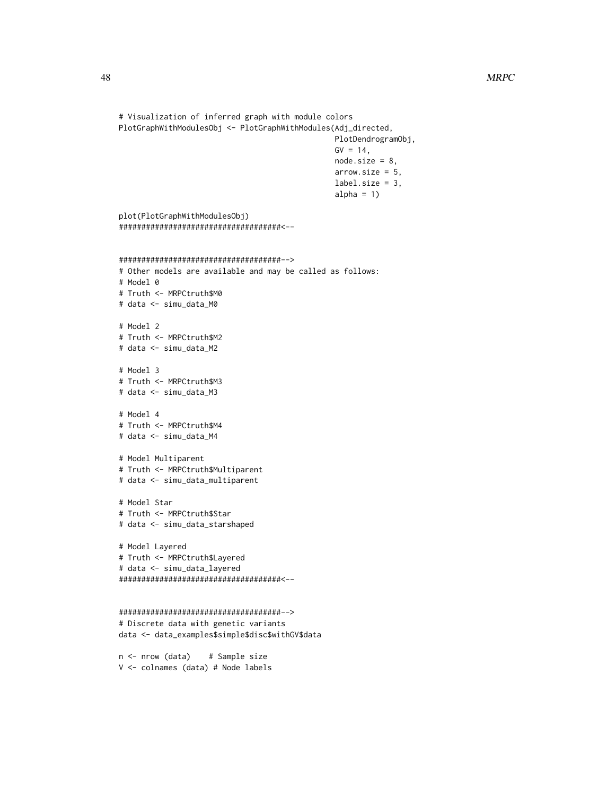```
# Visualization of inferred graph with module colors
PlotGraphWithModulesObj <- PlotGraphWithModules(Adj_directed,
                                                PlotDendrogramObj,
                                                GV = 14,node.size = 8,
                                                arrow.size = 5,
                                                label.size = 3,
                                                alpha = 1)
plot(PlotGraphWithModulesObj)
####################################<--
####################################-->
# Other models are available and may be called as follows:
# Model 0
# Truth <- MRPCtruth$M0
# data <- simu_data_M0
# Model 2
# Truth <- MRPCtruth$M2
# data <- simu_data_M2
# Model 3
# Truth <- MRPCtruth$M3
# data <- simu_data_M3
# Model 4
# Truth <- MRPCtruth$M4
# data <- simu_data_M4
# Model Multiparent
# Truth <- MRPCtruth$Multiparent
# data <- simu_data_multiparent
# Model Star
# Truth <- MRPCtruth$Star
# data <- simu_data_starshaped
# Model Layered
# Truth <- MRPCtruth$Layered
# data <- simu_data_layered
####################################<--
####################################-->
# Discrete data with genetic variants
data <- data_examples$simple$disc$withGV$data
n <- nrow (data) # Sample size
```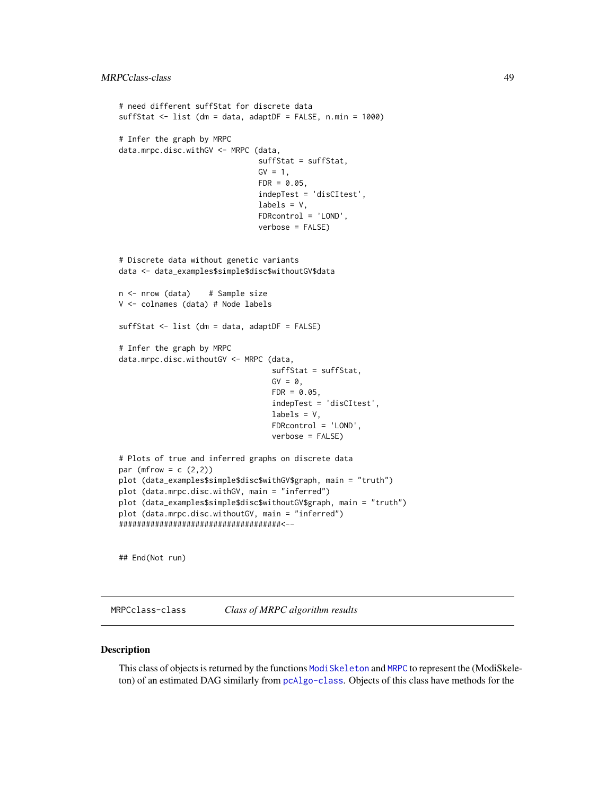```
# need different suffStat for discrete data
suffStat <- list (dm = data, adaptDF = FALSE, n.min = 1000)
# Infer the graph by MRPC
data.mrpc.disc.withGV <- MRPC (data,
                               suffStat = suffStat,
                               GV = 1,FDR = 0.05,
                               indepTest = 'disCItest',
                               labels = V,
                               FDRcontrol = 'LOND',
                               verbose = FALSE)
# Discrete data without genetic variants
data <- data_examples$simple$disc$withoutGV$data
n <- nrow (data) # Sample size
V <- colnames (data) # Node labels
suffStat <- list (dm = data, adaptDF = FALSE)
# Infer the graph by MRPC
data.mrpc.disc.withoutGV <- MRPC (data,
                                  suffStat = suffStat,
                                  GV = 0,FDR = 0.05,
                                  indepTest = 'disCItest',
                                  labels = V,FDRcontrol = 'LOND',
                                  verbose = FALSE)
# Plots of true and inferred graphs on discrete data
par (mfrow = c (2,2))
plot (data_examples$simple$disc$withGV$graph, main = "truth")
plot (data.mrpc.disc.withGV, main = "inferred")
plot (data_examples$simple$disc$withoutGV$graph, main = "truth")
plot (data.mrpc.disc.withoutGV, main = "inferred")
####################################<--
```
## End(Not run)

MRPCclass-class *Class of MRPC algorithm results*

#### Description

This class of objects is returned by the functions [ModiSkeleton](#page-35-0) and [MRPC](#page-40-0) to represent the (ModiSkeleton) of an estimated DAG similarly from [pcAlgo-class](#page-0-0). Objects of this class have methods for the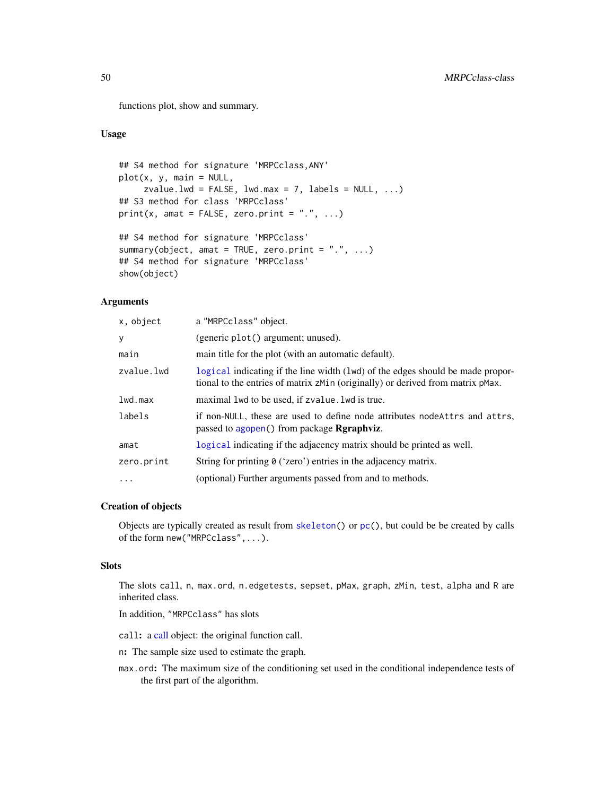functions plot, show and summary.

# Usage

```
## S4 method for signature 'MRPCclass,ANY'
plot(x, y, main = NULL,
     zvalue.lwd = FALSE, lwd.max = 7, labels = NULL, ...)
## S3 method for class 'MRPCclass'
print(x, \text{amat} = FALSE, zero.print = ".", ...)## S4 method for signature 'MRPCclass'
summary(object, amat = TRUE, zero.print = ".", ...)
## S4 method for signature 'MRPCclass'
show(object)
```
#### Arguments

| x, object  | a "MRPCclass" object.                                                                                                                                            |
|------------|------------------------------------------------------------------------------------------------------------------------------------------------------------------|
| у          | (generic plot() argument; unused).                                                                                                                               |
| main       | main title for the plot (with an automatic default).                                                                                                             |
| zvalue.lwd | logical indicating if the line width (lwd) of the edges should be made propor-<br>tional to the entries of matrix zMin (originally) or derived from matrix pMax. |
| lwd.max    | maximal 1 wd to be used, if zvalue. 1 wd is true.                                                                                                                |
| labels     | if non-NULL, these are used to define node attributes node Attrs and attrs,<br>passed to agopen() from package <b>Rgraphviz</b> .                                |
| amat       | logical indicating if the adjacency matrix should be printed as well.                                                                                            |
| zero.print | String for printing $\theta$ ('zero') entries in the adjacency matrix.                                                                                           |
| $\cdots$   | (optional) Further arguments passed from and to methods.                                                                                                         |

### Creation of objects

Objects are typically created as result from [skeleton\(](#page-0-0)) or [pc\(](#page-0-0)), but could be be created by calls of the form new("MRPCclass",...).

# **Slots**

The slots call, n, max.ord, n.edgetests, sepset, pMax, graph, zMin, test, alpha and R are inherited class.

In addition, "MRPCclass" has slots

call: a [call](#page-0-0) object: the original function call.

n: The sample size used to estimate the graph.

max.ord: The maximum size of the conditioning set used in the conditional independence tests of the first part of the algorithm.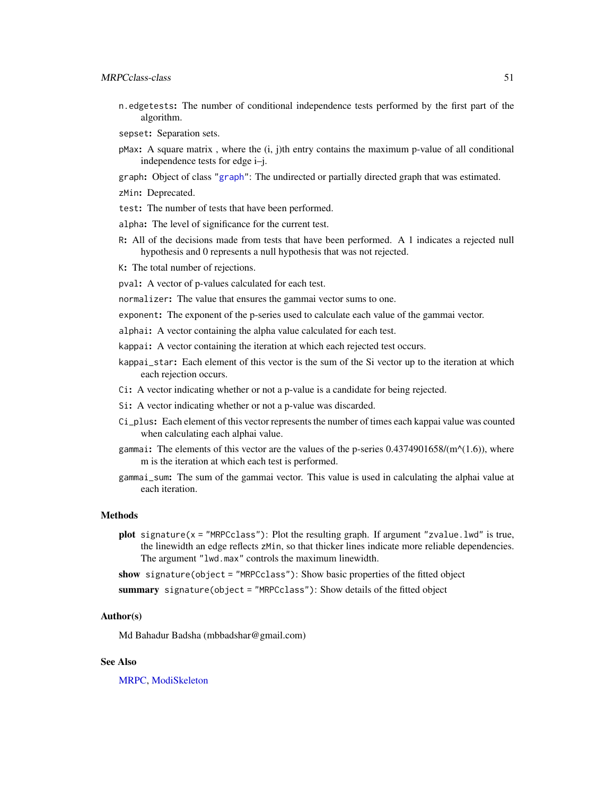- n.edgetests: The number of conditional independence tests performed by the first part of the algorithm.
- sepset: Separation sets.
- $p$ Max: A square matrix, where the  $(i, j)$ th entry contains the maximum p-value of all conditional independence tests for edge i–j.
- graph: Object of class ["graph"](#page-0-0): The undirected or partially directed graph that was estimated.
- zMin: Deprecated.
- test: The number of tests that have been performed.
- alpha: The level of significance for the current test.
- R: All of the decisions made from tests that have been performed. A 1 indicates a rejected null hypothesis and 0 represents a null hypothesis that was not rejected.
- K: The total number of rejections.
- pval: A vector of p-values calculated for each test.
- normalizer: The value that ensures the gammai vector sums to one.
- exponent: The exponent of the p-series used to calculate each value of the gammai vector.
- alphai: A vector containing the alpha value calculated for each test.
- kappai: A vector containing the iteration at which each rejected test occurs.
- kappai\_star: Each element of this vector is the sum of the Si vector up to the iteration at which each rejection occurs.
- Ci: A vector indicating whether or not a p-value is a candidate for being rejected.
- Si: A vector indicating whether or not a p-value was discarded.
- Ci\_plus: Each element of this vector represents the number of times each kappai value was counted when calculating each alphai value.
- gammai: The elements of this vector are the values of the p-series  $0.4374901658/(m^{\alpha}(1.6))$ , where m is the iteration at which each test is performed.
- gammai\_sum: The sum of the gammai vector. This value is used in calculating the alphai value at each iteration.

### Methods

- plot signature(x = "MRPCclass"): Plot the resulting graph. If argument "zvalue.lwd" is true, the linewidth an edge reflects zMin, so that thicker lines indicate more reliable dependencies. The argument "lwd.max" controls the maximum linewidth.
- show signature(object = "MRPCclass"): Show basic properties of the fitted object
- summary signature(object = "MRPCclass"): Show details of the fitted object

#### Author(s)

Md Bahadur Badsha (mbbadshar@gmail.com)

### See Also

[MRPC,](#page-40-0) [ModiSkeleton](#page-35-0)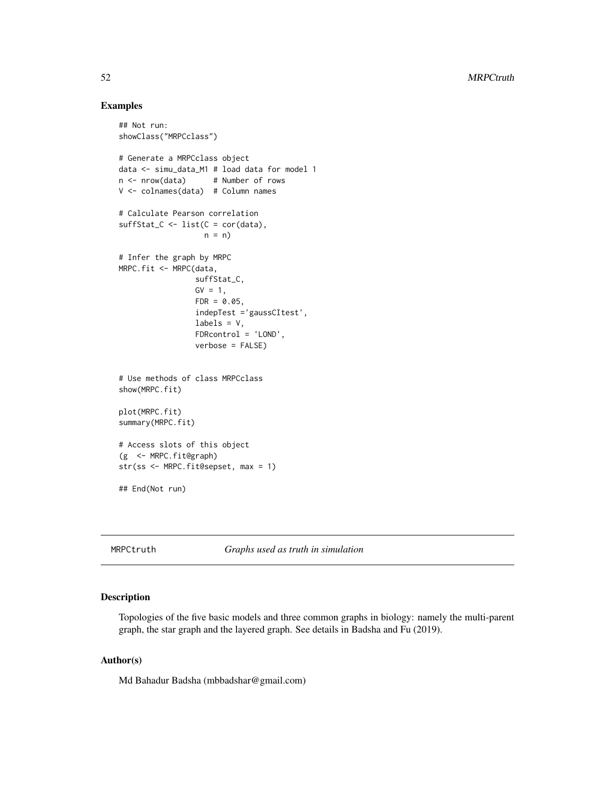### Examples

```
## Not run:
showClass("MRPCclass")
# Generate a MRPCclass object
data <- simu_data_M1 # load data for model 1
n <- nrow(data) # Number of rows
V <- colnames(data) # Column names
# Calculate Pearson correlation
sufficient_C \leftarrow list(C = cor(data),n = n)
# Infer the graph by MRPC
MRPC.fit <- MRPC(data,
                 suffStat_C,
                 GV = 1,FDR = 0.05,
                 indepTest ='gaussCItest',
                 labels = V,
                 FDRcontrol = 'LOND',
                 verbose = FALSE)
# Use methods of class MRPCclass
show(MRPC.fit)
plot(MRPC.fit)
summary(MRPC.fit)
# Access slots of this object
(g <- MRPC.fit@graph)
str(ss <- MRPC.fit@sepset, max = 1)
## End(Not run)
```
MRPCtruth *Graphs used as truth in simulation*

# Description

Topologies of the five basic models and three common graphs in biology: namely the multi-parent graph, the star graph and the layered graph. See details in Badsha and Fu (2019).

### Author(s)

Md Bahadur Badsha (mbbadshar@gmail.com)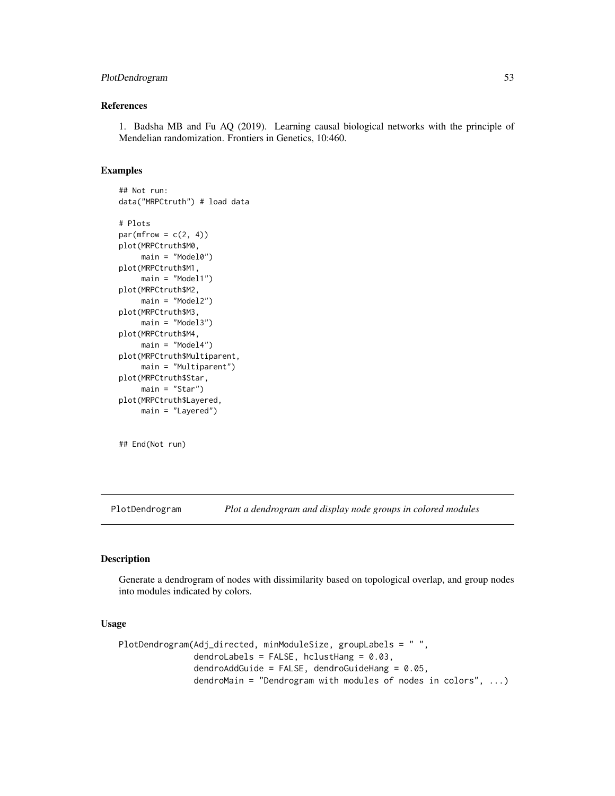# PlotDendrogram 53

#### References

1. Badsha MB and Fu AQ (2019). Learning causal biological networks with the principle of Mendelian randomization. Frontiers in Genetics, 10:460.

# Examples

```
## Not run:
data("MRPCtruth") # load data
# Plots
par(mfrow = c(2, 4))plot(MRPCtruth$M0,
     main = "Model0")
plot(MRPCtruth$M1,
    main = "Model1")
plot(MRPCtruth$M2,
     main = "Model2")
plot(MRPCtruth$M3,
     main = "Model3")
plot(MRPCtruth$M4,
     main = "Model4")plot(MRPCtruth$Multiparent,
     main = "Multiparent")
plot(MRPCtruth$Star,
     main = "Star")
plot(MRPCtruth$Layered,
     main = "Layered")
```
## End(Not run)

<span id="page-52-0"></span>PlotDendrogram *Plot a dendrogram and display node groups in colored modules*

# Description

Generate a dendrogram of nodes with dissimilarity based on topological overlap, and group nodes into modules indicated by colors.

# Usage

```
PlotDendrogram(Adj_directed, minModuleSize, groupLabels = " ",
               dendroLabels = FALSE, hclustHang = 0.03,
               dendroAddGuide = FALSE, dendroGuideHang = 0.05,
               dendroMain = "Dendrogram with modules of nodes in colors", ...)
```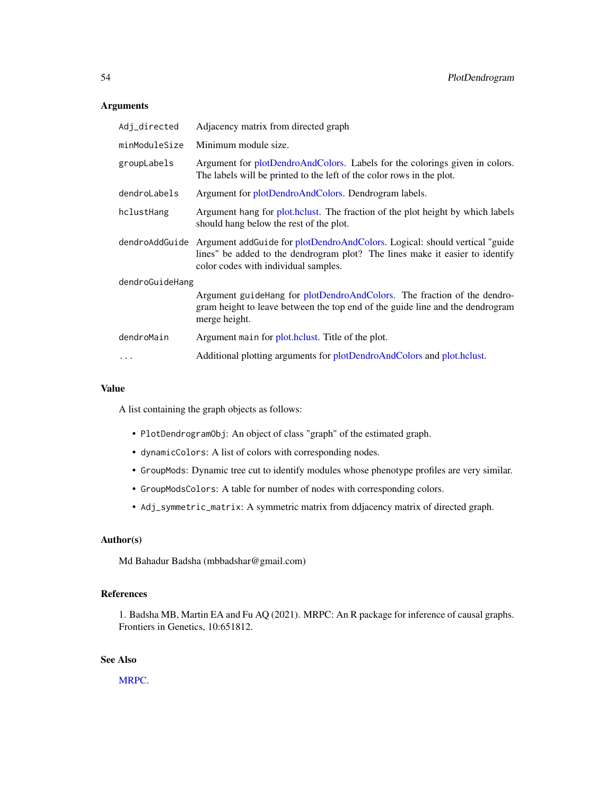# Arguments

| Adj_directed    | Adjacency matrix from directed graph                                                                                                                                                                |  |
|-----------------|-----------------------------------------------------------------------------------------------------------------------------------------------------------------------------------------------------|--|
| minModuleSize   | Minimum module size.                                                                                                                                                                                |  |
| groupLabels     | Argument for plotDendroAndColors. Labels for the colorings given in colors.<br>The labels will be printed to the left of the color rows in the plot.                                                |  |
| dendroLabels    | Argument for plotDendroAndColors. Dendrogram labels.                                                                                                                                                |  |
| hclustHang      | Argument hang for plot. holder the fraction of the plot height by which labels<br>should hang below the rest of the plot.                                                                           |  |
| dendroAddGuide  | Argument addGuide for plotDendroAndColors. Logical: should vertical "guide"<br>lines" be added to the dendrogram plot? The lines make it easier to identify<br>color codes with individual samples. |  |
| dendroGuideHang |                                                                                                                                                                                                     |  |
|                 | Argument guide Hang for plotDendroAndColors. The fraction of the dendro-<br>gram height to leave between the top end of the guide line and the dendrogram<br>merge height.                          |  |
| dendroMain      | Argument main for plot.hclust. Title of the plot.                                                                                                                                                   |  |
|                 | Additional plotting arguments for plotDendroAndColors and plot.hclust.                                                                                                                              |  |
|                 |                                                                                                                                                                                                     |  |

# Value

A list containing the graph objects as follows:

- PlotDendrogramObj: An object of class "graph" of the estimated graph.
- dynamicColors: A list of colors with corresponding nodes.
- GroupMods: Dynamic tree cut to identify modules whose phenotype profiles are very similar.
- GroupModsColors: A table for number of nodes with corresponding colors.
- Adj\_symmetric\_matrix: A symmetric matrix from ddjacency matrix of directed graph.

# Author(s)

Md Bahadur Badsha (mbbadshar@gmail.com)

### References

1. Badsha MB, Martin EA and Fu AQ (2021). MRPC: An R package for inference of causal graphs. Frontiers in Genetics, 10:651812.

# See Also

[MRPC.](#page-40-0)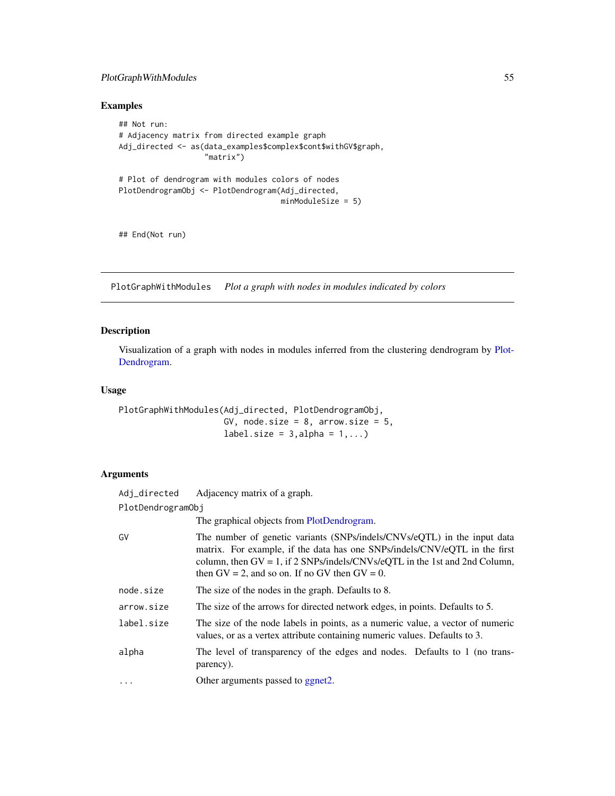# PlotGraphWithModules 55

# Examples

```
## Not run:
# Adjacency matrix from directed example graph
Adj_directed <- as(data_examples$complex$cont$withGV$graph,
                   "matrix")
# Plot of dendrogram with modules colors of nodes
PlotDendrogramObj <- PlotDendrogram(Adj_directed,
                                    minModuleSize = 5)
```
## End(Not run)

PlotGraphWithModules *Plot a graph with nodes in modules indicated by colors*

# Description

Visualization of a graph with nodes in modules inferred from the clustering dendrogram by [Plot-](#page-52-0)[Dendrogram.](#page-52-0)

# Usage

PlotGraphWithModules(Adj\_directed, PlotDendrogramObj, GV, node.size =  $8$ , arrow.size =  $5$ , label.size =  $3$ , alpha =  $1$ ,...)

# Arguments

| Adj_directed      | Adjacency matrix of a graph.                                                                                                                                                                                                                                                                   |  |
|-------------------|------------------------------------------------------------------------------------------------------------------------------------------------------------------------------------------------------------------------------------------------------------------------------------------------|--|
| PlotDendrogramObj |                                                                                                                                                                                                                                                                                                |  |
|                   | The graphical objects from PlotDendrogram.                                                                                                                                                                                                                                                     |  |
| GV                | The number of genetic variants (SNPs/indels/CNVs/eQTL) in the input data<br>matrix. For example, if the data has one SNPs/indels/CNV/eQTL in the first<br>column, then $GV = 1$ , if 2 SNPs/indels/CNVs/eQTL in the 1st and 2nd Column,<br>then $GV = 2$ , and so on. If no GV then $GV = 0$ . |  |
| node.size         | The size of the nodes in the graph. Defaults to 8.                                                                                                                                                                                                                                             |  |
| arrow.size        | The size of the arrows for directed network edges, in points. Defaults to 5.                                                                                                                                                                                                                   |  |
| label.size        | The size of the node labels in points, as a numeric value, a vector of numeric<br>values, or as a vertex attribute containing numeric values. Defaults to 3.                                                                                                                                   |  |
| alpha             | The level of transparency of the edges and nodes. Defaults to 1 (no trans-<br>parency).                                                                                                                                                                                                        |  |
| $\cdots$          | Other arguments passed to ggnet2.                                                                                                                                                                                                                                                              |  |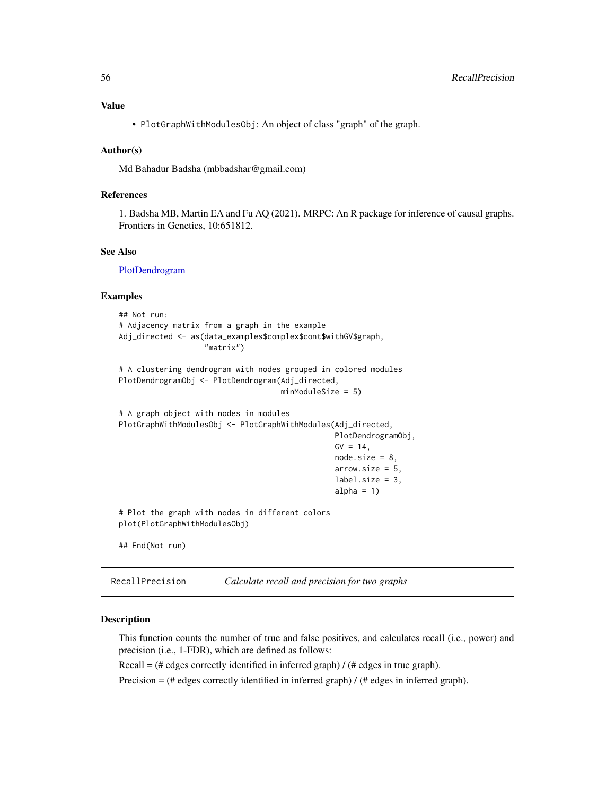# Value

• PlotGraphWithModulesObj: An object of class "graph" of the graph.

### Author(s)

Md Bahadur Badsha (mbbadshar@gmail.com)

# References

1. Badsha MB, Martin EA and Fu AQ (2021). MRPC: An R package for inference of causal graphs. Frontiers in Genetics, 10:651812.

#### See Also

[PlotDendrogram](#page-52-0)

#### Examples

```
## Not run:
# Adjacency matrix from a graph in the example
Adj_directed <- as(data_examples$complex$cont$withGV$graph,
                   "matrix")
# A clustering dendrogram with nodes grouped in colored modules
PlotDendrogramObj <- PlotDendrogram(Adj_directed,
                                    minModuleSize = 5)
# A graph object with nodes in modules
PlotGraphWithModulesObj <- PlotGraphWithModules(Adj_directed,
                                                PlotDendrogramObj,
                                                GV = 14,
                                                node.size = 8,
                                                arrow.size = 5,
                                                label.size = 3,
                                                alpha = 1)
# Plot the graph with nodes in different colors
plot(PlotGraphWithModulesObj)
## End(Not run)
```

| RecallPrecision |  | Calculate recall and precision for two graphs |
|-----------------|--|-----------------------------------------------|
|-----------------|--|-----------------------------------------------|

### Description

This function counts the number of true and false positives, and calculates recall (i.e., power) and precision (i.e., 1-FDR), which are defined as follows:

 $Recall = (*#* edges correctly identified in inferred graph) / (*#* edges in true graph).$ 

Precision = (# edges correctly identified in inferred graph) / (# edges in inferred graph).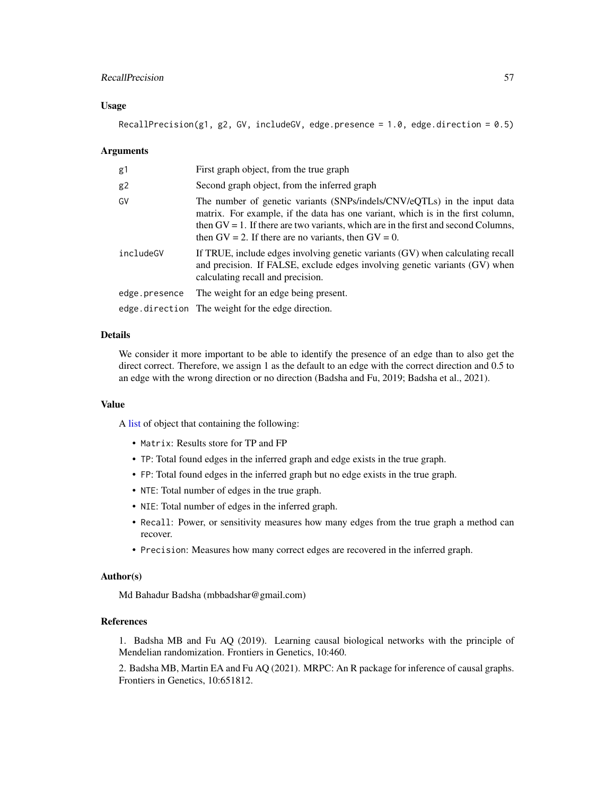### RecallPrecision 57

#### Usage

RecallPrecision(g1, g2, GV, includeGV, edge.presence =  $1.0$ , edge.direction =  $0.5$ )

#### Arguments

| g1            | First graph object, from the true graph                                                                                                                                                                                                                                                                           |
|---------------|-------------------------------------------------------------------------------------------------------------------------------------------------------------------------------------------------------------------------------------------------------------------------------------------------------------------|
| g2            | Second graph object, from the inferred graph                                                                                                                                                                                                                                                                      |
| G٧            | The number of genetic variants (SNPs/indels/CNV/eQTLs) in the input data<br>matrix. For example, if the data has one variant, which is in the first column,<br>then $GV = 1$ . If there are two variants, which are in the first and second Columns,<br>then $GV = 2$ . If there are no variants, then $GV = 0$ . |
| includeGV     | If TRUE, include edges involving genetic variants (GV) when calculating recall<br>and precision. If FALSE, exclude edges involving genetic variants (GV) when<br>calculating recall and precision.                                                                                                                |
| edge.presence | The weight for an edge being present.                                                                                                                                                                                                                                                                             |
|               | edge.direction The weight for the edge direction.                                                                                                                                                                                                                                                                 |

### Details

We consider it more important to be able to identify the presence of an edge than to also get the direct correct. Therefore, we assign 1 as the default to an edge with the correct direction and 0.5 to an edge with the wrong direction or no direction (Badsha and Fu, 2019; Badsha et al., 2021).

### Value

A [list](#page-0-0) of object that containing the following:

- Matrix: Results store for TP and FP
- TP: Total found edges in the inferred graph and edge exists in the true graph.
- FP: Total found edges in the inferred graph but no edge exists in the true graph.
- NTE: Total number of edges in the true graph.
- NIE: Total number of edges in the inferred graph.
- Recall: Power, or sensitivity measures how many edges from the true graph a method can recover.
- Precision: Measures how many correct edges are recovered in the inferred graph.

#### Author(s)

Md Bahadur Badsha (mbbadshar@gmail.com)

# References

1. Badsha MB and Fu AQ (2019). Learning causal biological networks with the principle of Mendelian randomization. Frontiers in Genetics, 10:460.

2. Badsha MB, Martin EA and Fu AQ (2021). MRPC: An R package for inference of causal graphs. Frontiers in Genetics, 10:651812.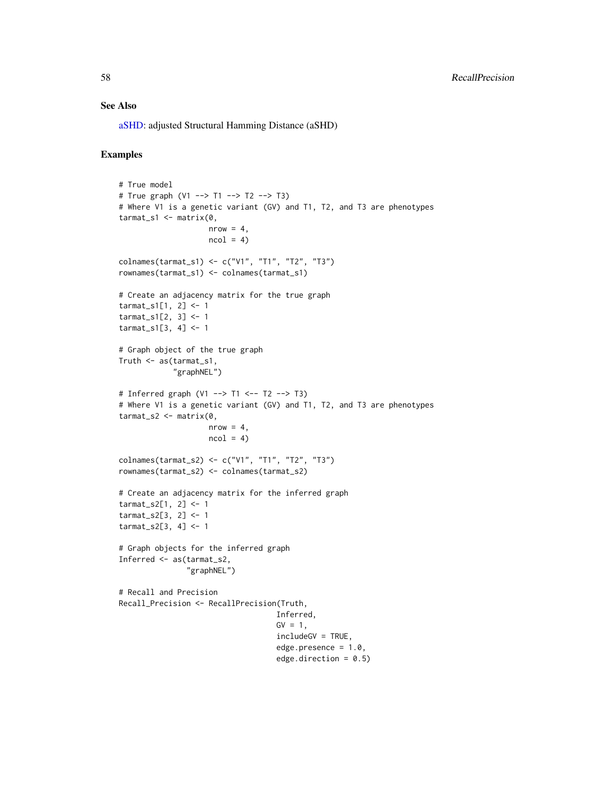#### See Also

[aSHD:](#page-2-0) adjusted Structural Hamming Distance (aSHD)

# Examples

```
# True model
# True graph (V1 --> T1 --> T2 --> T3)
# Where V1 is a genetic variant (GV) and T1, T2, and T3 are phenotypes
tarmat_s1 <- matrix(0,
                    nrow = 4,
                    ncol = 4colnames(tarmat_s1) <- c("V1", "T1", "T2", "T3")
rownames(tarmat_s1) <- colnames(tarmat_s1)
# Create an adjacency matrix for the true graph
tarmat_s1[1, 2] <- 1
tarmat_s1[2, 3] <- 1
tarmat_s1[3, 4] <- 1
# Graph object of the true graph
Truth <- as(tarmat_s1,
            "graphNEL")
# Inferred graph (V1 --> T1 <-- T2 --> T3)
# Where V1 is a genetic variant (GV) and T1, T2, and T3 are phenotypes
tarmat_s2 <- matrix(0,
                    nrow = 4,
                    ncol = 4colnames(tarmat_s2) <- c("V1", "T1", "T2", "T3")
rownames(tarmat_s2) <- colnames(tarmat_s2)
# Create an adjacency matrix for the inferred graph
tarmat_s2[1, 2] <- 1
tarmat_s2[3, 2] <- 1
tarmat_s2[3, 4] <- 1
# Graph objects for the inferred graph
Inferred <- as(tarmat_s2,
               "graphNEL")
# Recall and Precision
Recall_Precision <- RecallPrecision(Truth,
                                   Inferred,
                                   GV = 1,includeGV = TRUE,
                                   edge.presence = 1.0,
                                   edge.direction = 0.5)
```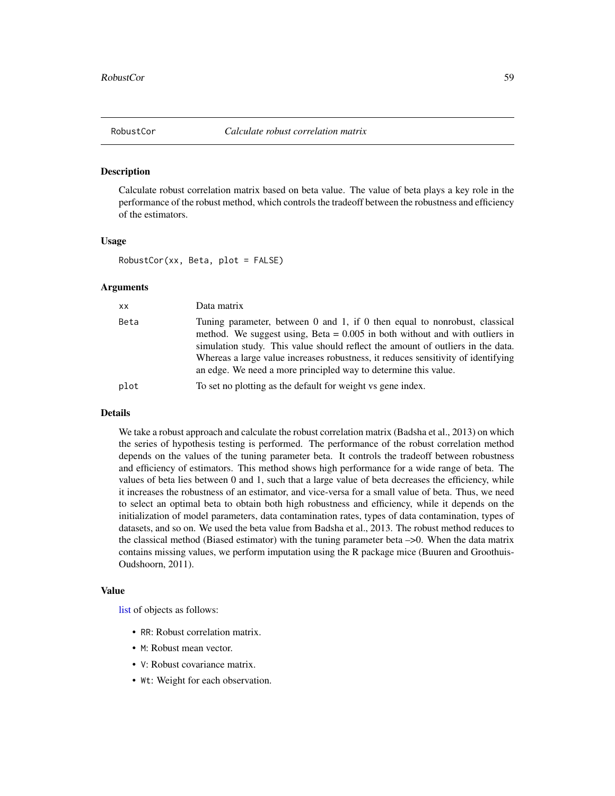#### Description

Calculate robust correlation matrix based on beta value. The value of beta plays a key role in the performance of the robust method, which controls the tradeoff between the robustness and efficiency of the estimators.

#### Usage

RobustCor(xx, Beta, plot = FALSE)

# Arguments

| XX.  | Data matrix                                                                                                                                                                                                                                                                                                                                                                                            |
|------|--------------------------------------------------------------------------------------------------------------------------------------------------------------------------------------------------------------------------------------------------------------------------------------------------------------------------------------------------------------------------------------------------------|
| Beta | Tuning parameter, between 0 and 1, if 0 then equal to nonrobust, classical<br>method. We suggest using, Beta $= 0.005$ in both without and with outliers in<br>simulation study. This value should reflect the amount of outliers in the data.<br>Whereas a large value increases robustness, it reduces sensitivity of identifying<br>an edge. We need a more principled way to determine this value. |
| plot | To set no plotting as the default for weight vs gene index.                                                                                                                                                                                                                                                                                                                                            |

#### Details

We take a robust approach and calculate the robust correlation matrix (Badsha et al., 2013) on which the series of hypothesis testing is performed. The performance of the robust correlation method depends on the values of the tuning parameter beta. It controls the tradeoff between robustness and efficiency of estimators. This method shows high performance for a wide range of beta. The values of beta lies between 0 and 1, such that a large value of beta decreases the efficiency, while it increases the robustness of an estimator, and vice-versa for a small value of beta. Thus, we need to select an optimal beta to obtain both high robustness and efficiency, while it depends on the initialization of model parameters, data contamination rates, types of data contamination, types of datasets, and so on. We used the beta value from Badsha et al., 2013. The robust method reduces to the classical method (Biased estimator) with the tuning parameter beta –>0. When the data matrix contains missing values, we perform imputation using the R package mice (Buuren and Groothuis-Oudshoorn, 2011).

#### Value

[list](#page-0-0) of objects as follows:

- RR: Robust correlation matrix.
- M: Robust mean vector.
- V: Robust covariance matrix.
- Wt: Weight for each observation.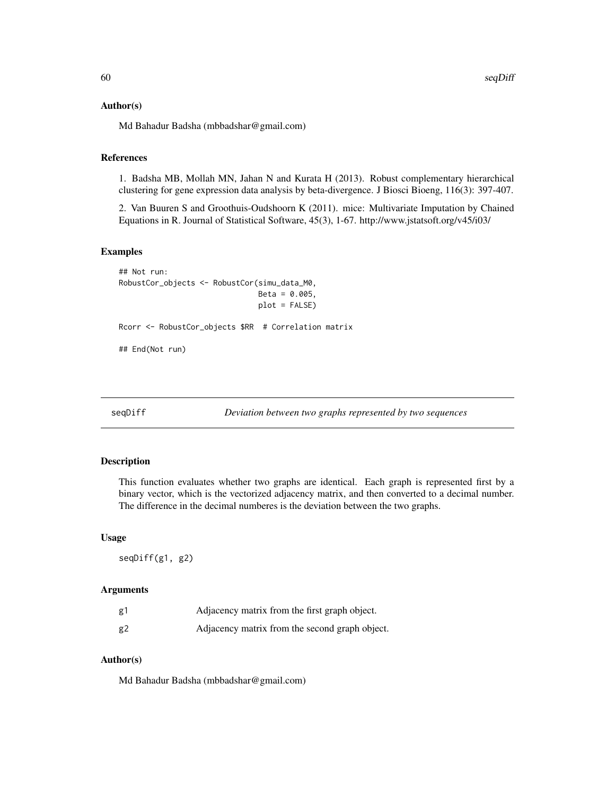#### Author(s)

Md Bahadur Badsha (mbbadshar@gmail.com)

### References

1. Badsha MB, Mollah MN, Jahan N and Kurata H (2013). Robust complementary hierarchical clustering for gene expression data analysis by beta-divergence. J Biosci Bioeng, 116(3): 397-407.

2. Van Buuren S and Groothuis-Oudshoorn K (2011). mice: Multivariate Imputation by Chained Equations in R. Journal of Statistical Software, 45(3), 1-67. http://www.jstatsoft.org/v45/i03/

#### Examples

```
## Not run:
RobustCor_objects <- RobustCor(simu_data_M0,
                               Beta = 0.005,
                               plot = FALSE)
Rcorr <- RobustCor_objects $RR # Correlation matrix
## End(Not run)
```
seqDiff *Deviation between two graphs represented by two sequences*

#### Description

This function evaluates whether two graphs are identical. Each graph is represented first by a binary vector, which is the vectorized adjacency matrix, and then converted to a decimal number. The difference in the decimal numberes is the deviation between the two graphs.

#### Usage

seqDiff(g1, g2)

#### Arguments

| g1 | Adjacency matrix from the first graph object.  |
|----|------------------------------------------------|
| g2 | Adjacency matrix from the second graph object. |

#### Author(s)

Md Bahadur Badsha (mbbadshar@gmail.com)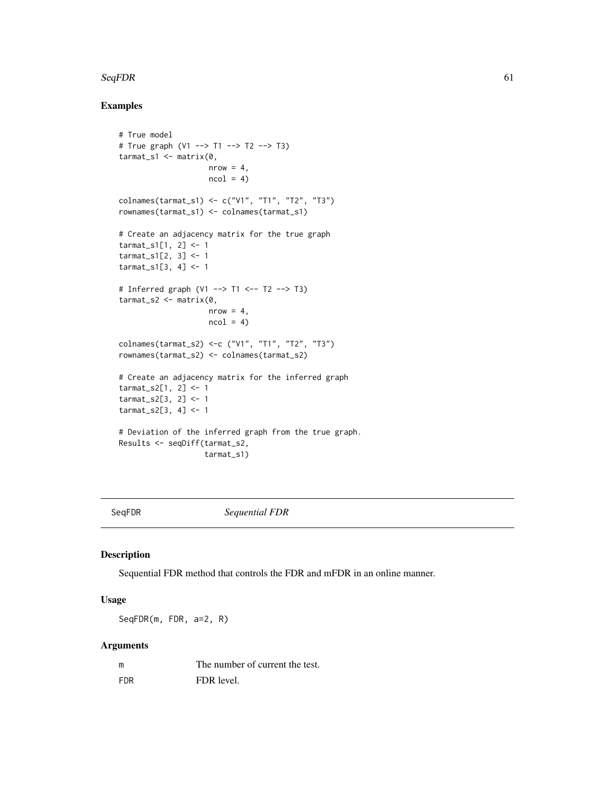#### $SeqFDR$  61

# Examples

```
# True model
# True graph (V1 --> T1 --> T2 --> T3)
tarmat_s1 <- matrix(0,
                    nrow = 4,
                    ncol = 4colnames(tarmat_s1) <- c("V1", "T1", "T2", "T3")
rownames(tarmat_s1) <- colnames(tarmat_s1)
# Create an adjacency matrix for the true graph
tarmat_s1[1, 2] <- 1
tarmat_s1[2, 3] <- 1
tarmat_s1[3, 4] <- 1
# Inferred graph (V1 --> T1 <-- T2 --> T3)
tarmat_s2 <- matrix(0,
                    nrow = 4,
                    ncol = 4colnames(tarmat_s2) <-c ("V1", "T1", "T2", "T3")
rownames(tarmat_s2) <- colnames(tarmat_s2)
# Create an adjacency matrix for the inferred graph
tarmat_s2[1, 2] <- 1
tarmat_s2[3, 2] <- 1
tarmat_s2[3, 4] <- 1
# Deviation of the inferred graph from the true graph.
Results <- seqDiff(tarmat_s2,
                   tarmat_s1)
```
SeqFDR *Sequential FDR*

#### Description

Sequential FDR method that controls the FDR and mFDR in an online manner.

### Usage

SeqFDR(m, FDR, a=2, R)

# Arguments

| m          | The number of current the test. |
|------------|---------------------------------|
| <b>FDR</b> | FDR level.                      |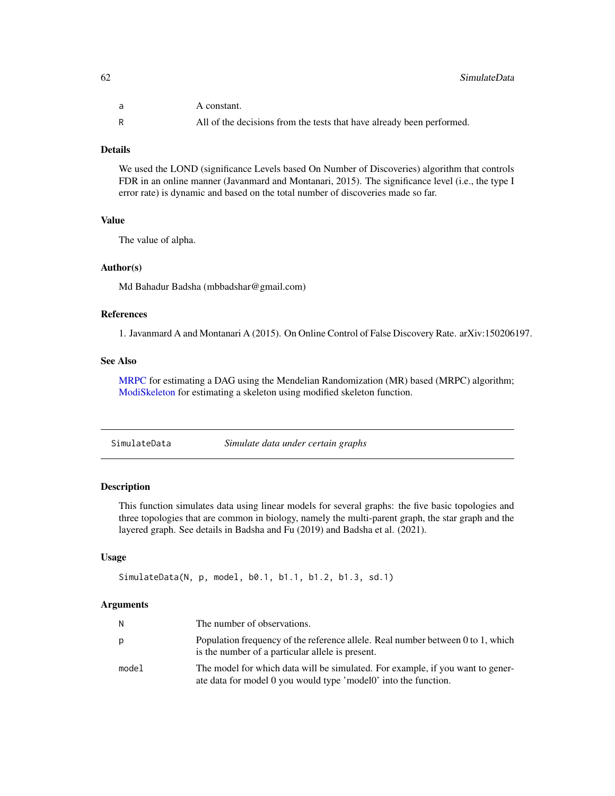| a | A constant.                                                           |
|---|-----------------------------------------------------------------------|
|   | All of the decisions from the tests that have already been performed. |

### Details

We used the LOND (significance Levels based On Number of Discoveries) algorithm that controls FDR in an online manner (Javanmard and Montanari, 2015). The significance level (i.e., the type I error rate) is dynamic and based on the total number of discoveries made so far.

### Value

The value of alpha.

#### Author(s)

Md Bahadur Badsha (mbbadshar@gmail.com)

# References

1. Javanmard A and Montanari A (2015). On Online Control of False Discovery Rate. arXiv:150206197.

#### See Also

[MRPC](#page-40-0) for estimating a DAG using the Mendelian Randomization (MR) based (MRPC) algorithm; [ModiSkeleton](#page-35-0) for estimating a skeleton using modified skeleton function.

<span id="page-61-0"></span>SimulateData *Simulate data under certain graphs*

### Description

This function simulates data using linear models for several graphs: the five basic topologies and three topologies that are common in biology, namely the multi-parent graph, the star graph and the layered graph. See details in Badsha and Fu (2019) and Badsha et al. (2021).

### Usage

```
SimulateData(N, p, model, b0.1, b1.1, b1.2, b1.3, sd.1)
```
#### Arguments

| N.    | The number of observations.                                                                                                                       |
|-------|---------------------------------------------------------------------------------------------------------------------------------------------------|
| p     | Population frequency of the reference allele. Real number between 0 to 1, which<br>is the number of a particular allele is present.               |
| model | The model for which data will be simulated. For example, if you want to gener-<br>ate data for model 0 you would type 'model0' into the function. |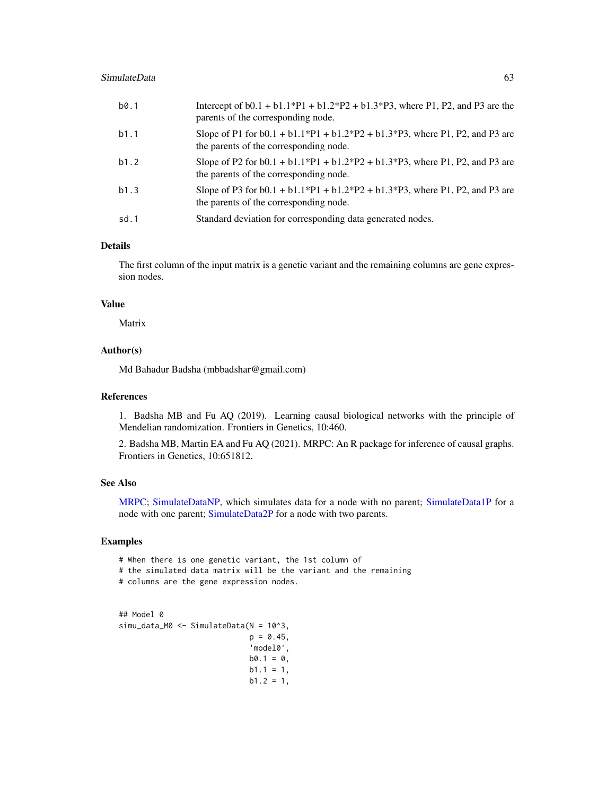| b0.1 | Intercept of $b0.1 + b1.1^*P1 + b1.2^*P2 + b1.3^*P3$ , where P1, P2, and P3 are the<br>parents of the corresponding node. |
|------|---------------------------------------------------------------------------------------------------------------------------|
| b1.1 | Slope of P1 for $b0.1 + b1.1*P1 + b1.2*P2 + b1.3*P3$ , where P1, P2, and P3 are<br>the parents of the corresponding node. |
| b1.2 | Slope of P2 for $b0.1 + b1.1*P1 + b1.2*P2 + b1.3*P3$ , where P1, P2, and P3 are<br>the parents of the corresponding node. |
| b1.3 | Slope of P3 for $b0.1 + b1.1*P1 + b1.2*P2 + b1.3*P3$ , where P1, P2, and P3 are<br>the parents of the corresponding node. |
| sd.1 | Standard deviation for corresponding data generated nodes.                                                                |

### Details

The first column of the input matrix is a genetic variant and the remaining columns are gene expression nodes.

# Value

Matrix

### Author(s)

Md Bahadur Badsha (mbbadshar@gmail.com)

#### References

1. Badsha MB and Fu AQ (2019). Learning causal biological networks with the principle of Mendelian randomization. Frontiers in Genetics, 10:460.

2. Badsha MB, Martin EA and Fu AQ (2021). MRPC: An R package for inference of causal graphs. Frontiers in Genetics, 10:651812.

#### See Also

[MRPC;](#page-40-0) [SimulateDataNP,](#page-67-0) which simulates data for a node with no parent; [SimulateData1P](#page-64-0) for a node with one parent; [SimulateData2P](#page-65-0) for a node with two parents.

### Examples

- # When there is one genetic variant, the 1st column of
- # the simulated data matrix will be the variant and the remaining
- # columns are the gene expression nodes.

```
## Model 0
simu_data_M0 <- SimulateData(N = 10^3,
                             p = 0.45,
                              'model0',
                             b0.1 = 0,
                             b1.1 = 1,
                             b1.2 = 1,
```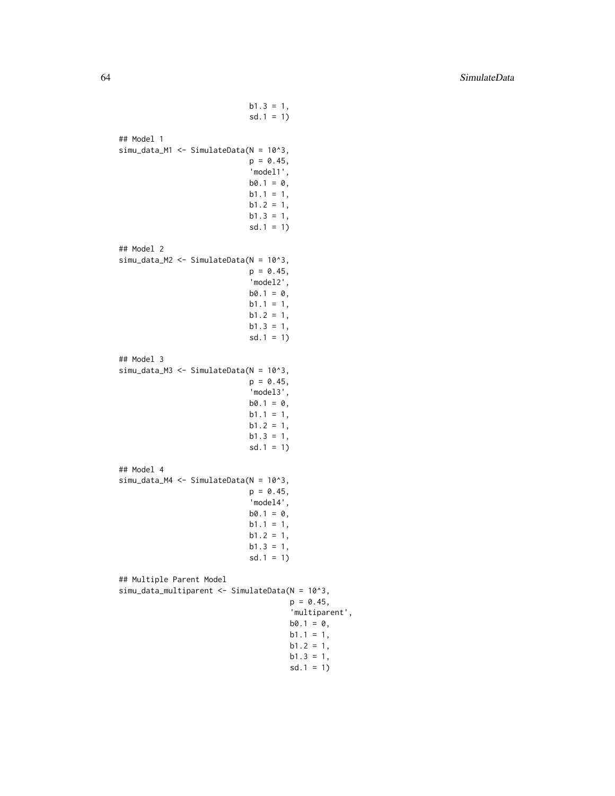$b1.3 = 1$ ,  $sd.1 = 1)$ ## Model 1 simu\_data\_M1 <- SimulateData(N = 10^3,  $p = 0.45$ , 'model1',  $b0.1 = 0$ ,  $b1.1 = 1$ ,  $b1.2 = 1$ ,  $b1.3 = 1$ , sd.1 = 1) ## Model 2 simu\_data\_M2 <- SimulateData(N = 10^3,  $p = 0.45$ , 'model2',  $b0.1 = 0$ ,  $b1.1 = 1,$  $b1.2 = 1$ ,  $b1.3 = 1$ ,  $sd.1 = 1)$ ## Model 3 simu\_data\_M3 <- SimulateData(N = 10^3,  $p = 0.45$ , 'model3',  $b0.1 = 0$ ,  $b1.1 = 1,$  $b1.2 = 1$ ,  $b1.3 = 1$ ,  $sd.1 = 1)$ ## Model 4 simu\_data\_M4 <- SimulateData(N = 10^3,  $p = 0.45$ , 'model4',  $b0.1 = 0$ ,  $b1.1 = 1$ ,  $b1.2 = 1$ ,  $b1.3 = 1$ , sd.1 = 1) ## Multiple Parent Model simu\_data\_multiparent <- SimulateData(N = 10^3,  $p = 0.45$ , 'multiparent',  $b0.1 = 0$ ,  $b1.1 = 1,$  $b1.2 = 1$ ,  $b1.3 = 1,$  $sd.1 = 1)$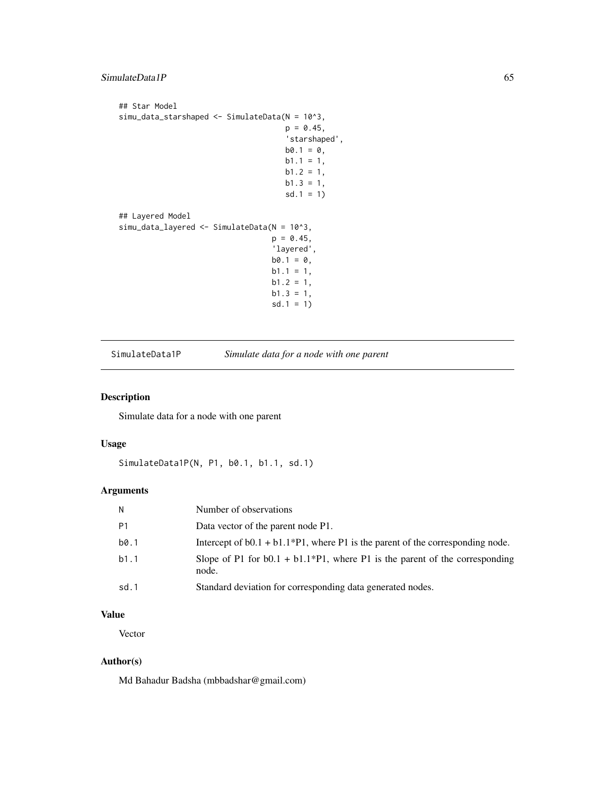```
## Star Model
simu_data_starshaped <- SimulateData(N = 10^3,
                                     p = 0.45,
                                     'starshaped',
                                     b0.1 = 0,b1.1 = 1,b1.2 = 1,
                                     b1.3 = 1,
                                     sd.1 = 1)## Layered Model
simu_data_layered <- SimulateData(N = 10^3,
                                  p = 0.45,
                                  'layered',
                                  b0.1 = 0,
                                  b1.1 = 1,
                                  b1.2 = 1,
                                  b1.3 = 1,
                                  sd.1 = 1)
```
<span id="page-64-0"></span>SimulateData1P *Simulate data for a node with one parent*

# Description

Simulate data for a node with one parent

# Usage

```
SimulateData1P(N, P1, b0.1, b1.1, sd.1)
```
### Arguments

| N              | Number of observations                                                                  |
|----------------|-----------------------------------------------------------------------------------------|
| P <sub>1</sub> | Data vector of the parent node P1.                                                      |
| b0.1           | Intercept of $b0.1 + b1.1*P1$ , where P1 is the parent of the corresponding node.       |
| b1.1           | Slope of P1 for $b0.1 + b1.1*P1$ , where P1 is the parent of the corresponding<br>node. |
| sd.1           | Standard deviation for corresponding data generated nodes.                              |

# Value

Vector

# Author(s)

Md Bahadur Badsha (mbbadshar@gmail.com)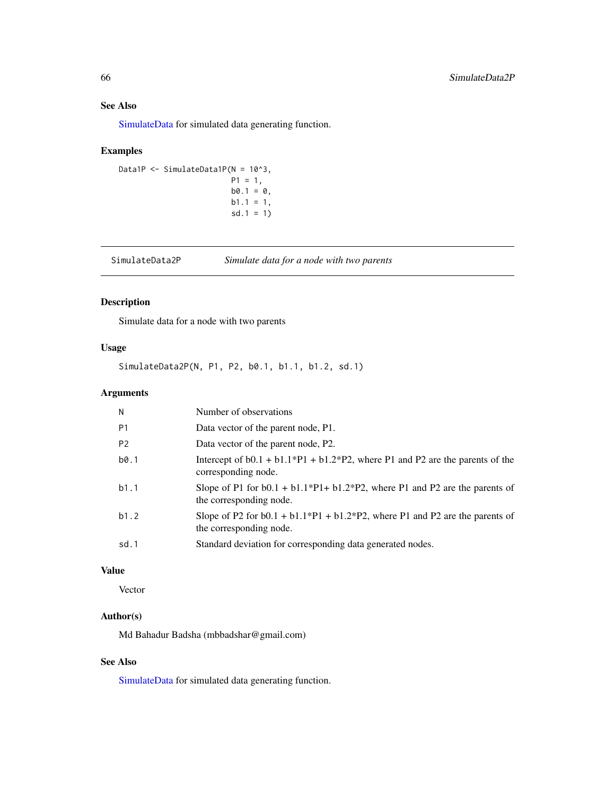# See Also

[SimulateData](#page-61-0) for simulated data generating function.

# Examples

```
Data1P <- SimulateData1P(N = 10^3,
                       P1 = 1,b0.1 = 0,
                        b1.1 = 1,sd.1 = 1)
```
<span id="page-65-0"></span>SimulateData2P *Simulate data for a node with two parents*

# Description

Simulate data for a node with two parents

# Usage

SimulateData2P(N, P1, P2, b0.1, b1.1, b1.2, sd.1)

### Arguments

| N              | Number of observations                                                                                       |
|----------------|--------------------------------------------------------------------------------------------------------------|
| P <sub>1</sub> | Data vector of the parent node, P1.                                                                          |
| P <sub>2</sub> | Data vector of the parent node, P2.                                                                          |
| b0.1           | Intercept of $b0.1 + b1.1^*P1 + b1.2^*P2$ , where P1 and P2 are the parents of the<br>corresponding node.    |
| b1.1           | Slope of P1 for $b0.1 + b1.1^*P1 + b1.2^*P2$ , where P1 and P2 are the parents of<br>the corresponding node. |
| b1.2           | Slope of P2 for $b0.1 + b1.1^*P1 + b1.2^*P2$ , where P1 and P2 are the parents of<br>the corresponding node. |
| sd.1           | Standard deviation for corresponding data generated nodes.                                                   |

# Value

Vector

# Author(s)

Md Bahadur Badsha (mbbadshar@gmail.com)

# See Also

[SimulateData](#page-61-0) for simulated data generating function.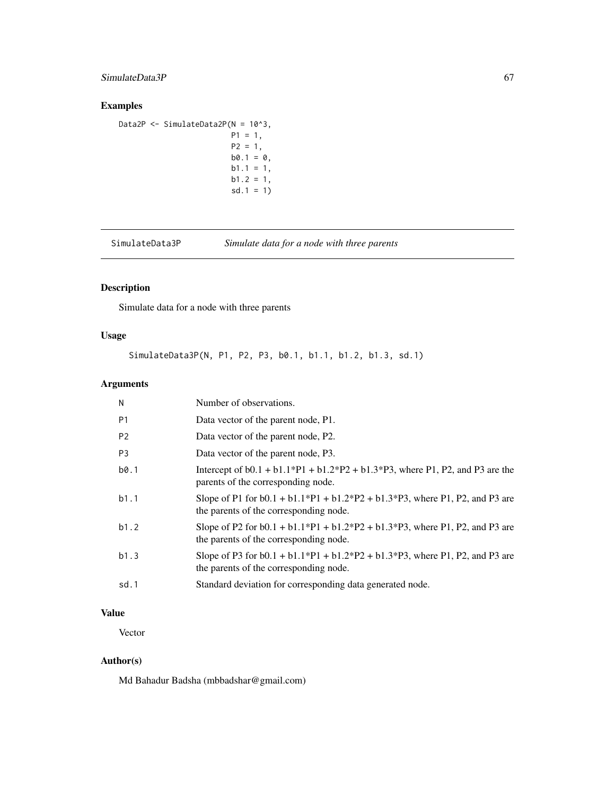# SimulateData3P 67

# Examples

```
Data2P <- SimulateData2P(N = 10^3,
                        P1 = 1,
                        P2 = 1,
                        b0.1 = 0,
                        b1.1 = 1,b1.2 = 1,
                        sd.1 = 1)
```
SimulateData3P *Simulate data for a node with three parents*

# Description

Simulate data for a node with three parents

# Usage

SimulateData3P(N, P1, P2, P3, b0.1, b1.1, b1.2, b1.3, sd.1)

# Arguments

| N              | Number of observations.                                                                                                   |
|----------------|---------------------------------------------------------------------------------------------------------------------------|
| P <sub>1</sub> | Data vector of the parent node, P1.                                                                                       |
| P <sub>2</sub> | Data vector of the parent node, P2.                                                                                       |
| P <sub>3</sub> | Data vector of the parent node, P3.                                                                                       |
| b0.1           | Intercept of $b0.1 + b1.1^*P1 + b1.2^*P2 + b1.3^*P3$ , where P1, P2, and P3 are the<br>parents of the corresponding node. |
| b1.1           | Slope of P1 for $b0.1 + b1.1*P1 + b1.2*P2 + b1.3*P3$ , where P1, P2, and P3 are<br>the parents of the corresponding node. |
| b1.2           | Slope of P2 for $b0.1 + b1.1*P1 + b1.2*P2 + b1.3*P3$ , where P1, P2, and P3 are<br>the parents of the corresponding node. |
| b1.3           | Slope of P3 for $b0.1 + b1.1*P1 + b1.2*P2 + b1.3*P3$ , where P1, P2, and P3 are<br>the parents of the corresponding node. |
| sd.1           | Standard deviation for corresponding data generated node.                                                                 |

# Value

Vector

# Author(s)

Md Bahadur Badsha (mbbadshar@gmail.com)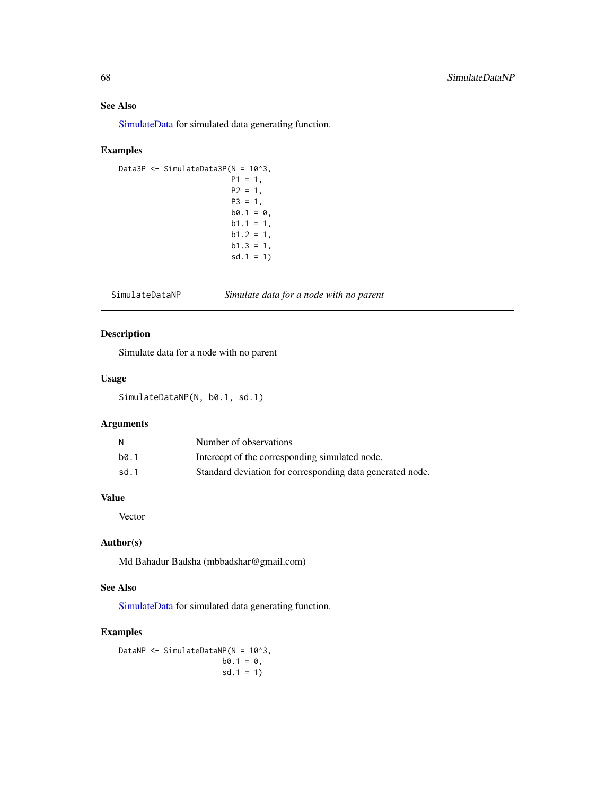### See Also

[SimulateData](#page-61-0) for simulated data generating function.

# Examples

```
Data3P <- SimulateData3P(N = 10^3,
                        P1 = 1,
                        P2 = 1,
                        P3 = 1,b0.1 = 0,
                        b1.1 = 1,
                        b1.2 = 1,
                        b1.3 = 1,
                         sd.1 = 1)
```
<span id="page-67-0"></span>SimulateDataNP *Simulate data for a node with no parent*

### Description

Simulate data for a node with no parent

### Usage

SimulateDataNP(N, b0.1, sd.1)

# Arguments

| и    | Number of observations                                    |
|------|-----------------------------------------------------------|
| b0.1 | Intercept of the corresponding simulated node.            |
| sd.1 | Standard deviation for corresponding data generated node. |

# Value

Vector

# Author(s)

Md Bahadur Badsha (mbbadshar@gmail.com)

# See Also

[SimulateData](#page-61-0) for simulated data generating function.

# Examples

DataNP <- SimulateDataNP(N = 10^3,  $b0.1 = 0$ , sd.1 = 1)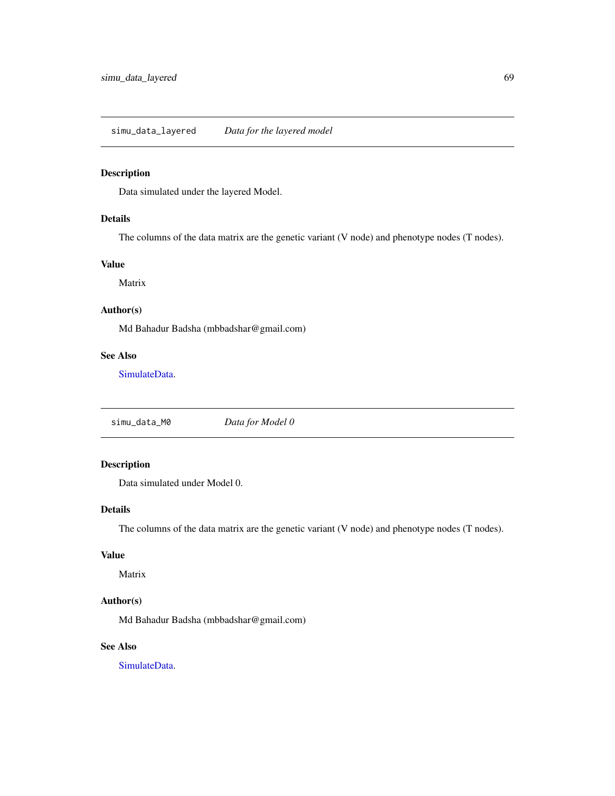# Description

Data simulated under the layered Model.

# Details

The columns of the data matrix are the genetic variant (V node) and phenotype nodes (T nodes).

### Value

Matrix

# Author(s)

Md Bahadur Badsha (mbbadshar@gmail.com)

# See Also

[SimulateData.](#page-61-0)

simu\_data\_M0 *Data for Model 0*

# Description

Data simulated under Model 0.

# Details

The columns of the data matrix are the genetic variant (V node) and phenotype nodes (T nodes).

### Value

Matrix

# Author(s)

Md Bahadur Badsha (mbbadshar@gmail.com)

# See Also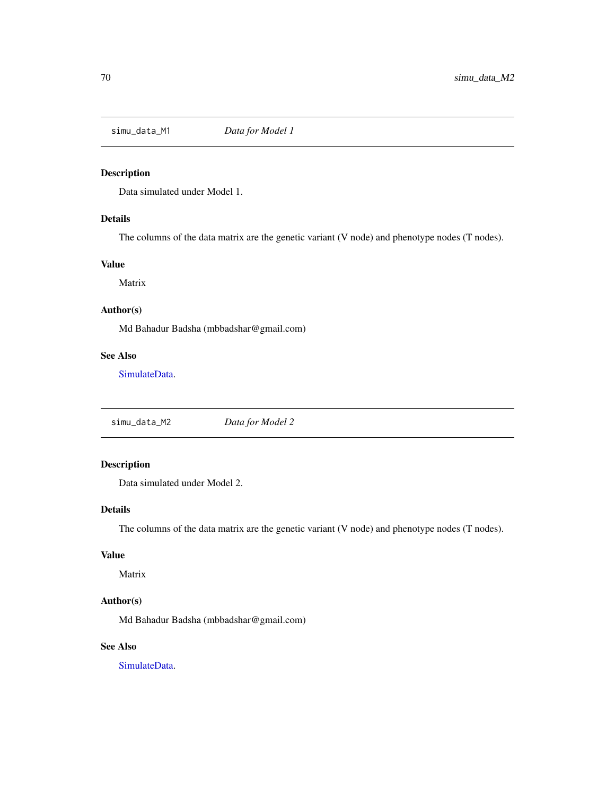# Description

Data simulated under Model 1.

# Details

The columns of the data matrix are the genetic variant (V node) and phenotype nodes (T nodes).

### Value

Matrix

# Author(s)

Md Bahadur Badsha (mbbadshar@gmail.com)

# See Also

[SimulateData.](#page-61-0)

simu\_data\_M2 *Data for Model 2*

# Description

Data simulated under Model 2.

# Details

The columns of the data matrix are the genetic variant (V node) and phenotype nodes (T nodes).

### Value

Matrix

# Author(s)

Md Bahadur Badsha (mbbadshar@gmail.com)

# See Also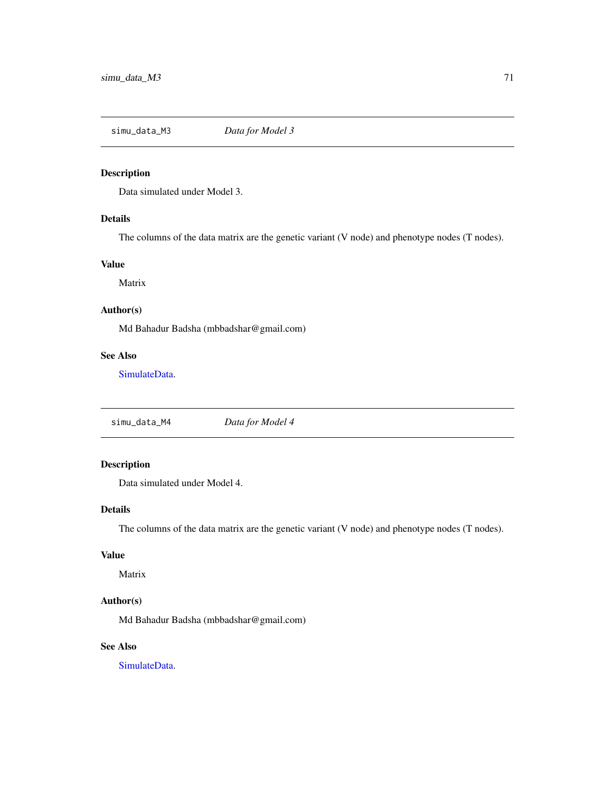simu\_data\_M3 *Data for Model 3*

# Description

Data simulated under Model 3.

# Details

The columns of the data matrix are the genetic variant (V node) and phenotype nodes (T nodes).

### Value

Matrix

# Author(s)

Md Bahadur Badsha (mbbadshar@gmail.com)

### See Also

[SimulateData.](#page-61-0)

simu\_data\_M4 *Data for Model 4*

# Description

Data simulated under Model 4.

# Details

The columns of the data matrix are the genetic variant (V node) and phenotype nodes (T nodes).

### Value

Matrix

# Author(s)

Md Bahadur Badsha (mbbadshar@gmail.com)

# See Also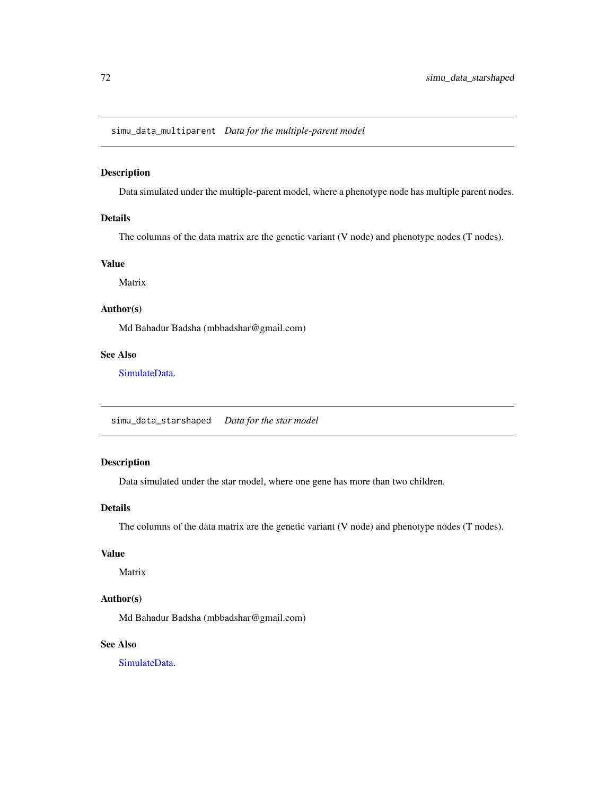simu\_data\_multiparent *Data for the multiple-parent model*

### Description

Data simulated under the multiple-parent model, where a phenotype node has multiple parent nodes.

### Details

The columns of the data matrix are the genetic variant (V node) and phenotype nodes (T nodes).

# Value

Matrix

# Author(s)

Md Bahadur Badsha (mbbadshar@gmail.com)

# See Also

[SimulateData.](#page-61-0)

simu\_data\_starshaped *Data for the star model*

#### Description

Data simulated under the star model, where one gene has more than two children.

### Details

The columns of the data matrix are the genetic variant (V node) and phenotype nodes (T nodes).

### Value

Matrix

#### Author(s)

Md Bahadur Badsha (mbbadshar@gmail.com)

### See Also